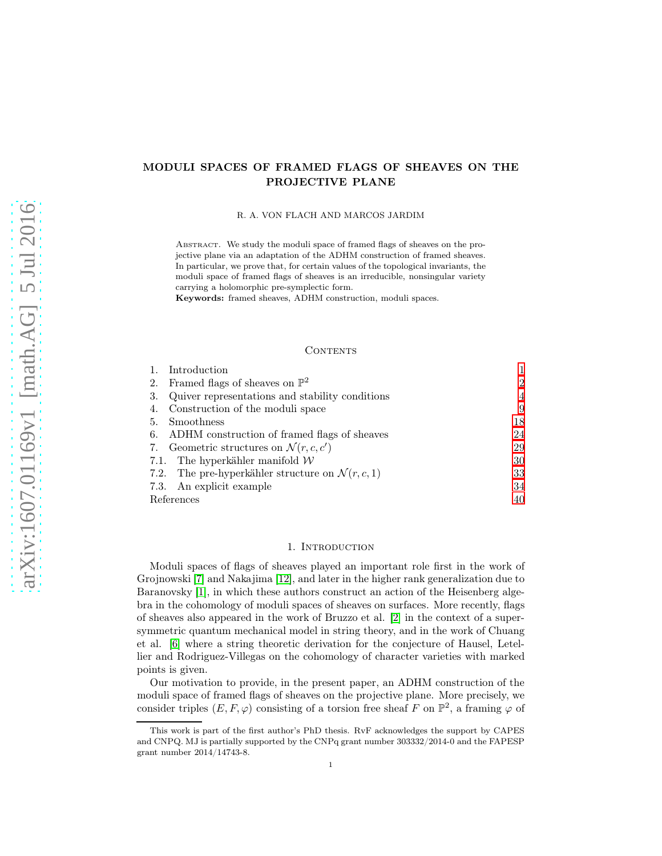# MODULI SPACES OF FRAMED FLAGS OF SHEAVES ON THE PROJECTIVE PLANE

R. A. VON FLACH AND MARCOS JARDIM

ABSTRACT. We study the moduli space of framed flags of sheaves on the projective plane via an adaptation of the ADHM construction of framed sheaves. In particular, we prove that, for certain values of the topological invariants, the moduli space of framed flags of sheaves is an irreducible, nonsingular variety carrying a holomorphic pre-symplectic form.

Keywords: framed sheaves, ADHM construction, moduli spaces.

## **CONTENTS**

|            | Introduction                                                 |                |
|------------|--------------------------------------------------------------|----------------|
| 2.         | Framed flags of sheaves on $\mathbb{P}^2$                    | $\overline{2}$ |
| 3.         | Quiver representations and stability conditions              | 4              |
| 4.         | Construction of the moduli space                             | 9              |
| 5.         | Smoothness                                                   | 18             |
|            | 6. ADHM construction of framed flags of sheaves              | 24             |
|            | 7. Geometric structures on $\mathcal{N}(r,c,c')$             | 29             |
|            | 7.1. The hyperkähler manifold $W$                            | 30             |
|            | 7.2. The pre-hyperkähler structure on $\mathcal{N}(r, c, 1)$ | 33             |
|            | 7.3. An explicit example                                     | 34             |
| References |                                                              | 40             |

# 1. INTRODUCTION

<span id="page-0-0"></span>Moduli spaces of flags of sheaves played an important role first in the work of Grojnowski [\[7\]](#page-39-1) and Nakajima [\[12\]](#page-39-2), and later in the higher rank generalization due to Baranovsky [\[1\]](#page-39-3), in which these authors construct an action of the Heisenberg algebra in the cohomology of moduli spaces of sheaves on surfaces. More recently, flags of sheaves also appeared in the work of Bruzzo et al. [\[2\]](#page-39-4) in the context of a supersymmetric quantum mechanical model in string theory, and in the work of Chuang et al. [\[6\]](#page-39-5) where a string theoretic derivation for the conjecture of Hausel, Letellier and Rodriguez-Villegas on the cohomology of character varieties with marked points is given.

Our motivation to provide, in the present paper, an ADHM construction of the moduli space of framed flags of sheaves on the projective plane. More precisely, we consider triples  $(E, F, \varphi)$  consisting of a torsion free sheaf F on  $\mathbb{P}^2$ , a framing  $\varphi$  of

This work is part of the first author's PhD thesis. RvF acknowledges the support by CAPES and CNPQ. MJ is partially supported by the CNPq grant number 303332/2014-0 and the FAPESP grant number 2014/14743-8.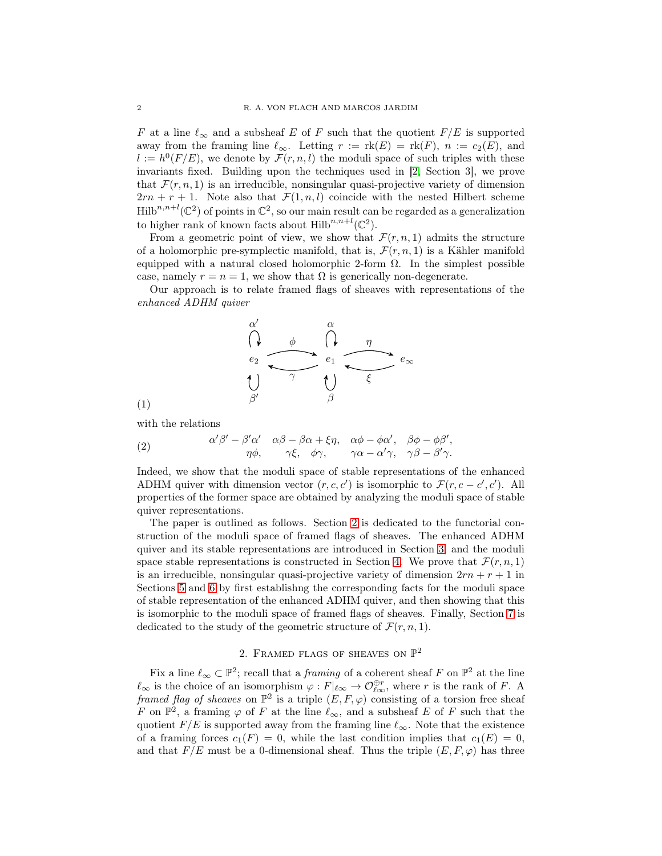F at a line  $\ell_{\infty}$  and a subsheaf E of F such that the quotient  $F/E$  is supported away from the framing line  $\ell_{\infty}$ . Letting  $r := \text{rk}(E) = \text{rk}(F)$ ,  $n := c_2(E)$ , and  $l := h^0(F/E)$ , we denote by  $\mathcal{F}(r, n, l)$  the moduli space of such triples with these invariants fixed. Building upon the techniques used in [\[2,](#page-39-4) Section 3], we prove that  $\mathcal{F}(r, n, 1)$  is an irreducible, nonsingular quasi-projective variety of dimension  $2rn + r + 1$ . Note also that  $\mathcal{F}(1,n,l)$  coincide with the nested Hilbert scheme  $\text{Hilb}^{n,n+l}(\mathbb{C}^2)$  of points in  $\mathbb{C}^2$ , so our main result can be regarded as a generalization to higher rank of known facts about  $\text{Hilb}^{n,n+l}(\mathbb{C}^2)$ .

From a geometric point of view, we show that  $\mathcal{F}(r, n, 1)$  admits the structure of a holomorphic pre-symplectic manifold, that is,  $\mathcal{F}(r, n, 1)$  is a Kähler manifold equipped with a natural closed holomorphic 2-form  $\Omega$ . In the simplest possible case, namely  $r = n = 1$ , we show that  $\Omega$  is generically non-degenerate.

Our approach is to relate framed flags of sheaves with representations of the enhanced ADHM quiver



(1)

with the relations

(2) 
$$
\alpha'\beta' - \beta'\alpha' \quad \alpha\beta - \beta\alpha + \xi\eta, \quad \alpha\phi - \phi\alpha', \quad \beta\phi - \phi\beta',
$$

$$
\eta\phi, \qquad \gamma\xi, \quad \phi\gamma, \qquad \gamma\alpha - \alpha'\gamma, \quad \gamma\beta - \beta'\gamma.
$$

Indeed, we show that the moduli space of stable representations of the enhanced ADHM quiver with dimension vector  $(r, c, c')$  is isomorphic to  $\mathcal{F}(r, c - c', c')$ . All properties of the former space are obtained by analyzing the moduli space of stable quiver representations.

The paper is outlined as follows. Section [2](#page-1-0) is dedicated to the functorial construction of the moduli space of framed flags of sheaves. The enhanced ADHM quiver and its stable representations are introduced in Section [3,](#page-3-0) and the moduli space stable representations is constructed in Section [4.](#page-8-0) We prove that  $\mathcal{F}(r, n, 1)$ is an irreducible, nonsingular quasi-projective variety of dimension  $2rn + r + 1$  in Sections [5](#page-17-0) and [6](#page-23-0) by first establishng the corresponding facts for the moduli space of stable representation of the enhanced ADHM quiver, and then showing that this is isomorphic to the moduli space of framed flags of sheaves. Finally, Section [7](#page-28-0) is dedicated to the study of the geometric structure of  $\mathcal{F}(r, n, 1)$ .

# 2. FRAMED FLAGS OF SHEAVES ON  $\mathbb{P}^2$

<span id="page-1-0"></span>Fix a line  $\ell_{\infty} \subset \mathbb{P}^2$ ; recall that a *framing* of a coherent sheaf F on  $\mathbb{P}^2$  at the line  $\ell_{\infty}$  is the choice of an isomorphism  $\varphi: F|_{\ell_{\infty}} \to \mathcal{O}_{\ell_{\infty}}^{\oplus r}$ , where r is the rank of F. A framed flag of sheaves on  $\mathbb{P}^2$  is a triple  $(E, F, \varphi)$  consisting of a torsion free sheaf F on  $\mathbb{P}^2$ , a framing  $\varphi$  of F at the line  $\ell_{\infty}$ , and a subsheaf E of F such that the quotient  $F/E$  is supported away from the framing line  $\ell_{\infty}$ . Note that the existence of a framing forces  $c_1(F) = 0$ , while the last condition implies that  $c_1(E) = 0$ , and that  $F/E$  must be a 0-dimensional sheaf. Thus the triple  $(E, F, \varphi)$  has three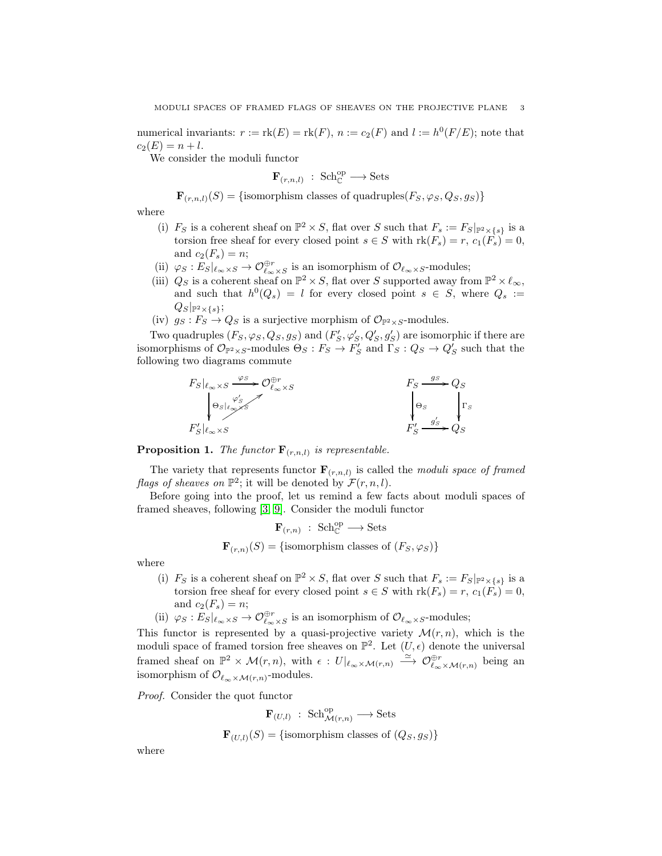numerical invariants:  $r := \text{rk}(E) = \text{rk}(F)$ ,  $n := c_2(F)$  and  $l := h^0(F/E)$ ; note that  $c_2(E) = n + l.$ 

We consider the moduli functor

$$
\mathbf{F}_{(r,n,l)} \; : \; \mathrm{Sch}_{\mathbb{C}}^{\mathrm{op}} \longrightarrow \mathrm{Sets}
$$

 $\mathbf{F}_{(r,n,l)}(S) = \{\text{isomorphism classes of quadruples}(F_S, \varphi_S, Q_S, g_S)\}\$ 

where

- (i)  $F_S$  is a coherent sheaf on  $\mathbb{P}^2 \times S$ , flat over S such that  $F_s := F_S|_{\mathbb{P}^2 \times \{s\}}$  is a torsion free sheaf for every closed point  $s \in S$  with  $rk(F_s) = r$ ,  $c_1(F_s) = 0$ , and  $c_2(F_s) = n$ ;
- (ii)  $\varphi_S: E_S|_{\ell_\infty \times S} \to \mathcal{O}_{\ell_\infty \times S}^{\oplus r}$  is an isomorphism of  $\mathcal{O}_{\ell_\infty \times S}$ -modules;
- (iii)  $Q_S$  is a coherent sheaf on  $\mathbb{P}^2 \times S$ , flat over S supported away from  $\mathbb{P}^2 \times \ell_{\infty}$ , and such that  $h^0(Q_s) = l$  for every closed point  $s \in S$ , where  $Q_s :=$  $Q_S|_{\mathbb{P}^2\times \{s\}};$
- (iv)  $g_S : F_S \to Q_S$  is a surjective morphism of  $\mathcal{O}_{\mathbb{P}^2 \times S}$ -modules.

Two quadruples  $(F_S, \varphi_S, Q_S, g_S)$  and  $(F'_S, \varphi'_S, Q'_S, g'_S)$  are isomorphic if there are isomorphisms of  $\mathcal{O}_{\mathbb{P}^2\times S}$ -modules  $\Theta_S: F_S \to F'_S$  and  $\Gamma_S: Q_S \to Q'_S$  such that the following two diagrams commute

$$
F_S|_{\ell_\infty \times S} \xrightarrow{\varphi_S} \mathcal{O}_{\ell_\infty \times S}^{\oplus r} \xrightarrow{\qquad \qquad} F_S \xrightarrow{g_S} Q_S
$$
\n
$$
\downarrow \Theta_S|_{\ell_\infty \times S} \xrightarrow{\varphi_S'}
$$
\n
$$
F_S'|_{\ell_\infty \times S} \xrightarrow{g_S} \varphi_S
$$

**Proposition 1.** The functor  $\mathbf{F}_{(r,n,l)}$  is representable.

The variety that represents functor  $\mathbf{F}_{(r,n,l)}$  is called the moduli space of framed flags of sheaves on  $\mathbb{P}^2$ ; it will be denoted by  $\mathcal{F}(r,n,l)$ .

Before going into the proof, let us remind a few facts about moduli spaces of framed sheaves, following [\[3,](#page-39-6) [9\]](#page-39-7). Consider the moduli functor

> $\mathbf{F}_{(r,n)}$ :  $\text{Sch}_{\mathbb{C}}^{\text{op}} \longrightarrow \text{Sets}$  $\mathbf{F}_{(r,n)}(S) = \{\text{isomorphism classes of } (F_S, \varphi_S)\}\$

where

- (i)  $F_S$  is a coherent sheaf on  $\mathbb{P}^2 \times S$ , flat over S such that  $F_s := F_S|_{\mathbb{P}^2 \times \{s\}}$  is a torsion free sheaf for every closed point  $s \in S$  with  $rk(F_s) = r$ ,  $c_1(F_s) = 0$ , and  $c_2(F_s) = n$ ;
- (ii)  $\varphi_S: E_S|_{\ell_\infty \times S} \to \mathcal{O}_{\ell_\infty \times S}^{\oplus r}$  is an isomorphism of  $\mathcal{O}_{\ell_\infty \times S}$ -modules;

This functor is represented by a quasi-projective variety  $\mathcal{M}(r, n)$ , which is the moduli space of framed torsion free sheaves on  $\mathbb{P}^2$ . Let  $(U,\epsilon)$  denote the universal framed sheaf on  $\mathbb{P}^2 \times \mathcal{M}(r,n)$ , with  $\epsilon : U|_{\ell_\infty \times \mathcal{M}(r,n)} \stackrel{\simeq}{\longrightarrow} \mathcal{O}_{\ell_\infty \times \mathcal{M}(r,n)}^{\oplus r}$  being an isomorphism of  $\mathcal{O}_{\ell_{\infty}\times\mathcal{M}(r,n)}$ -modules.

Proof. Consider the quot functor

$$
\mathbf{F}_{(U,l)} \; : \; \mathrm{Sch}_{\mathcal{M}(r,n)}^{\mathrm{op}} \longrightarrow \mathrm{Sets}
$$
  

$$
\mathbf{F}_{(U,l)}(S) = \{\text{isomorphism classes of } (Q_S, g_S)\}
$$

where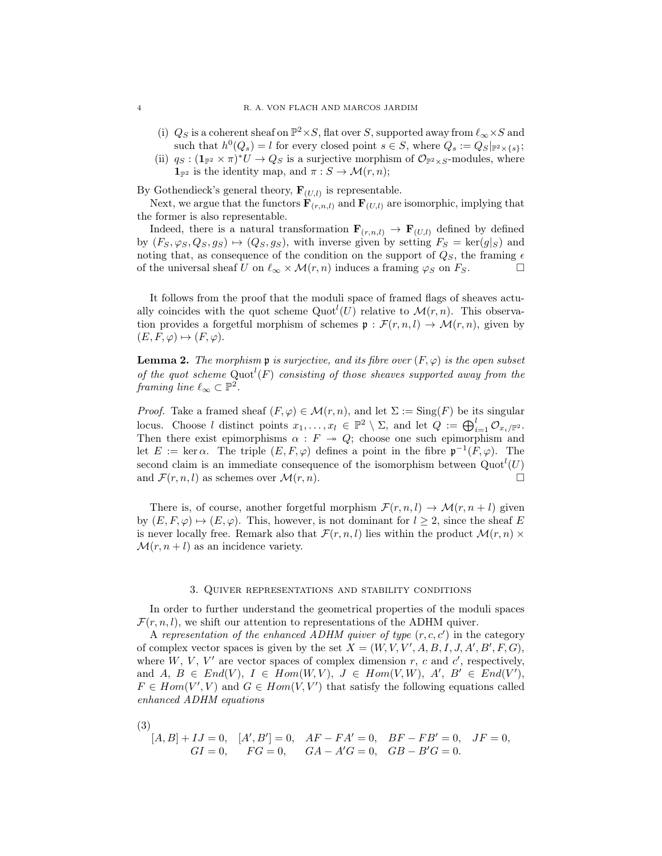- (i)  $Q_S$  is a coherent sheaf on  $\mathbb{P}^2 \times S$ , flat over S, supported away from  $\ell_{\infty} \times S$  and such that  $h^0(Q_s) = l$  for every closed point  $s \in S$ , where  $Q_s := Q_S|_{\mathbb{P}^2 \times \{s\}}$ ;
- (ii)  $q_S : (\mathbf{1}_{\mathbb{P}^2} \times \pi)^* U \to Q_S$  is a surjective morphism of  $\mathcal{O}_{\mathbb{P}^2 \times S}$ -modules, where  $\mathbf{1}_{\mathbb{P}^2}$  is the identity map, and  $\pi : S \to \mathcal{M}(r, n);$

By Gothendieck's general theory,  $\mathbf{F}_{(U,l)}$  is representable.

Next, we argue that the functors  $\mathbf{F}_{(r,n,l)}$  and  $\mathbf{F}_{(U,l)}$  are isomorphic, implying that the former is also representable.

Indeed, there is a natural transformation  $\mathbf{F}_{(r,n,l)} \to \mathbf{F}_{(U,l)}$  defined by defined by  $(F_S, \varphi_S, Q_S, g_S) \mapsto (Q_S, g_S)$ , with inverse given by setting  $F_S = \text{ker}(g|_S)$  and noting that, as consequence of the condition on the support of  $Q_S$ , the framing  $\epsilon$ of the universal sheaf U on  $\ell_{\infty} \times \mathcal{M}(r, n)$  induces a framing  $\varphi_S$  on  $F_S$ .

It follows from the proof that the moduli space of framed flags of sheaves actually coincides with the quot scheme Quot<sup> $l$ </sup>(U) relative to  $\mathcal{M}(r,n)$ . This observation provides a forgetful morphism of schemes  $\mathfrak{p}: \mathcal{F}(r,n,l) \to \mathcal{M}(r,n)$ , given by  $(E, F, \varphi) \mapsto (F, \varphi).$ 

<span id="page-3-2"></span>**Lemma 2.** The morphism **p** is surjective, and its fibre over  $(F, \varphi)$  is the open subset of the quot scheme  $\text{Quot}^l(F)$  consisting of those sheaves supported away from the framing line  $\ell_{\infty} \subset \mathbb{P}^2$ .

*Proof.* Take a framed sheaf  $(F, \varphi) \in \mathcal{M}(r, n)$ , and let  $\Sigma := \text{Sing}(F)$  be its singular locus. Choose *l* distinct points  $x_1, \ldots, x_l \in \mathbb{P}^2 \setminus \Sigma$ , and let  $Q := \bigoplus_{i=1}^l \mathcal{O}_{x_i/\mathbb{P}^2}$ . Then there exist epimorphisms  $\alpha : F \rightarrow Q$ ; choose one such epimorphism and let  $E := \ker \alpha$ . The triple  $(E, F, \varphi)$  defines a point in the fibre  $\mathfrak{p}^{-1}(F, \varphi)$ . The second claim is an immediate consequence of the isomorphism between  $Quot^{l}(U)$ and  $\mathcal{F}(r, n, l)$  as schemes over  $\mathcal{M}(r, n)$ .

There is, of course, another forgetful morphism  $\mathcal{F}(r, n, l) \to \mathcal{M}(r, n + l)$  given by  $(E, F, \varphi) \mapsto (E, \varphi)$ . This, however, is not dominant for  $l \geq 2$ , since the sheaf E is never locally free. Remark also that  $\mathcal{F}(r, n, l)$  lies within the product  $\mathcal{M}(r, n) \times$  $\mathcal{M}(r, n+l)$  as an incidence variety.

#### 3. Quiver representations and stability conditions

<span id="page-3-0"></span>In order to further understand the geometrical properties of the moduli spaces  $\mathcal{F}(r, n, l)$ , we shift our attention to representations of the ADHM quiver.

A representation of the enhanced ADHM quiver of type  $(r, c, c')$  in the category of complex vector spaces is given by the set  $X = (W, V, V', A, B, I, J, A', B', F, G)$ , where  $W, V, V'$  are vector spaces of complex dimension  $r, c$  and  $c'$ , respectively, and  $A, B \in End(V), I \in Hom(W, V), J \in Hom(V, W), A', B' \in End(V'),$  $F \in Hom(V', V)$  and  $G \in Hom(V, V')$  that satisfy the following equations called enhanced ADHM equations

$$
\begin{array}{c}\n(3) \\
\hline\n[A \ B] + I\n\end{array}
$$

<span id="page-3-1"></span>
$$
[A, B] + IJ = 0, \quad [A', B'] = 0, \quad AF - FA' = 0, \quad BF - FB' = 0, \quad JF = 0,
$$
  
\n
$$
GI = 0, \quad FG = 0, \quad GA - A'G = 0, \quad GB - B'G = 0.
$$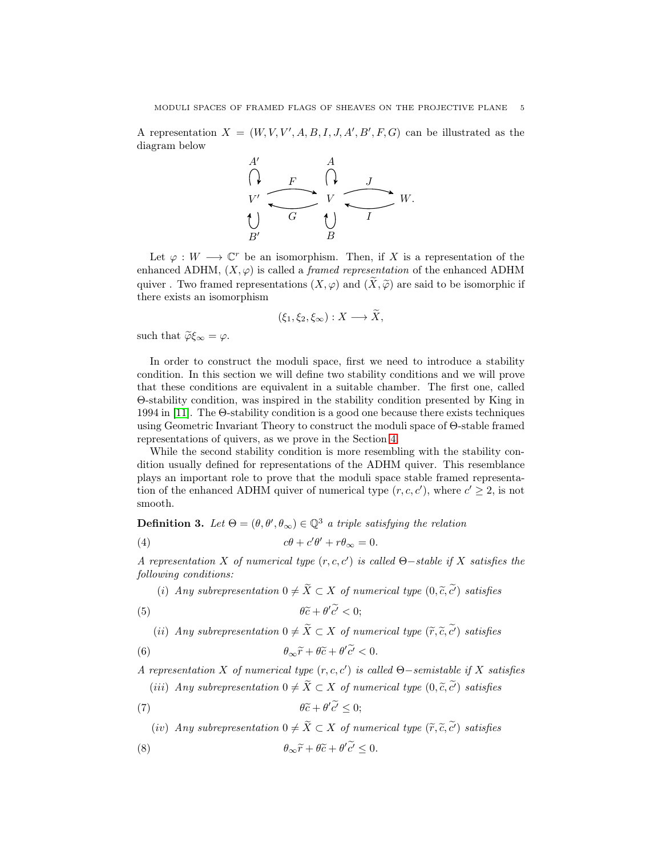A representation  $X = (W, V, V', A, B, I, J, A', B', F, G)$  can be illustrated as the diagram below



Let  $\varphi: W \longrightarrow \mathbb{C}^r$  be an isomorphism. Then, if X is a representation of the enhanced ADHM,  $(X, \varphi)$  is called a *framed representation* of the enhanced ADHM quiver . Two framed representations  $(X, \varphi)$  and  $(\tilde{X}, \tilde{\varphi})$  are said to be isomorphic if there exists an isomorphism

$$
(\xi_1,\xi_2,\xi_\infty):X\longrightarrow X,
$$

such that  $\widetilde{\varphi}\xi_{\infty}=\varphi$ .

In order to construct the moduli space, first we need to introduce a stability condition. In this section we will define two stability conditions and we will prove that these conditions are equivalent in a suitable chamber. The first one, called Θ-stability condition, was inspired in the stability condition presented by King in 1994 in [\[11\]](#page-39-8). The Θ-stability condition is a good one because there exists techniques using Geometric Invariant Theory to construct the moduli space of Θ-stable framed representations of quivers, as we prove in the Section [4.](#page-8-0)

While the second stability condition is more resembling with the stability condition usually defined for representations of the ADHM quiver. This resemblance plays an important role to prove that the moduli space stable framed representation of the enhanced ADHM quiver of numerical type  $(r, c, c')$ , where  $c' \geq 2$ , is not smooth.

**Definition 3.** Let  $\Theta = (\theta, \theta', \theta_{\infty}) \in \mathbb{Q}^{3}$  a triple satisfying the relation

(4) 
$$
c\theta + c'\theta' + r\theta_{\infty} = 0.
$$

A representation X of numerical type  $(r, c, c')$  is called  $\Theta$ -stable if X satisfies the following conditions:

<span id="page-4-0"></span>(i) Any subrepresentation  $0 \neq \tilde{X} \subset X$  of numerical type  $(0, \tilde{c}, \tilde{c}')$  satisfies

$$
\theta \widetilde{c} + \theta' \widetilde{c'} < 0;
$$

(ii) Any subrepresentation  $0 \neq \tilde{X} \subset X$  of numerical type  $(\tilde{r}, \tilde{c}, \tilde{c}')$  satisfies

(6) 
$$
\theta_{\infty}\widetilde{r}+\theta\widetilde{c}+\theta'\widetilde{c'}<0.
$$

A representation X of numerical type  $(r, c, c')$  is called  $\Theta$ -semistable if X satisfies

(iii) Any subrepresentation  $0 \neq \widetilde{X} \subset X$  of numerical type  $(0, \widetilde{c}, \widetilde{c}')$  satisfies

(7) 
$$
\theta \widetilde{c} + \theta' \widetilde{c'} \leq 0;
$$

<span id="page-4-2"></span><span id="page-4-1"></span>(iv) Any subrepresentation  $0 \neq X \subset X$  of numerical type  $(\widetilde{r}, \widetilde{c}, c')$  satisfies

(8) 
$$
\theta_{\infty}\widetilde{r}+\theta\widetilde{c}+\theta'\widetilde{c'}\leq 0.
$$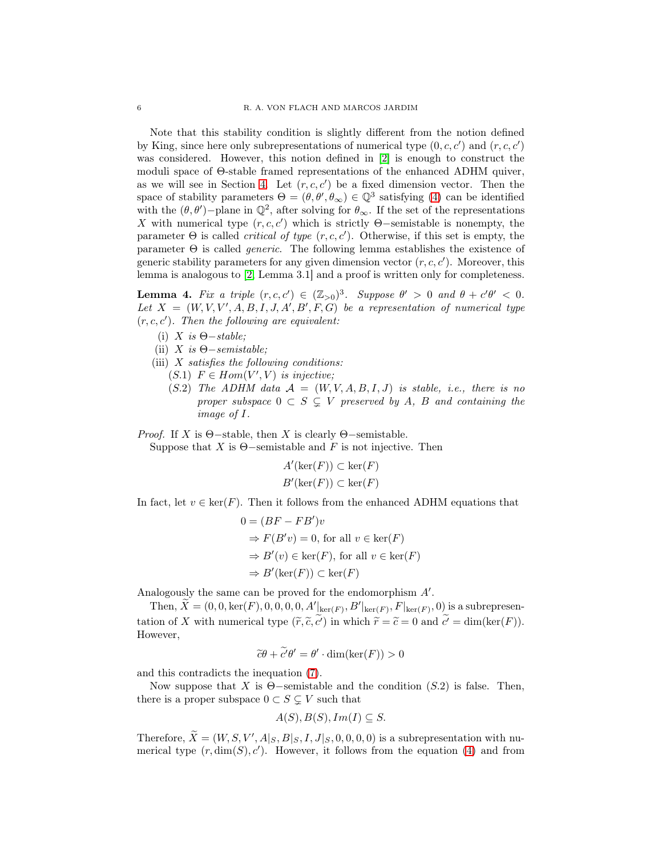Note that this stability condition is slightly different from the notion defined by King, since here only subrepresentations of numerical type  $(0, c, c')$  and  $(r, c, c')$ was considered. However, this notion defined in [\[2\]](#page-39-4) is enough to construct the moduli space of Θ-stable framed representations of the enhanced ADHM quiver, as we will see in Section [4.](#page-8-0) Let  $(r, c, c')$  be a fixed dimension vector. Then the space of stability parameters  $\Theta = (\theta, \theta', \theta_{\infty}) \in \mathbb{Q}^{3}$  satisfying [\(4\)](#page-4-0) can be identified with the  $(\theta, \theta')$ -plane in  $\mathbb{Q}^2$ , after solving for  $\theta_{\infty}$ . If the set of the representations X with numerical type  $(r, c, c')$  which is strictly Θ−semistable is nonempty, the parameter  $\Theta$  is called *critical of type*  $(r, c, c')$ . Otherwise, if this set is empty, the parameter  $\Theta$  is called *generic*. The following lemma establishes the existence of generic stability parameters for any given dimension vector  $(r, c, c')$ . Moreover, this lemma is analogous to [\[2,](#page-39-4) Lemma 3.1] and a proof is written only for completeness.

<span id="page-5-0"></span>Lemma 4. Fix a triple  $(r, c, c') \in (\mathbb{Z}_{>0})^3$ . Suppose  $\theta' > 0$  and  $\theta + c'\theta' < 0$ . Let  $X = (W, V, V', A, B, I, J, A', B', F, G)$  be a representation of numerical type  $(r, c, c')$ . Then the following are equivalent:

- (i) X is  $\Theta$ -stable;
- (ii) X is  $\Theta$ -semistable;
- (iii)  $X$  satisfies the following conditions:
	- $(S.1)$   $F \in Hom(V', V)$  is injective;
	- $(S.2)$  The ADHM data  $\mathcal{A} = (W, V, A, B, I, J)$  is stable, i.e., there is no proper subspace  $0 \subset S \subsetneq V$  preserved by A, B and containing the image of I.

*Proof.* If X is  $\Theta$ -stable, then X is clearly  $\Theta$ -semistable.

Suppose that X is  $\Theta$ -semistable and F is not injective. Then

$$
A'(\ker(F)) \subset \ker(F)
$$
  

$$
B'(\ker(F)) \subset \ker(F)
$$

In fact, let  $v \in \text{ker}(F)$ . Then it follows from the enhanced ADHM equations that

$$
0 = (BF - FB')v
$$
  
\n
$$
\Rightarrow F(B'v) = 0, \text{ for all } v \in \text{ker}(F)
$$
  
\n
$$
\Rightarrow B'(v) \in \text{ker}(F), \text{ for all } v \in \text{ker}(F)
$$
  
\n
$$
\Rightarrow B'(\text{ker}(F)) \subset \text{ker}(F)
$$

Analogously the same can be proved for the endomorphism A′ .

Then,  $\tilde{X} = (0, 0, \ker(F), 0, 0, 0, 0, A' |_{\ker(F)}, B' |_{\ker(F)}, F |_{\ker(F)}, 0)$  is a subrepresentation of X with numerical type  $(\tilde{r}, \tilde{c}, \tilde{c}')$  in which  $\tilde{r} = \tilde{c} = 0$  and  $\tilde{c'} = \dim(\ker(F))$ . However,

$$
\widetilde{c}\theta + \widetilde{c'}\theta' = \theta' \cdot \dim(\ker(F)) > 0
$$

and this contradicts the inequation [\(7\)](#page-4-1).

Now suppose that X is  $\Theta$ -semistable and the condition  $(S.2)$  is false. Then, there is a proper subspace  $0 \subset S \subsetneq V$  such that

$$
A(S), B(S), Im(I) \subseteq S.
$$

Therefore,  $\tilde{X} = (W, S, V', A|_S, B|_S, I, J|_S, 0, 0, 0, 0)$  is a subrepresentation with numerical type  $(r, \dim(S), c')$ . However, it follows from the equation [\(4\)](#page-4-0) and from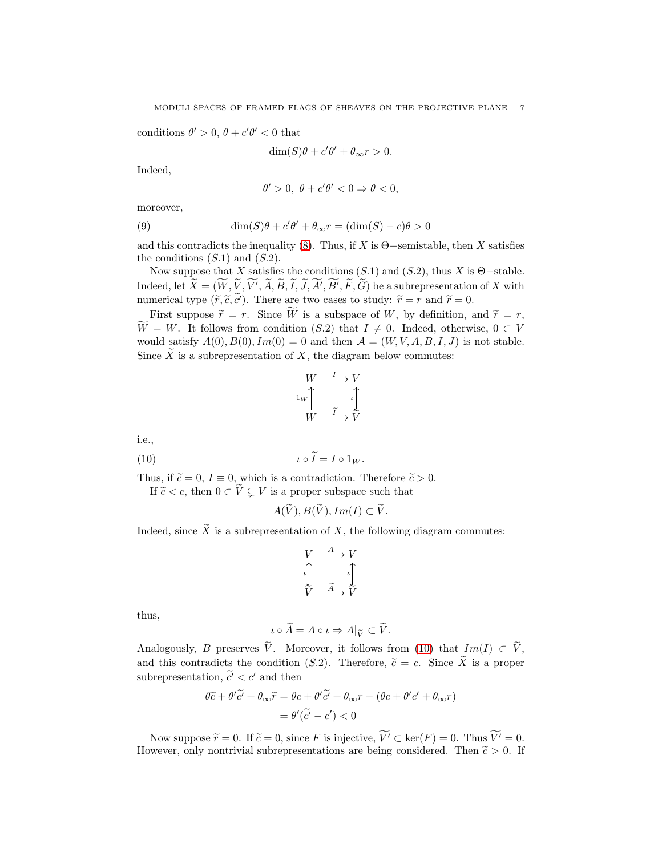conditions  $\theta' > 0$ ,  $\theta + c'\theta' < 0$  that

$$
\dim(S)\theta + c'\theta' + \theta_\infty r > 0.
$$

Indeed,

$$
\theta' > 0, \ \theta + c'\theta' < 0 \Rightarrow \theta < 0,
$$

moreover,

(9) 
$$
\dim(S)\theta + c'\theta' + \theta_{\infty}r = (\dim(S) - c)\theta > 0
$$

and this contradicts the inequality [\(8\)](#page-4-2). Thus, if X is  $\Theta$ -semistable, then X satisfies the conditions  $(S.1)$  and  $(S.2)$ .

Now suppose that X satisfies the conditions  $(S.1)$  and  $(S.2)$ , thus X is  $\Theta$ -stable. Indeed, let  $X = (W, V, V', A, B, I, J, A', B', F, G)$  be a subrepresentation of X with numerical type  $(\tilde{r}, \tilde{c}, \tilde{c}')$ . There are two cases to study:  $\tilde{r} = r$  and  $\tilde{r} = 0$ .

First suppose  $\widetilde{r} = r$ . Since  $\widetilde{W}$  is a subspace of W, by definition, and  $\widetilde{r} = r$ ,  $\widetilde{W} = W$ . It follows from condition (S.2) that  $I \neq 0$ . Indeed, otherwise,  $0 \subset V$ would satisfy  $A(0), B(0), Im(0) = 0$  and then  $A = (W, V, A, B, I, J)$  is not stable. Since  $\widetilde{X}$  is a subrepresentation of X, the diagram below commutes:

$$
W \xrightarrow{I} V
$$
  
\n
$$
1_W \uparrow \qquad \qquad \iota \uparrow
$$
  
\n
$$
W \xrightarrow{\widetilde{I}} V
$$

i.e.,

<span id="page-6-0"></span>(10) 
$$
\iota \circ \widetilde{I} = I \circ 1_W.
$$

Thus, if  $\tilde{c} = 0$ ,  $I \equiv 0$ , which is a contradiction. Therefore  $\tilde{c} > 0$ . If  $\tilde{c} < c$ , then  $0 \subset \tilde{V} \subsetneq V$  is a proper subspace such that

$$
A(V), B(V), Im(I) \subset V.
$$

Indeed, since  $\widetilde{X}$  is a subrepresentation of X, the following diagram commutes:

$$
V \xrightarrow{A} V
$$

$$
\iota \uparrow \qquad \iota \uparrow
$$

$$
\nabla \xrightarrow{\tilde{A}} V
$$

thus,

$$
\iota \circ \widetilde{A} = A \circ \iota \Rightarrow A|_{\widetilde{V}} \subset \widetilde{V}.
$$

Analogously, B preserves  $\tilde{V}$ . Moreover, it follows from [\(10\)](#page-6-0) that  $Im(I) \subset \tilde{V}$ , and this contradicts the condition (S.2). Therefore,  $\tilde{c} = c$ . Since  $\tilde{X}$  is a proper subrepresentation,  $\tilde{c'} < c'$  and then

$$
\theta \widetilde{c} + \theta' \widetilde{c'} + \theta_{\infty} \widetilde{r} = \theta c + \theta' \widetilde{c'} + \theta_{\infty} r - (\theta c + \theta' c' + \theta_{\infty} r)
$$

$$
= \theta'(\widetilde{c'} - c') < 0
$$

Now suppose  $\widetilde{r} = 0$ . If  $\widetilde{c} = 0$ , since F is injective,  $\widetilde{V'} \subset \ker(F) = 0$ . Thus  $\widetilde{V'} = 0$ . However, only nontrivial subrepresentations are being considered. Then  $\tilde{c} > 0$ . If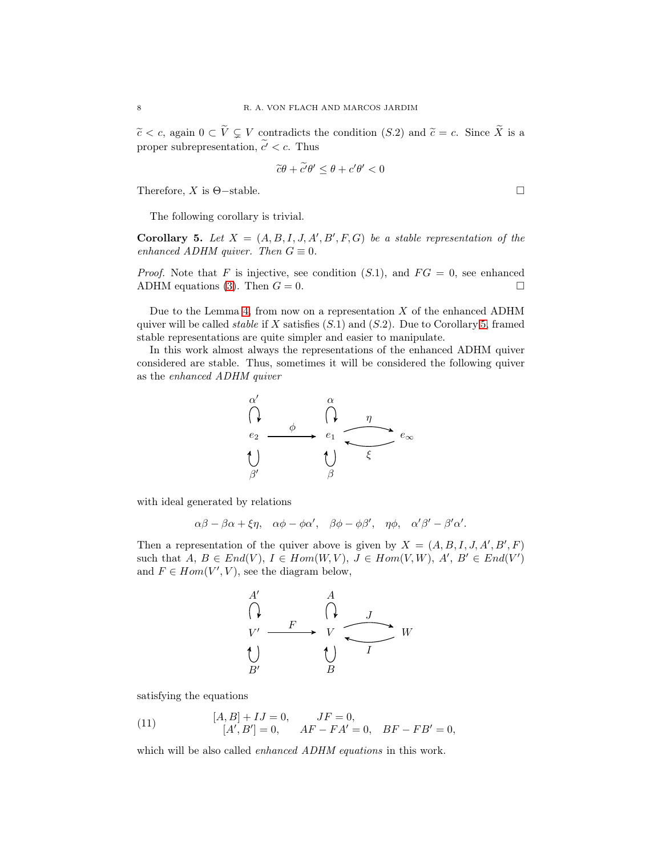$\widetilde{c} < c$ , again  $0 \subset \widetilde{V} \subsetneq V$  contradicts the condition  $(S.2)$  and  $\widetilde{c} = c$ . Since  $\widetilde{X}$  is a proper subrepresentation,  $\widetilde{c'} < c$ . Thus

$$
\widetilde{c}\theta + \widetilde{c'}\theta' \le \theta + c'\theta' < 0
$$

Therefore, X is  $\Theta$ -stable.

The following corollary is trivial.

<span id="page-7-0"></span>**Corollary 5.** Let  $X = (A, B, I, J, A', B', F, G)$  be a stable representation of the enhanced ADHM quiver. Then  $G \equiv 0$ .

*Proof.* Note that F is injective, see condition  $(S.1)$ , and  $FG = 0$ , see enhanced ADHM equations [\(3\)](#page-3-1). Then  $G = 0$ .

Due to the Lemma [4,](#page-5-0) from now on a representation  $X$  of the enhanced ADHM quiver will be called *stable* if X satisfies  $(S.1)$  and  $(S.2)$ . Due to Corollary [5,](#page-7-0) framed stable representations are quite simpler and easier to manipulate.

In this work almost always the representations of the enhanced ADHM quiver considered are stable. Thus, sometimes it will be considered the following quiver as the enhanced ADHM quiver



with ideal generated by relations

$$
\alpha\beta - \beta\alpha + \xi\eta, \quad \alpha\phi - \phi\alpha', \quad \beta\phi - \phi\beta', \quad \eta\phi, \quad \alpha'\beta' - \beta'\alpha'.
$$

Then a representation of the quiver above is given by  $X = (A, B, I, J, A', B', F)$ such that  $A, B \in End(V), I \in Hom(W, V), J \in Hom(V, W), A', B' \in End(V')$ and  $F \in Hom(V', V)$ , see the diagram below,

$$
\begin{array}{ccc}\nA' & & A \\
\bigcap & & \bigcap & J \\
V' & & & V \\
U & & & U \\
B' & & & B\n\end{array}\n\begin{array}{ccc}\nA & & & \\
\searrow & & J & \\
\searrow & & \searrow & \\
I & & & W\n\end{array}
$$

satisfying the equations

(11) 
$$
[A, B] + IJ = 0, \t JF = 0,
$$

$$
[A', B'] = 0, \t AF - FA' = 0, \t BF - FB' = 0,
$$

which will be also called *enhanced ADHM equations* in this work.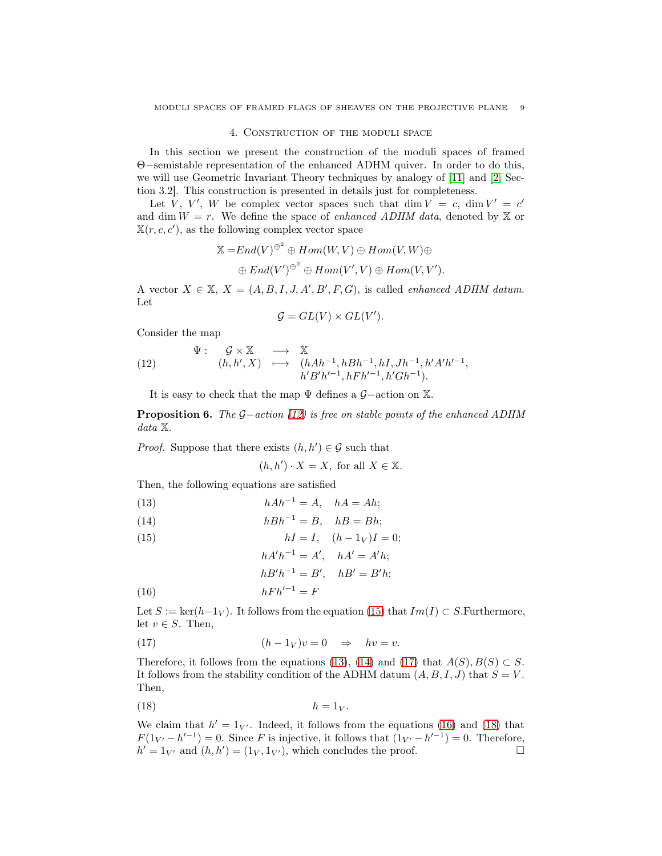## 4. Construction of the moduli space

<span id="page-8-0"></span>In this section we present the construction of the moduli spaces of framed Θ−semistable representation of the enhanced ADHM quiver. In order to do this, we will use Geometric Invariant Theory techniques by analogy of [\[11\]](#page-39-8) and [\[2,](#page-39-4) Section 3.2]. This construction is presented in details just for completeness.

Let V, V', W be complex vector spaces such that  $\dim V = c$ ,  $\dim V' = c'$ and dim  $W = r$ . We define the space of *enhanced ADHM data*, denoted by X or  $X(r, c, c')$ , as the following complex vector space

$$
\mathbb{X} = End(V)^{\oplus^2} \oplus Hom(W, V) \oplus Hom(V, W) \oplus
$$
  

$$
\oplus End(V')^{\oplus^2} \oplus Hom(V', V) \oplus Hom(V, V').
$$

A vector  $X \in \mathbb{X}, X = (A, B, I, J, A', B', F, G)$ , is called *enhanced ADHM datum*. Let

$$
\mathcal{G} = GL(V) \times GL(V').
$$

Consider the map

<span id="page-8-1"></span>(12) 
$$
\Psi: \quad \mathcal{G} \times \mathbb{X} \quad \longrightarrow \quad \mathbb{X}
$$

$$
(h, h', X) \quad \longmapsto \quad (hAh^{-1}, hBh^{-1}, hI, Jh^{-1}, h'A'h'^{-1}, h'B'h'^{-1}, h'B'h'^{-1}, hF'h'^{-1}, hF'h'^{-1}, h'Gh^{-1}).
$$

It is easy to check that the map  $\Psi$  defines a  $\mathcal{G}-\text{action}$  on  $\mathbb{X}$ .

<span id="page-8-8"></span>Proposition 6. The G–action [\(12\)](#page-8-1) is free on stable points of the enhanced ADHM data X.

*Proof.* Suppose that there exists  $(h, h') \in \mathcal{G}$  such that

$$
(h, h') \cdot X = X
$$
, for all  $X \in \mathbb{X}$ .

Then, the following equations are satisfied

<span id="page-8-3"></span>(13) 
$$
hAh^{-1} = A, \quad hA = Ah;
$$

<span id="page-8-4"></span>(14) 
$$
hBh^{-1} = B, \quad hB = Bh;
$$

<span id="page-8-2"></span>(15) 
$$
hI = I, (h - 1_V)I = 0;
$$

$$
hA'h^{-1} = A', \quad hA' = A'h;
$$

<span id="page-8-7"></span>
$$
hB'h^{-1} = B', \quad hB' = B'h;
$$

<span id="page-8-6"></span>
$$
(16)\qquad \qquad hFh'^{-1} = F
$$

Let  $S := \text{ker}(h-1_V)$ . It follows from the equation [\(15\)](#page-8-2) that  $Im(I) \subset S$ . Furthermore, let  $v \in S$ . Then,

<span id="page-8-5"></span>(17) 
$$
(h-1_V)v=0 \Rightarrow hv=v.
$$

Therefore, it follows from the equations [\(13\)](#page-8-3), [\(14\)](#page-8-4) and [\(17\)](#page-8-5) that  $A(S), B(S) \subset S$ . It follows from the stability condition of the ADHM datum  $(A, B, I, J)$  that  $S = V$ . Then,

$$
(18) \t\t\t h = 1_V.
$$

We claim that  $h' = 1_{V'}$ . Indeed, it follows from the equations [\(16\)](#page-8-6) and [\(18\)](#page-8-7) that  $F(1_{V'} - h'^{-1}) = 0$ . Since F is injective, it follows that  $(1_{V'} - h'^{-1}) = 0$ . Therefore,  $h' = 1_{V'}$  and  $(h, h') = (1_V, 1_{V'})$ , which concludes the proof.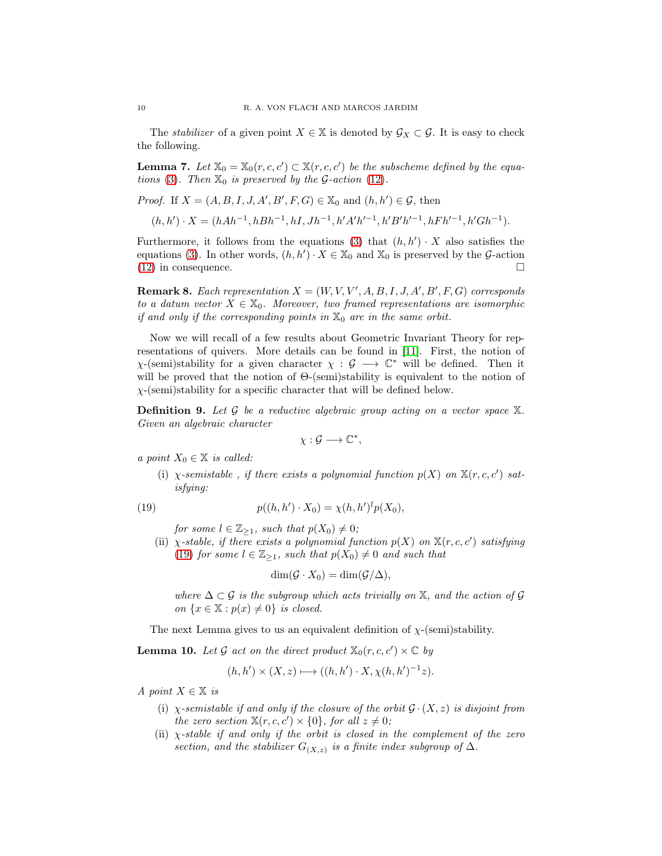The *stabilizer* of a given point  $X \in \mathbb{X}$  is denoted by  $\mathcal{G}_X \subset \mathcal{G}$ . It is easy to check the following.

<span id="page-9-1"></span>**Lemma 7.** Let  $\mathbb{X}_0 = \mathbb{X}_0(r, c, c') \subset \mathbb{X}(r, c, c')$  be the subscheme defined by the equa-tions [\(3\)](#page-3-1). Then  $\mathbb{X}_0$  is preserved by the G-action [\(12\)](#page-8-1).

*Proof.* If  $X = (A, B, I, J, A', B', F, G) \in \mathbb{X}_0$  and  $(h, h') \in \mathcal{G}$ , then

 $(h, h') \cdot X = (hAh^{-1}, hBh^{-1}, hI, Jh^{-1}, h'A'h'^{-1}, h'B'h'^{-1}, hFh'^{-1}, h'Gh^{-1}).$ 

Furthermore, it follows from the equations [\(3\)](#page-3-1) that  $(h, h') \cdot X$  also satisfies the equations [\(3\)](#page-3-1). In other words,  $(h, h') \cdot X \in \mathbb{X}_0$  and  $\mathbb{X}_0$  is preserved by the G-action [\(12\)](#page-8-1) in consequence.

**Remark 8.** Each representation  $X = (W, V, V', A, B, I, J, A', B', F, G)$  corresponds to a datum vector  $X \in \mathbb{X}_0$ . Moreover, two framed representations are isomorphic if and only if the corresponding points in  $\mathbb{X}_0$  are in the same orbit.

Now we will recall of a few results about Geometric Invariant Theory for representations of quivers. More details can be found in [\[11\]](#page-39-8). First, the notion of  $\chi$ -(semi)stability for a given character  $\chi : \mathcal{G} \longrightarrow \mathbb{C}^*$  will be defined. Then it will be proved that the notion of Θ-(semi)stability is equivalent to the notion of  $\chi$ -(semi)stability for a specific character that will be defined below.

**Definition 9.** Let  $\mathcal G$  be a reductive algebraic group acting on a vector space  $\mathbb X$ . Given an algebraic character

$$
\chi: \mathcal{G} \longrightarrow \mathbb{C}^*,
$$

a point  $X_0 \in \mathbb{X}$  is called:

(i)  $\chi$ -semistable, if there exists a polynomial function  $p(X)$  on  $\mathbb{X}(r,c,c')$  satisfying:

<span id="page-9-0"></span>(19) 
$$
p((h, h') \cdot X_0) = \chi(h, h')^l p(X_0),
$$

for some  $l \in \mathbb{Z}_{\geq 1}$ , such that  $p(X_0) \neq 0$ ;

(ii)  $\chi$ -stable, if there exists a polynomial function  $p(X)$  on  $\mathbb{X}(r,c,c')$  satisfying [\(19\)](#page-9-0) for some  $l \in \mathbb{Z}_{\geq 1}$ , such that  $p(X_0) \neq 0$  and such that

$$
\dim(\mathcal{G}\cdot X_0)=\dim(\mathcal{G}/\Delta),
$$

where  $\Delta \subset \mathcal{G}$  is the subgroup which acts trivially on  $\mathbb{X}$ , and the action of  $\mathcal{G}$ on  $\{x \in \mathbb{X} : p(x) \neq 0\}$  is closed.

The next Lemma gives to us an equivalent definition of  $\chi$ -(semi)stability.

**Lemma 10.** Let G act on the direct product  $\mathbb{X}_0(r, c, c') \times \mathbb{C}$  by

$$
(h, h') \times (X, z) \longmapsto ((h, h') \cdot X, \chi(h, h')^{-1} z).
$$

A point  $X \in \mathbb{X}$  is

- (i)  $\chi$ -semistable if and only if the closure of the orbit  $\mathcal{G} \cdot (X, z)$  is disjoint from the zero section  $\mathbb{X}(r, c, c') \times \{0\}$ , for all  $z \neq 0$ ;
- (ii)  $\chi$ -stable if and only if the orbit is closed in the complement of the zero section, and the stabilizer  $G_{(X,z)}$  is a finite index subgroup of  $\Delta$ .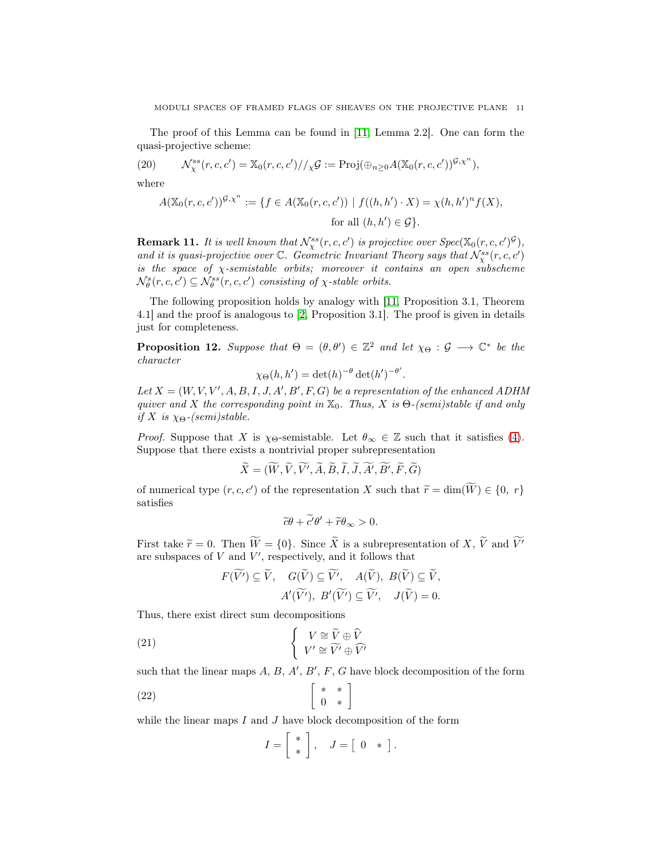The proof of this Lemma can be found in [\[11,](#page-39-8) Lemma 2.2]. One can form the quasi-projective scheme:

(20) 
$$
\mathcal{N}_{\chi}^{ss}(r,c,c') = \mathbb{X}_0(r,c,c')//_{\chi}\mathcal{G} := \text{Proj}(\oplus_{n\geq 0} A(\mathbb{X}_0(r,c,c'))^{\mathcal{G},\chi^n}),
$$

where

<span id="page-10-3"></span>
$$
A(\mathbb{X}_0(r,c,c'))^{\mathcal{G},\chi^n} := \{ f \in A(\mathbb{X}_0(r,c,c')) \mid f((h,h') \cdot X) = \chi(h,h')^n f(X),
$$
  
for all  $(h,h') \in \mathcal{G} \}.$ 

**Remark 11.** It is well known that  $\mathcal{N}^{ss}_{\chi}(r, c, c')$  is projective over  $Spec(\mathbb{X}_{0}(r, c, c')^{G}),$ and it is quasi-projective over  $\mathbb C$ . Geometric Invariant Theory says that  $\mathcal N_\chi^{ss}(r,c,c')$ is the space of  $\chi$ -semistable orbits; moreover it contains an open subscheme  $\mathcal{N}_{\theta}^{s}(r,c,c') \subseteq \mathcal{N}_{\theta}^{ss}(r,c,c')$  consisting of  $\chi$ -stable orbits.

The following proposition holds by analogy with [\[11,](#page-39-8) Proposition 3.1, Theorem 4.1] and the proof is analogous to [\[2,](#page-39-4) Proposition 3.1]. The proof is given in details just for completeness.

<span id="page-10-2"></span>**Proposition 12.** Suppose that  $\Theta = (\theta, \theta') \in \mathbb{Z}^2$  and let  $\chi_{\Theta} : \mathcal{G} \longrightarrow \mathbb{C}^*$  be the character

$$
\chi_{\Theta}(h, h') = \det(h)^{-\theta} \det(h')^{-\theta'}
$$

.

Let  $X = (W, V, V', A, B, I, J, A', B', F, G)$  be a representation of the enhanced ADHM quiver and X the corresponding point in  $\mathbb{X}_0$ . Thus, X is  $\Theta$ -(semi)stable if and only if X is  $\chi_{\Theta}$ -(semi)stable.

*Proof.* Suppose that X is  $\chi_{\Theta}$ -semistable. Let  $\theta_{\infty} \in \mathbb{Z}$  such that it satisfies [\(4\)](#page-4-0). Suppose that there exists a nontrivial proper subrepresentation

$$
\widetilde{X}=(\widetilde{W},\widetilde{V},\widetilde{V'},\widetilde{A},\widetilde{B},\widetilde{I},\widetilde{J},\widetilde{A'},\widetilde{B'},\widetilde{F},\widetilde{G})
$$

of numerical type  $(r, c, c')$  of the representation X such that  $\widetilde{r} = \dim(\widetilde{W}) \in \{0, r\}$ satisfies

$$
\widetilde{c}\theta + \widetilde{c'}\theta' + \widetilde{r}\theta_{\infty} > 0.
$$

First take  $\widetilde{r} = 0$ . Then  $\widetilde{W} = \{0\}$ . Since  $\widetilde{X}$  is a subrepresentation of X,  $\widetilde{V}$  and  $\widetilde{V'}$ are subspaces of  $V$  and  $V'$ , respectively, and it follows that

<span id="page-10-0"></span>
$$
F(\widetilde{V'}) \subseteq \widetilde{V}, \quad G(\widetilde{V}) \subseteq \widetilde{V'}, \quad A(\widetilde{V}), \ B(\widetilde{V}) \subseteq \widetilde{V}, A'(\widetilde{V'}), \ B'(\widetilde{V'}) \subseteq \widetilde{V'}, \quad J(\widetilde{V}) = 0.
$$

Thus, there exist direct sum decompositions

(21) 
$$
\begin{cases} V \cong \widetilde{V} \oplus \widehat{V} \\ V' \cong \widetilde{V'} \oplus \widehat{V'} \end{cases}
$$

such that the linear maps  $A, B, A', B', F, G$  have block decomposition of the form

$$
\begin{bmatrix} * & * \\ 0 & * \end{bmatrix}
$$

while the linear maps  $I$  and  $J$  have block decomposition of the form

<span id="page-10-1"></span>
$$
I = \left[ \begin{array}{c} * \\ * \end{array} \right], \quad J = \left[ \begin{array}{cc} 0 & * \end{array} \right].
$$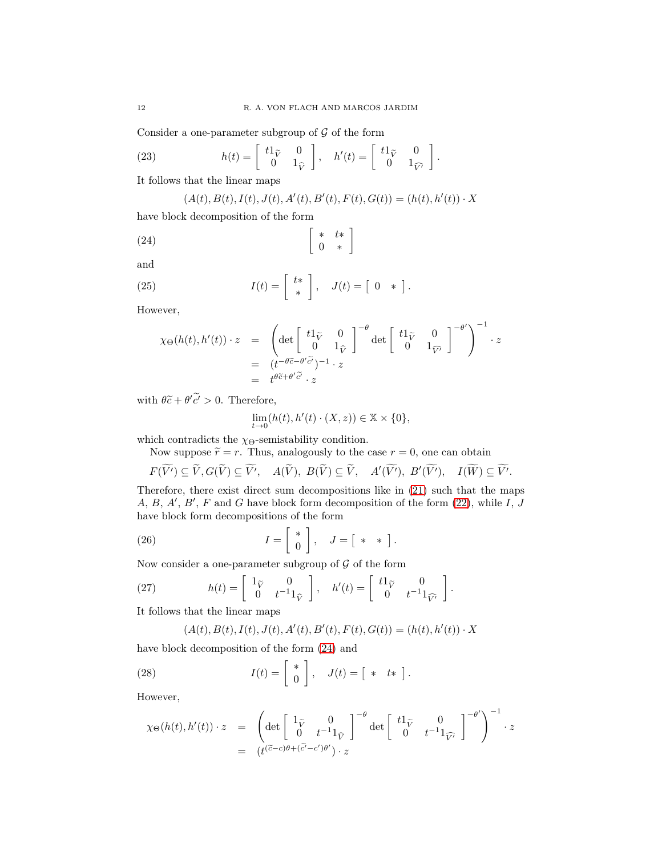Consider a one-parameter subgroup of  $G$  of the form

(23) 
$$
h(t) = \begin{bmatrix} t1_{\tilde{V}} & 0 \\ 0 & 1_{\hat{V}} \end{bmatrix}, \quad h'(t) = \begin{bmatrix} t1_{\tilde{V}} & 0 \\ 0 & 1_{\tilde{V}'} \end{bmatrix}.
$$

It follows that the linear maps

<span id="page-11-1"></span><span id="page-11-0"></span>
$$
(A(t), B(t), I(t), J(t), A'(t), B'(t), F(t), G(t)) = (h(t), h'(t)) \cdot X
$$

have block decomposition of the form

$$
\begin{bmatrix} * & t* \\ 0 & * \end{bmatrix}
$$

and

(25) 
$$
I(t) = \begin{bmatrix} t* \\ * \end{bmatrix}, \quad J(t) = \begin{bmatrix} 0 & * \end{bmatrix}.
$$

However,

<span id="page-11-2"></span>
$$
\chi_{\Theta}(h(t), h'(t)) \cdot z = \left( \det \begin{bmatrix} t1_{\tilde{V}} & 0 \\ 0 & 1_{\hat{V}} \end{bmatrix}^{-\theta} \det \begin{bmatrix} t1_{\tilde{V}} & 0 \\ 0 & 1_{\tilde{V}'} \end{bmatrix}^{-\theta'} \right)^{-1} \cdot z
$$
  
= 
$$
\left( t^{-\theta \tilde{c} - \theta' \tilde{c'}} \cdot z \right)
$$

with  $\theta \tilde{c} + \theta' c' > 0$ . Therefore,

$$
\lim_{t \to 0} (h(t), h'(t) \cdot (X, z)) \in \mathbb{X} \times \{0\},\
$$

which contradicts the  $\chi_{\Theta}\text{-semistability condition.}$ 

Now suppose  $\tilde{r} = r$ . Thus, analogously to the case  $r = 0$ , one can obtain

$$
F(\widetilde{V'})\subseteq \widetilde{V}, G(\widetilde{V})\subseteq \widetilde{V'}, \quad A(\widetilde{V}), \ B(\widetilde{V})\subseteq \widetilde{V}, \quad A'(\widetilde{V'}), \ B'(\widetilde{V'}), \quad I(\widetilde{W})\subseteq \widetilde{V'}.
$$

Therefore, there exist direct sum decompositions like in [\(21\)](#page-10-0) such that the maps  $A, B, A', B', F$  and G have block form decomposition of the form  $(22)$ , while I, J have block form decompositions of the form

(26) 
$$
I = \left[ \begin{array}{c} * \\ 0 \end{array} \right], \quad J = \left[ \begin{array}{c} * \\ * \end{array} \right].
$$

Now consider a one-parameter subgroup of  $G$  of the form

(27) 
$$
h(t) = \begin{bmatrix} 1_{\widetilde{V}} & 0 \\ 0 & t^{-1} 1_{\widehat{V}} \end{bmatrix}, \quad h'(t) = \begin{bmatrix} t1_{\widetilde{V}} & 0 \\ 0 & t^{-1} 1_{\widehat{V'}} \end{bmatrix}
$$

It follows that the linear maps

<span id="page-11-5"></span><span id="page-11-4"></span><span id="page-11-3"></span>
$$
(A(t), B(t), I(t), J(t), A'(t), B'(t), F(t), G(t)) = (h(t), h'(t)) \cdot X
$$

.

have block decomposition of the form [\(24\)](#page-11-0) and

(28) 
$$
I(t) = \begin{bmatrix} * \\ 0 \end{bmatrix}, \quad J(t) = \begin{bmatrix} * & t* \end{bmatrix}.
$$

However,

$$
\chi_{\Theta}(h(t),h'(t)) \cdot z = \left( \det \begin{bmatrix} 1_{\tilde{V}} & 0 \\ 0 & t^{-1} 1_{\tilde{V}} \end{bmatrix}^{-\theta} \det \begin{bmatrix} t1_{\tilde{V}} & 0 \\ 0 & t^{-1} 1_{\tilde{V}} \end{bmatrix}^{-\theta'} \right)^{-1} \cdot z
$$
  
=  $(t^{(\tilde{c}-c)\theta + (\tilde{c}'-c')\theta')} \cdot z$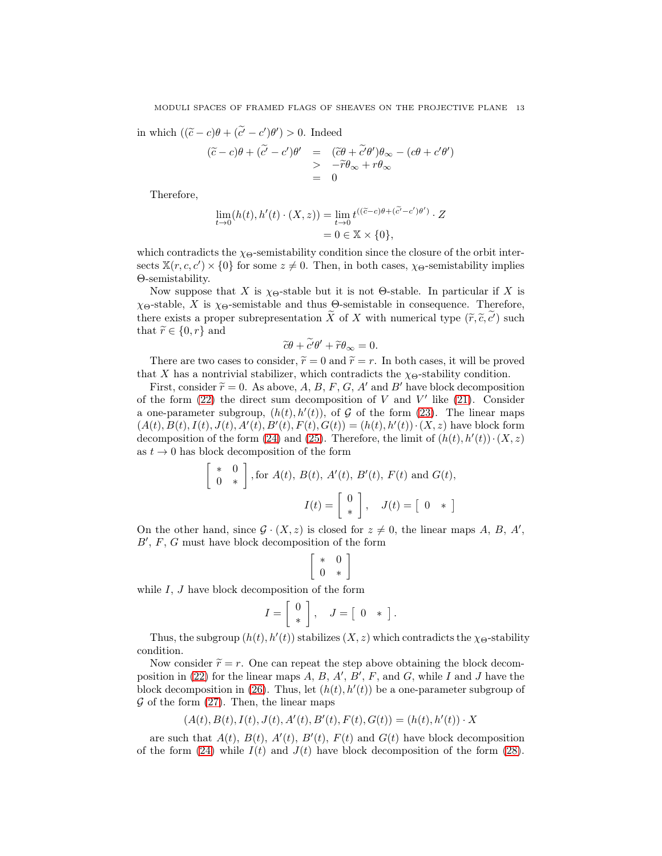in which  $((\tilde{c} - c)\theta + (\tilde{c}' - c')\theta') > 0$ . Indeed

$$
(\tilde{c} - c)\theta + (\tilde{c}' - c')\theta' = (\tilde{c}\theta + \tilde{c}'\theta')\theta_{\infty} - (c\theta + c'\theta')> -\tilde{r}\theta_{\infty} + r\theta_{\infty}= 0
$$

Therefore,

$$
\lim_{t \to 0} (h(t), h'(t) \cdot (X, z)) = \lim_{t \to 0} t^{((\tilde{c} - c)\theta + (\tilde{c}' - c')\theta')} \cdot Z
$$
  
= 0 \in \mathbb{X} \times \{0\},

which contradicts the  $\chi_{\Theta}$ -semistability condition since the closure of the orbit intersects  $\mathbb{X}(r, c, c') \times \{0\}$  for some  $z \neq 0$ . Then, in both cases,  $\chi_{\Theta}$ -semistability implies Θ-semistability.

Now suppose that X is  $\chi_{\Theta}$ -stable but it is not  $\Theta$ -stable. In particular if X is  $χ$ Θ-stable, X is  $χ$ Θ-semistable and thus Θ-semistable in consequence. Therefore, there exists a proper subrepresentation  $\tilde{X}$  of X with numerical type  $(\tilde{r}, \tilde{c}, c')$  such that  $\widetilde{r} \in \{0, r\}$  and

$$
\widetilde{c}\theta + \widetilde{c'}\theta' + \widetilde{r}\theta_{\infty} = 0.
$$

There are two cases to consider,  $\widetilde{r} = 0$  and  $\widetilde{r} = r$ . In both cases, it will be proved that X has a nontrivial stabilizer, which contradicts the  $\chi_{\Theta}$ -stability condition.

First, consider  $\tilde{r} = 0$ . As above, A, B, F, G, A' and B' have block decomposition of the form  $(22)$  the direct sum decomposition of V and V' like  $(21)$ . Consider a one-parameter subgroup,  $(h(t), h'(t))$ , of G of the form [\(23\)](#page-11-1). The linear maps  $(A(t), B(t), I(t), J(t), A'(t), B'(t), F(t), G(t)) = (h(t), h'(t)) \cdot (X, z)$  have block form decomposition of the form [\(24\)](#page-11-0) and [\(25\)](#page-11-2). Therefore, the limit of  $(h(t), h'(t)) \cdot (X, z)$ as  $t \to 0$  has block decomposition of the form

$$
\begin{bmatrix} * & 0 \\ 0 & * \end{bmatrix}
$$
, for  $A(t)$ ,  $B(t)$ ,  $A'(t)$ ,  $B'(t)$ ,  $F(t)$  and  $G(t)$ ,  

$$
I(t) = \begin{bmatrix} 0 \\ * \end{bmatrix}
$$
,  $J(t) = \begin{bmatrix} 0 & * \end{bmatrix}$ 

On the other hand, since  $\mathcal{G} \cdot (X, z)$  is closed for  $z \neq 0$ , the linear maps A, B, A', B′ , F, G must have block decomposition of the form

$$
\left[\begin{array}{cc} * & 0 \\ 0 & * \end{array}\right]
$$

while I, J have block decomposition of the form

$$
I = \left[ \begin{array}{c} 0 \\ * \end{array} \right], \quad J = \left[ \begin{array}{cc} 0 & * \end{array} \right].
$$

Thus, the subgroup  $(h(t), h'(t))$  stabilizes  $(X, z)$  which contradicts the  $\chi_{\Theta}$ -stability condition.

Now consider  $\tilde{r} = r$ . One can repeat the step above obtaining the block decom-position in [\(22\)](#page-10-1) for the linear maps  $A, B, A', B', F$ , and  $G$ , while I and J have the block decomposition in [\(26\)](#page-11-3). Thus, let  $(h(t), h'(t))$  be a one-parameter subgroup of  $\mathcal G$  of the form [\(27\)](#page-11-4). Then, the linear maps

 $(A(t), B(t), I(t), J(t), A'(t), B'(t), F(t), G(t)) = (h(t), h'(t)) \cdot X$ 

are such that  $A(t)$ ,  $B(t)$ ,  $A'(t)$ ,  $B'(t)$ ,  $F(t)$  and  $G(t)$  have block decomposition of the form [\(24\)](#page-11-0) while  $I(t)$  and  $J(t)$  have block decomposition of the form [\(28\)](#page-11-5).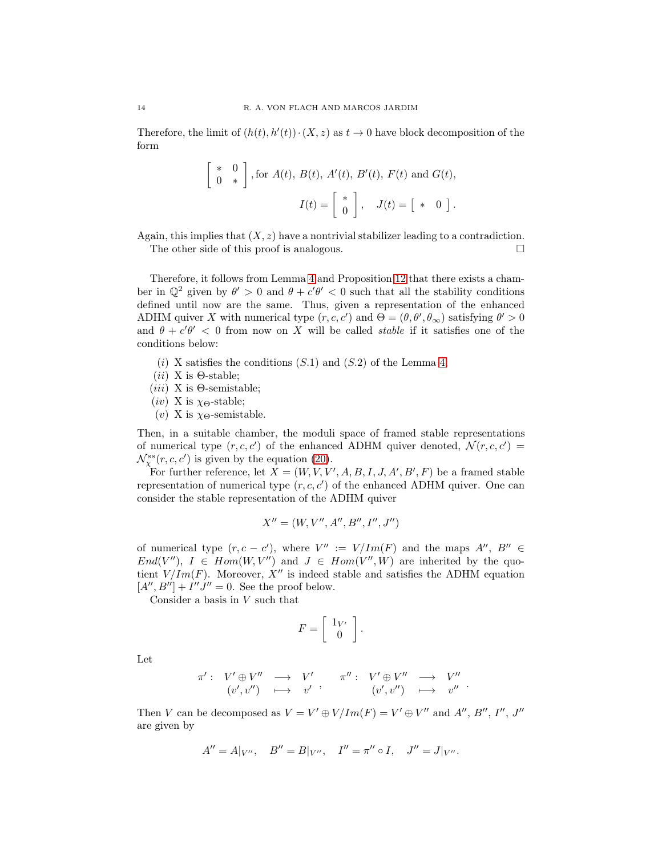Therefore, the limit of  $(h(t), h'(t)) \cdot (X, z)$  as  $t \to 0$  have block decomposition of the form

$$
\begin{bmatrix} * & 0 \\ 0 & * \end{bmatrix}
$$
, for  $A(t)$ ,  $B(t)$ ,  $A'(t)$ ,  $B'(t)$ ,  $F(t)$  and  $G(t)$ ,  

$$
I(t) = \begin{bmatrix} * \\ 0 \end{bmatrix}
$$
,  $J(t) = \begin{bmatrix} * & 0 \end{bmatrix}$ .

Again, this implies that  $(X, z)$  have a nontrivial stabilizer leading to a contradiction. The other side of this proof is analogous.  $\Box$ 

Therefore, it follows from Lemma [4](#page-5-0) and Proposition [12](#page-10-2) that there exists a chamber in  $\mathbb{Q}^2$  given by  $\theta' > 0$  and  $\theta + c'\theta' < 0$  such that all the stability conditions defined until now are the same. Thus, given a representation of the enhanced ADHM quiver X with numerical type  $(r, c, c')$  and  $\Theta = (\theta, \theta', \theta_{\infty})$  satisfying  $\theta' > 0$ and  $\theta + c'\theta'$  < 0 from now on X will be called *stable* if it satisfies one of the conditions below:

- (i) X satisfies the conditions  $(S.1)$  and  $(S.2)$  of the Lemma [4;](#page-5-0)
- (*ii*) X is  $\Theta$ -stable;
- (*iii*) X is  $\Theta$ -semistable;
- (*iv*) X is  $\chi_{\Theta}$ -stable;
- (*v*) X is  $\chi_{\Theta}$ -semistable.

Then, in a suitable chamber, the moduli space of framed stable representations of numerical type  $(r, c, c')$  of the enhanced ADHM quiver denoted,  $\mathcal{N}(r, c, c') =$  $\mathcal{N}^{ss}_{\chi}(r,c,c')$  is given by the equation [\(20\)](#page-10-3).

For further reference, let  $X = (W, V, V', A, B, I, J, A', B', F)$  be a framed stable representation of numerical type  $(r, c, c')$  of the enhanced ADHM quiver. One can consider the stable representation of the ADHM quiver

$$
X'' = (W, V'', A'', B'', I'', J'')
$$

of numerical type  $(r, c - c')$ , where  $V'' := V/Im(F)$  and the maps  $A''$ ,  $B'' \in$  $End(V'')$ ,  $I \in Hom(W, V'')$  and  $J \in Hom(V'', W)$  are inherited by the quotient  $V/Im(F)$ . Moreover, X'' is indeed stable and satisfies the ADHM equation  $[A'', B''] + I''J'' = 0$ . See the proof below.

Consider a basis in V such that

$$
F = \left[ \begin{array}{c} 1_{V'} \\ 0 \end{array} \right].
$$

Let

$$
\begin{array}{ccccccccc} \pi' : & V' \oplus V'' & \longrightarrow & V' & , & \pi'' : & V' \oplus V'' & \longrightarrow & V'' \\ & & (v',v'') & \longmapsto & v' & , & & (v',v'') & \longmapsto & v'' \end{array}.
$$

Then V can be decomposed as  $V = V' \oplus V/Im(F) = V' \oplus V''$  and  $A''$ ,  $B''$ ,  $I''$ ,  $J''$ are given by

$$
A'' = A|_{V''}
$$
,  $B'' = B|_{V''}$ ,  $I'' = \pi'' \circ I$ ,  $J'' = J|_{V''}$ .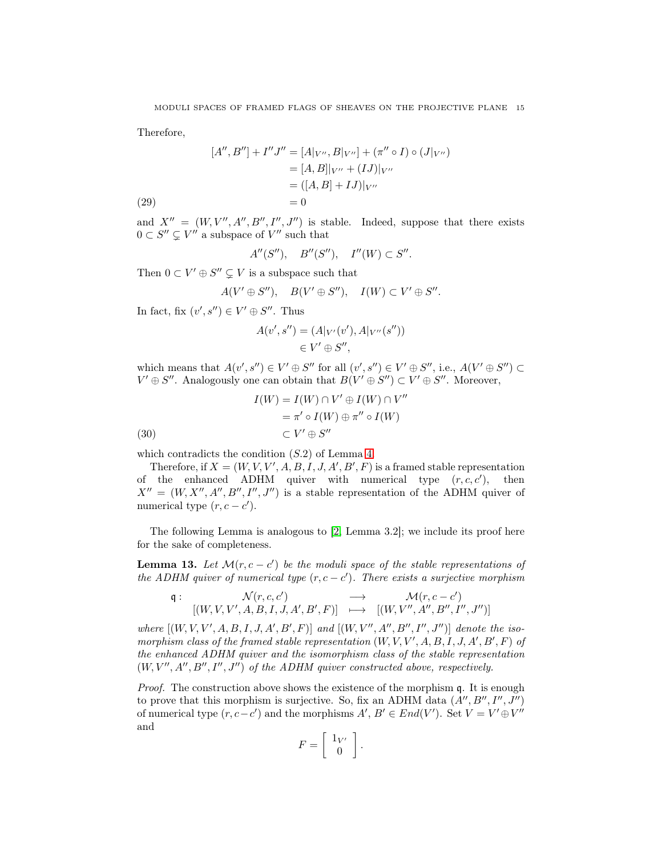Therefore,

(29)  
\n
$$
[A'', B''] + I''J'' = [A|_{V''}, B|_{V''}] + (\pi'' \circ I) \circ (J|_{V''})
$$
\n
$$
= [A, B]|_{V''} + (IJ)|_{V''}
$$
\n
$$
= ([A, B] + IJ)|_{V''}
$$
\n
$$
= 0
$$

and  $X'' = (W, V'', A'', B'', I'', J'')$  is stable. Indeed, suppose that there exists  $0 \subset S'' \subsetneq V''$  a subspace of  $V''$  such that

$$
A''(S''), \quad B''(S''), \quad I''(W) \subset S''.
$$

Then  $0 \subset V' \oplus S'' \subsetneq V$  is a subspace such that

$$
A(V' \oplus S'')
$$
,  $B(V' \oplus S'')$ ,  $I(W) \subset V' \oplus S''$ .

In fact, fix  $(v', s'') \in V' \oplus S''$ . Thus

$$
A(v', s'') = (A|_{V'}(v'), A|_{V''}(s''))
$$
  

$$
\in V' \oplus S'',
$$

which means that  $A(v', s'') \in V' \oplus S''$  for all  $(v', s'') \in V' \oplus S''$ , i.e.,  $A(V' \oplus S'') \subset$  $V' \oplus S''$ . Analogously one can obtain that  $B(V' \oplus S'') \subset V' \oplus S''$ . Moreover,

(30) 
$$
I(W) = I(W) \cap V' \oplus I(W) \cap V''
$$

$$
= \pi' \circ I(W) \oplus \pi'' \circ I(W)
$$

$$
\subset V' \oplus S''
$$

which contradicts the condition (S.2) of Lemma [4.](#page-5-0)

Therefore, if  $X = (W, V, V', A, B, I, J, A', B', F)$  is a framed stable representation of the enhanced ADHM quiver with numerical type  $(r, c, c')$ , then  $X'' = (W, X'', A'', B'', I'', J'')$  is a stable representation of the ADHM quiver of numerical type  $(r, c - c')$ .

The following Lemma is analogous to [\[2,](#page-39-4) Lemma 3.2]; we include its proof here for the sake of completeness.

<span id="page-14-0"></span>**Lemma 13.** Let  $\mathcal{M}(r, c - c')$  be the moduli space of the stable representations of the ADHM quiver of numerical type  $(r, c - c')$ . There exists a surjective morphism

$$
\mathfrak{q}: \begin{array}{ccc} \mathcal{N}(r,c,c') & \longrightarrow & \mathcal{M}(r,c-c') \\ \left[ (W,V,V',A,B,I,J,A',B',F) \right] & \longmapsto & \left[ (W,V'',A'',B'',I'',J'') \right] \end{array}
$$

where  $[(W, V, V', A, B, I, J, A', B', F)]$  and  $[(W, V'', A'', B'', I'', J'')]$  denote the isomorphism class of the framed stable representation  $(W, V, V', A, B, I, J, A', B', F)$  of the enhanced ADHM quiver and the isomorphism class of the stable representation  $(W, V'', A'', B'', I'', J'')$  of the ADHM quiver constructed above, respectively.

Proof. The construction above shows the existence of the morphism q. It is enough to prove that this morphism is surjective. So, fix an ADHM data  $(A'', B'', I'', J'')$ of numerical type  $(r, c-c')$  and the morphisms  $A', B' \in End(V')$ . Set  $V = V' \oplus V''$ and

$$
F = \left[ \begin{array}{c} 1_{V'} \\ 0 \end{array} \right].
$$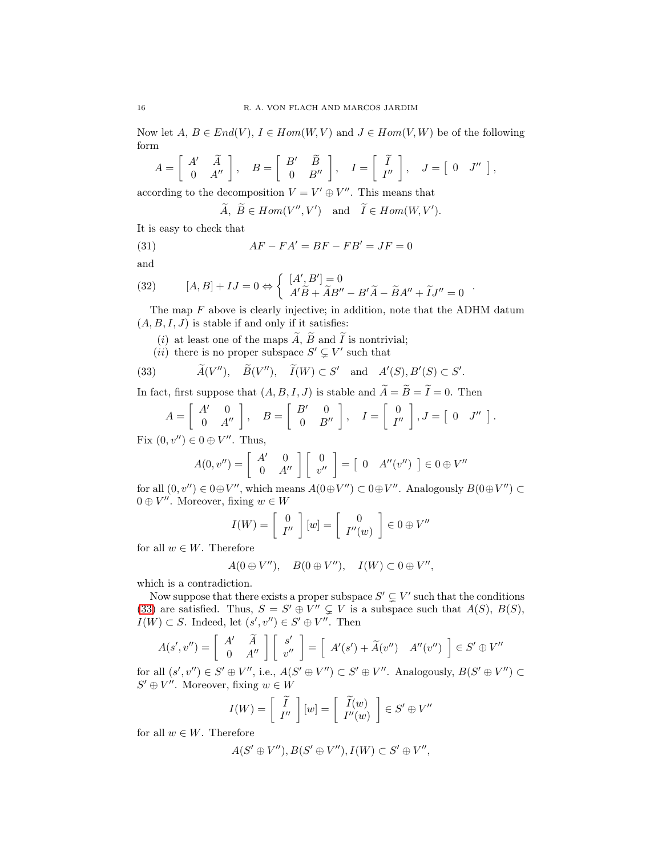Now let  $A, B \in End(V), I \in Hom(W, V)$  and  $J \in Hom(V, W)$  be of the following form

$$
A = \begin{bmatrix} A' & \widetilde{A} \\ 0 & A'' \end{bmatrix}, \quad B = \begin{bmatrix} B' & \widetilde{B} \\ 0 & B'' \end{bmatrix}, \quad I = \begin{bmatrix} \widetilde{I} \\ I'' \end{bmatrix}, \quad J = \begin{bmatrix} 0 & J'' \end{bmatrix},
$$

according to the decomposition  $V = V' \oplus V''$ . This means that

$$
\widetilde{A}, \ \widetilde{B} \in Hom(V'', V') \quad \text{and} \quad \widetilde{I} \in Hom(W, V').
$$

It is easy to check that

(31)  $AF - FA' = BF - FB' = JF = 0$ 

and

<span id="page-15-1"></span>(32) 
$$
[A, B] + IJ = 0 \Leftrightarrow \begin{cases} [A', B'] = 0\\ A'\tilde{B} + \tilde{A}B'' - B'\tilde{A} - \tilde{B}A'' + \tilde{I}J'' = 0 \end{cases}.
$$

The map  $F$  above is clearly injective; in addition, note that the ADHM datum  $(A, B, I, J)$  is stable if and only if it satisfies:

- (i) at least one of the maps  $\widetilde{A}$ ,  $\widetilde{B}$  and  $\widetilde{I}$  is nontrivial;
- (*ii*) there is no proper subspace  $S' \subsetneq V'$  such that

<span id="page-15-0"></span>(33) 
$$
\widetilde{A}(V'')
$$
,  $\widetilde{B}(V'')$ ,  $\widetilde{I}(W) \subset S'$  and  $A'(S), B'(S) \subset S'$ .

In fact, first suppose that  $(A, B, I, J)$  is stable and  $\widetilde{A} = \widetilde{B} = \widetilde{I} = 0$ . Then

$$
A = \begin{bmatrix} A' & 0 \\ 0 & A'' \end{bmatrix}, \quad B = \begin{bmatrix} B' & 0 \\ 0 & B'' \end{bmatrix}, \quad I = \begin{bmatrix} 0 \\ I'' \end{bmatrix}, J = \begin{bmatrix} 0 & J'' \end{bmatrix}
$$

.

Fix  $(0, v'') \in 0 \oplus V''$ . Thus,

$$
A(0, v'') = \begin{bmatrix} A' & 0 \\ 0 & A'' \end{bmatrix} \begin{bmatrix} 0 \\ v'' \end{bmatrix} = \begin{bmatrix} 0 & A''(v'') \end{bmatrix} \in 0 \oplus V''
$$

for all  $(0, v'') \in 0 \oplus V''$ , which means  $A(0 \oplus V'') \subset 0 \oplus V''$ . Analogously  $B(0 \oplus V'') \subset$  $0 \oplus V''$ . Moreover, fixing  $w \in W$ 

$$
I(W) = \begin{bmatrix} 0 \\ I'' \end{bmatrix} [w] = \begin{bmatrix} 0 \\ I''(w) \end{bmatrix} \in 0 \oplus V''
$$

for all  $w \in W$ . Therefore

$$
A(0 \oplus V''), \quad B(0 \oplus V''), \quad I(W) \subset 0 \oplus V'',
$$

which is a contradiction.

Now suppose that there exists a proper subspace  $S' \subsetneq V'$  such that the conditions [\(33\)](#page-15-0) are satisfied. Thus,  $S = S' \oplus V'' \subsetneq V$  is a subspace such that  $A(S)$ ,  $B(S)$ ,  $I(W) \subset S$ . Indeed, let  $(s', v'') \in S' \oplus V''$ . Then

$$
A(s',v'') = \begin{bmatrix} A' & \widetilde{A} \\ 0 & A'' \end{bmatrix} \begin{bmatrix} s' \\ v'' \end{bmatrix} = \begin{bmatrix} A'(s') + \widetilde{A}(v'') & A''(v'') \end{bmatrix} \in S' \oplus V''
$$

for all  $(s', v'') \in S' \oplus V''$ , i.e.,  $A(S' \oplus V'') \subset S' \oplus V''$ . Analogously,  $B(S' \oplus V'') \subset$  $S' \oplus V''$ . Moreover, fixing  $w \in W$ 

$$
I(W) = \left[ \begin{array}{c} \widetilde{I} \\ I'' \end{array} \right] [w] = \left[ \begin{array}{c} \widetilde{I}(w) \\ I''(w) \end{array} \right] \in S' \oplus V''
$$

for all  $w \in W$ . Therefore

$$
A(S' \oplus V''), B(S' \oplus V''), I(W) \subset S' \oplus V'',
$$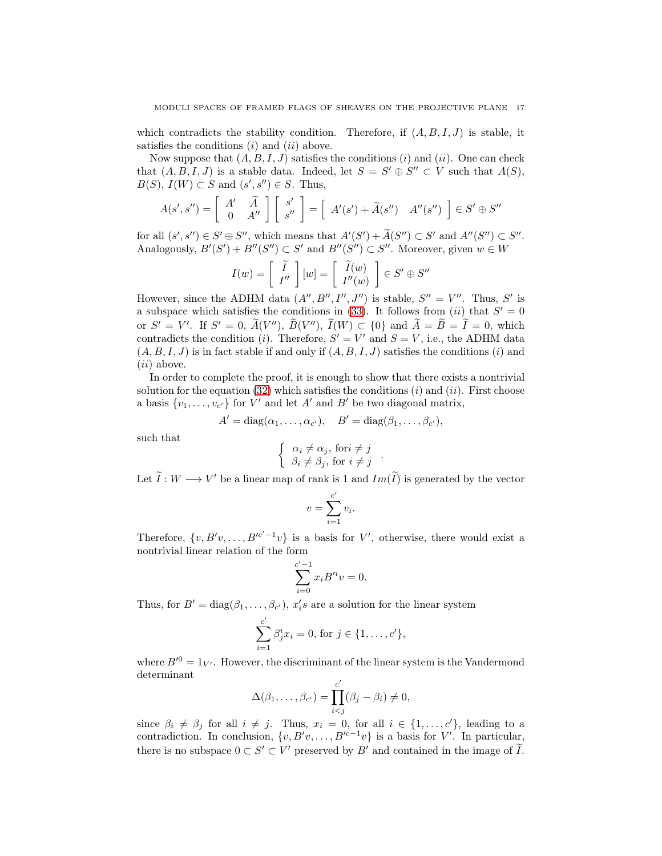which contradicts the stability condition. Therefore, if  $(A, B, I, J)$  is stable, it satisfies the conditions  $(i)$  and  $(ii)$  above.

Now suppose that  $(A, B, I, J)$  satisfies the conditions  $(i)$  and  $(ii)$ . One can check that  $(A, B, I, J)$  is a stable data. Indeed, let  $S = S' \oplus S'' \subset V$  such that  $A(S)$ ,  $B(S)$ ,  $I(W) \subset S$  and  $(s', s'') \in S$ . Thus,

$$
A(s',s'') = \begin{bmatrix} A' & \widetilde{A} \\ 0 & A'' \end{bmatrix} \begin{bmatrix} s' \\ s'' \end{bmatrix} = \begin{bmatrix} A'(s') + \widetilde{A}(s'') & A''(s'') \end{bmatrix} \in S' \oplus S''
$$

for all  $(s', s'') \in S' \oplus S''$ , which means that  $A'(S') + \tilde{A}(S'') \subset S'$  and  $A''(S'') \subset S''$ . Analogously,  $B'(S') + B''(S'') \subset S'$  and  $B''(S'') \subset S''$ . Moreover, given  $w \in W$ 

$$
I(w) = \left[ \begin{array}{c} \widetilde{I} \\ I'' \end{array} \right] [w] = \left[ \begin{array}{c} \widetilde{I}(w) \\ I''(w) \end{array} \right] \in S' \oplus S''
$$

However, since the ADHM data  $(A'', B'', I'', J'')$  is stable,  $S'' = V''$ . Thus, S' is a subspace which satisfies the conditions in [\(33\)](#page-15-0). It follows from (ii) that  $S' = 0$ or  $S' = V'$ . If  $S' = 0$ ,  $A(V'')$ ,  $B(V'')$ ,  $I(W) \subset \{0\}$  and  $A = B = I = 0$ , which contradicts the condition (*i*). Therefore,  $S' = V'$  and  $S = V$ , i.e., the ADHM data  $(A, B, I, J)$  is in fact stable if and only if  $(A, B, I, J)$  satisfies the conditions  $(i)$  and  $(ii)$  above.

In order to complete the proof, it is enough to show that there exists a nontrivial solution for the equation [\(32\)](#page-15-1) which satisfies the conditions  $(i)$  and  $(ii)$ . First choose a basis  $\{v_1, \ldots, v_{c'}\}$  for  $V'$  and let  $A'$  and  $B'$  be two diagonal matrix,

$$
A' = \text{diag}(\alpha_1, \dots, \alpha_{c'}), \quad B' = \text{diag}(\beta_1, \dots, \beta_{c'}),
$$

such that

$$
\begin{cases} \alpha_i \neq \alpha_j, \text{ for } i \neq j \\ \beta_i \neq \beta_j, \text{ for } i \neq j \end{cases}
$$

.

Let  $\tilde{I}: W \longrightarrow V'$  be a linear map of rank is 1 and  $Im(\tilde{I})$  is generated by the vector

$$
v = \sum_{i=1}^{c'} v_i.
$$

Therefore,  $\{v, B'v, \ldots, B'^{c'-1}v\}$  is a basis for  $V'$ , otherwise, there would exist a nontrivial linear relation of the form

$$
\sum_{i=0}^{c'-1} x_i B'^i v = 0.
$$

Thus, for  $B' = \text{diag}(\beta_1, \dots, \beta_{c'})$ ,  $x_i's$  are a solution for the linear system

$$
\sum_{i=1}^{c'} \beta_j^i x_i = 0, \text{ for } j \in \{1, \dots, c'\},
$$

where  $B^{0} = 1_{V'}$ . However, the discriminant of the linear system is the Vandermond determinant

$$
\Delta(\beta_1,\ldots,\beta_{c'})=\prod_{i
$$

since  $\beta_i \neq \beta_j$  for all  $i \neq j$ . Thus,  $x_i = 0$ , for all  $i \in \{1, ..., c'\}$ , leading to a contradiction. In conclusion,  $\{v, B'v, \ldots, B'^{c-1}v\}$  is a basis for V'. In particular, there is no subspace  $0 \subset S' \subset V'$  preserved by  $B'$  and contained in the image of  $\tilde{I}$ .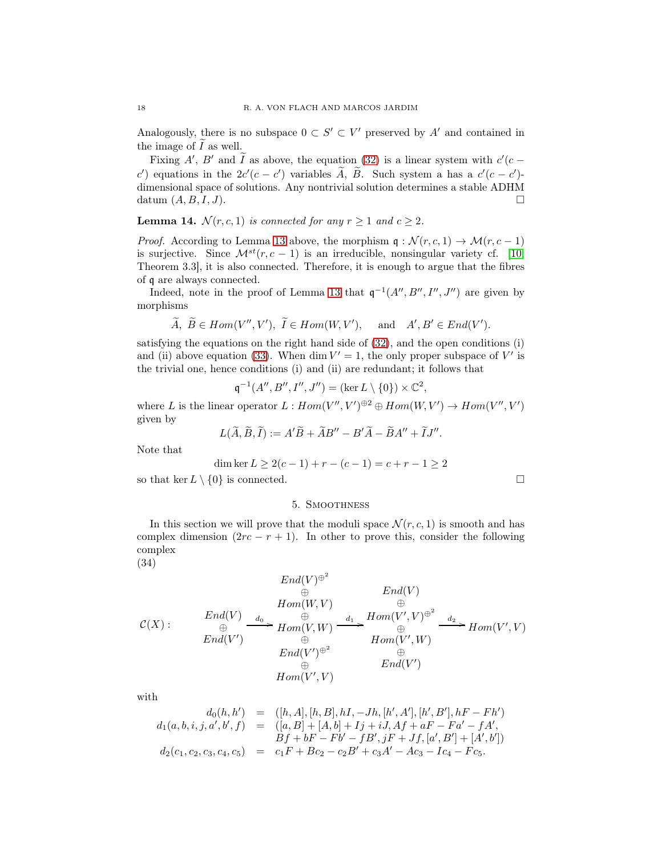Analogously, there is no subspace  $0 \subset S' \subset V'$  preserved by A' and contained in the image of  $\overline{I}$  as well.

Fixing A', B' and  $\tilde{I}$  as above, the equation [\(32\)](#page-15-1) is a linear system with  $c'(c$ c') equations in the  $2c'(c - c')$  variables A, B. Such system a has a  $c'(c - c')$ dimensional space of solutions. Any nontrivial solution determines a stable ADHM datum  $(A, B, I, J)$ .

<span id="page-17-2"></span>**Lemma 14.**  $\mathcal{N}(r, c, 1)$  is connected for any  $r \geq 1$  and  $c \geq 2$ .

*Proof.* According to Lemma [13](#page-14-0) above, the morphism  $\mathfrak{q}: \mathcal{N}(r,c,1) \to \mathcal{M}(r,c-1)$ is surjective. Since  $\mathcal{M}^{st}(r, c - 1)$  is an irreducible, nonsingular variety cf. [\[10,](#page-39-9) Theorem 3.3], it is also connected. Therefore, it is enough to argue that the fibres of q are always connected.

Indeed, note in the proof of Lemma [13](#page-14-0) that  $\mathfrak{q}^{-1}(A'',B'',I'',J'')$  are given by morphisms

$$
\widetilde{A}, \ \widetilde{B} \in Hom(V'', V'), \ \widetilde{I} \in Hom(W, V'), \quad \text{and} \quad A', B' \in End(V').
$$

satisfying the equations on the right hand side of [\(32\)](#page-15-1), and the open conditions (i) and (ii) above equation [\(33\)](#page-15-0). When dim  $V' = 1$ , the only proper subspace of V' is the trivial one, hence conditions (i) and (ii) are redundant; it follows that

$$
\mathfrak{q}^{-1}(A'',B'',I'',J'') = (\ker L \setminus \{0\}) \times \mathbb{C}^2,
$$

where L is the linear operator  $L: Hom(V'', V')^{\oplus 2} \oplus Hom(W, V') \to Hom(V'', V')$ given by

$$
L(\widetilde{A}, \widetilde{B}, \widetilde{I}) := A'\widetilde{B} + \widetilde{A}B'' - B'\widetilde{A} - \widetilde{B}A'' + \widetilde{I}J''.
$$

Note that

dim ker 
$$
L \ge 2(c-1) + r - (c-1) = c + r - 1 \ge 2
$$

<span id="page-17-0"></span>so that ker  $L \setminus \{0\}$  is connected.

# 5. Smoothness

In this section we will prove that the moduli space  $\mathcal{N}(r, c, 1)$  is smooth and has complex dimension  $(2rc - r + 1)$ . In other to prove this, consider the following complex

(34)

<span id="page-17-1"></span>
$$
\mathcal{C}(X): \begin{array}{c} End(V)^{\oplus^{2}} \\ \oplus \\ End(V) \\ \oplus \\ End(V') \end{array} \xrightarrow{End(V) \longrightarrow Hom(W, V) \longrightarrow Hom(V', V)^{\oplus^{2}} \\ \oplus \\ End(V') \oplus \\ End(V')^{\oplus^{2}} \end{array} \xrightarrow{End(V', V) \longrightarrow Hom(V', V) \longrightarrow Hom(V', V) \longrightarrow Hom(V', V) \longrightarrow Hom(V', V) \longrightarrow Hom(V', V)
$$

with

$$
d_0(h, h') = ([h, A], [h, B], hI, -Jh, [h', A'], [h', B'], hF - Fh']
$$
  
\n
$$
d_1(a, b, i, j, a', b', f) = ([a, B] + [A, b] + Ij + iJ, Af + aF - Fa' - fA',\nBf + bF - Fb' - fB', jF + Jf, [a', B'] + [A', b'])
$$
  
\n
$$
d_2(c_1, c_2, c_3, c_4, c_5) = c_1F + Bc_2 - c_2B' + c_3A' - Ac_3 - Ic_4 - Fc_5.
$$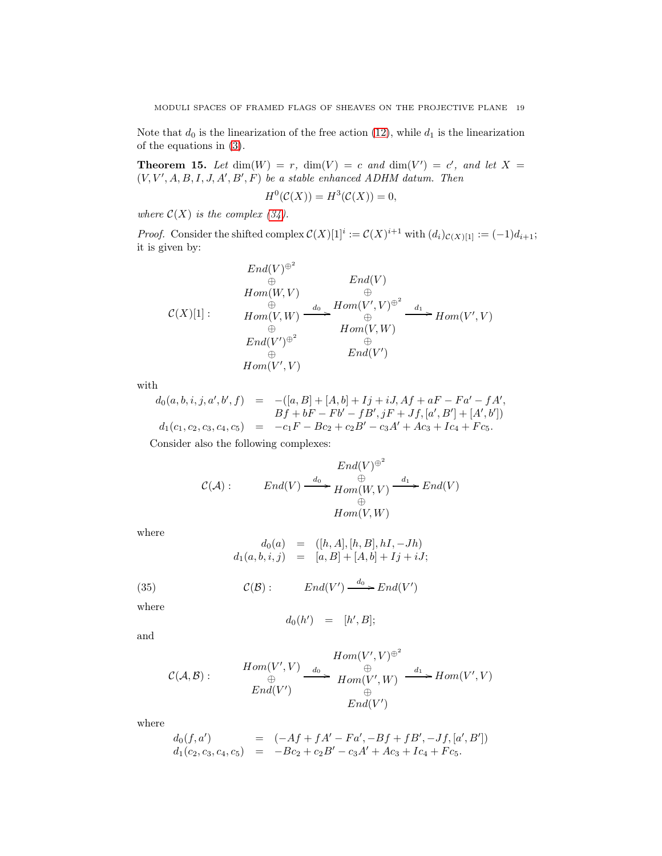Note that  $d_0$  is the linearization of the free action [\(12\)](#page-8-1), while  $d_1$  is the linearization of the equations in [\(3\)](#page-7-0).

<span id="page-18-0"></span>**Theorem 15.** Let  $\dim(W) = r$ ,  $\dim(V) = c$  and  $\dim(V') = c'$ , and let  $X =$  $(V, V', A, B, I, J, A', B', F)$  be a stable enhanced ADHM datum. Then

$$
H^0(\mathcal{C}(X)) = H^3(\mathcal{C}(X)) = 0,
$$

where  $C(X)$  is the complex  $(34)$ .

*Proof.* Consider the shifted complex  $\mathcal{C}(X)[1]^i := \mathcal{C}(X)^{i+1}$  with  $(d_i)_{\mathcal{C}(X)[1]} := (-1)d_{i+1}$ ; it is given by:

$$
\begin{array}{ccc}\nEnd(V)^{\oplus^{2}} & End(V) \\
\oplus & End(V) & \oplus \\
Hom(W, V) & \oplus & \oplus \\
Hom(V, W) & \oplus & Hom(V', V)^{\oplus^{2}} \\
\oplus & Hom(V, W) & \oplus \\
End(V')^{\oplus^{2}} & \oplus & End(V') \\
Hom(V', V) & \oplus & End(V') \\
Hom(V', V) & \oplus & \oplus \\
Hom(V', V) & \oplus & \oplus\n\end{array}
$$

with

$$
d_0(a, b, i, j, a', b', f) = -( [a, B] + [A, b] + Ij + iJ, Af + aF - Fa' - fA',Bf + bF - Fb' - fB', jF + Jf, [a', B'] + [A', b'])d_1(c_1, c_2, c_3, c_4, c_5) = -c_1F - Bc_2 + c_2B' - c_3A' + Ac_3 + Ic_4 + Fc_5.
$$

Consider also the following complexes:

$$
\mathcal{C}(\mathcal{A}): \qquad End(V) \xrightarrow{d_0} \qquad Hom(W, V) \xrightarrow{d_1} End(V)
$$
  
\n
$$
\xrightarrow{\oplus} Hom(V, W) \xrightarrow{d_1} End(V)
$$
  
\n
$$
Hom(V, W)
$$

where

<span id="page-18-1"></span>
$$
d_0(a) = ([h, A], [h, B], hI, -Jh)
$$
  

$$
d_1(a, b, i, j) = [a, B] + [A, b] + Ij + iJ;
$$

(35) 
$$
\mathcal{C}(\mathcal{B}): \qquad End(V') \xrightarrow{d_0} End(V')
$$

where

$$
d_0(h') = [h', B];
$$

and

$$
\mathcal{C}(\mathcal{A}, \mathcal{B}): \begin{array}{c} Hom(V', V)^{\oplus^2} \\ \oplus \\ End(V') \end{array} \longrightarrow \begin{array}{c} Hom(V', V)^{\oplus^2} \\ \oplus \\ Hom(V', W) \end{array} \longrightarrow \begin{array}{c} Hom(V', V) \\ \oplus \\ End(V') \end{array}
$$

where

$$
d_0(f, a') = (-Af + fA' - Fa', -Bf + fB', -Jf, [a', B'])
$$
  
\n
$$
d_1(c_2, c_3, c_4, c_5) = -Bc_2 + c_2B' - c_3A' + Ac_3 + Ic_4 + Fc_5.
$$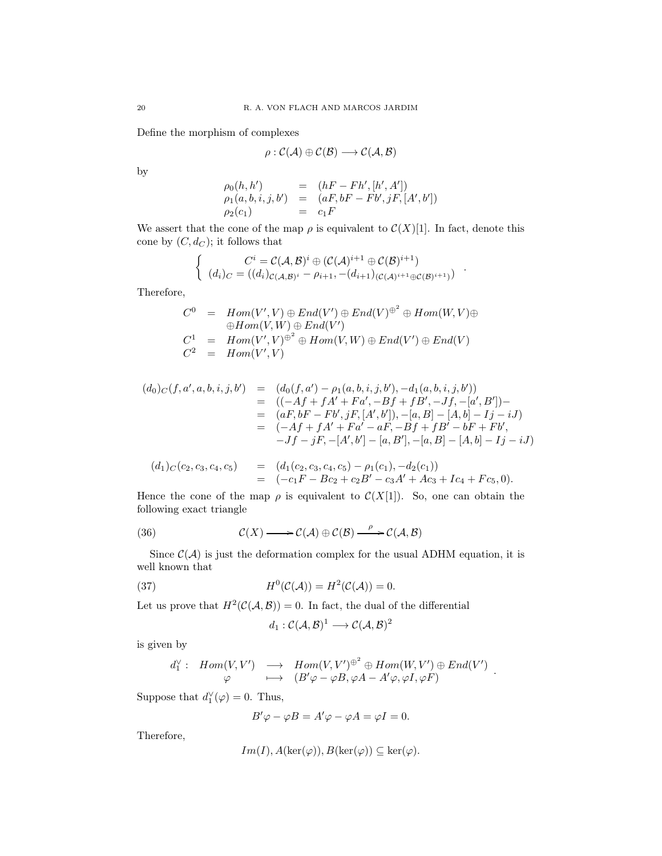Define the morphism of complexes

$$
\rho: \mathcal{C}(\mathcal{A}) \oplus \mathcal{C}(\mathcal{B}) \longrightarrow \mathcal{C}(\mathcal{A}, \mathcal{B})
$$

by

$$
\rho_0(h, h') = (hF - Fh', [h', A']) \n\rho_1(a, b, i, j, b') = (aF, bF - Fb', jF, [A', b']) \n\rho_2(c_1) = c_1F
$$

We assert that the cone of the map  $\rho$  is equivalent to  $\mathcal{C}(X)[1]$ . In fact, denote this cone by  $(C, d_C)$ ; it follows that

$$
\begin{cases}\nC^i = \mathcal{C}(\mathcal{A}, \mathcal{B})^i \oplus (\mathcal{C}(\mathcal{A})^{i+1} \oplus \mathcal{C}(\mathcal{B})^{i+1}) \\
(d_i)_C = ((d_i)_{\mathcal{C}(\mathcal{A}, \mathcal{B})^i} - \rho_{i+1}, -(d_{i+1})_{(\mathcal{C}(\mathcal{A})^{i+1} \oplus \mathcal{C}(\mathcal{B})^{i+1})})\n\end{cases}
$$

.

.

Therefore,

$$
C^{0} = Hom(V', V) \oplus End(V') \oplus End(V)^{\oplus^{2}} \oplus Hom(W, V) \oplus
$$
  
\n
$$
\oplus Hom(V, W) \oplus End(V')
$$
  
\n
$$
C^{1} = Hom(V', V)^{\oplus^{2}} \oplus Hom(V, W) \oplus End(V') \oplus End(V)
$$
  
\n
$$
C^{2} = Hom(V', V)
$$

$$
(d_0)_C(f, a', a, b, i, j, b') = (d_0(f, a') - \rho_1(a, b, i, j, b'), -d_1(a, b, i, j, b'))
$$
  
\n
$$
= ((-Af + fA' + Fa', -Bf + fB', -Jf, -[a', B']) -
$$
  
\n
$$
= (aF, bF - Fb', jF, [A', b']), -[a, B] - [A, b] - Ij - iJ)
$$
  
\n
$$
= (-Af + fA' + Fa' - aF, -Bf + fB' - bF + Fb',
$$
  
\n
$$
-Jf - jF, -[A', b'] - [a, B'] - [a, B] - [A, b] - Ij - iJ)
$$

$$
(d_1)_C(c_2, c_3, c_4, c_5) = (d_1(c_2, c_3, c_4, c_5) - \rho_1(c_1), -d_2(c_1))
$$
  
= (-c\_1F - Bc\_2 + c\_2B' - c\_3A' + Ac\_3 + Ic\_4 + Fc\_5, 0).

Hence the cone of the map  $\rho$  is equivalent to  $\mathcal{C}(X[1])$ . So, one can obtain the following exact triangle

(36) 
$$
\mathcal{C}(X) \longrightarrow \mathcal{C}(\mathcal{A}) \oplus \mathcal{C}(\mathcal{B}) \stackrel{\rho}{\longrightarrow} \mathcal{C}(\mathcal{A}, \mathcal{B})
$$

Since  $\mathcal{C}(\mathcal{A})$  is just the deformation complex for the usual ADHM equation, it is well known that

(37) 
$$
H^{0}(\mathcal{C}(\mathcal{A})) = H^{2}(\mathcal{C}(\mathcal{A})) = 0.
$$

Let us prove that  $H^2(\mathcal{C}(\mathcal{A}, \mathcal{B})) = 0$ . In fact, the dual of the differential

<span id="page-19-1"></span><span id="page-19-0"></span>
$$
d_1: \mathcal{C}(\mathcal{A}, \mathcal{B})^1 \longrightarrow \mathcal{C}(\mathcal{A}, \mathcal{B})^2
$$

is given by

$$
d_1^{\vee}: \quad Hom(V, V') \quad \longrightarrow \quad Hom(V, V')^{\oplus^2} \oplus Hom(W, V') \oplus End(V')\varphi \quad \longmapsto \quad (B'\varphi - \varphi B, \varphi A - A'\varphi, \varphi I, \varphi F)
$$

Suppose that  $d_1^{\vee}(\varphi) = 0$ . Thus,

$$
B'\varphi - \varphi B = A'\varphi - \varphi A = \varphi I = 0.
$$

Therefore,

$$
Im(I), A(\ker(\varphi)), B(\ker(\varphi)) \subseteq \ker(\varphi).
$$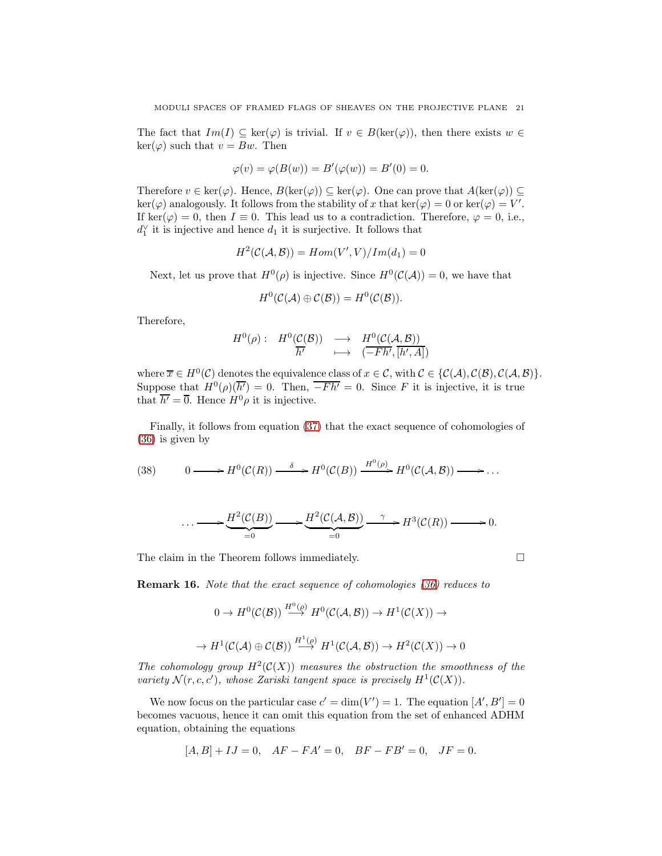The fact that  $Im(I) \subseteq \text{ker}(\varphi)$  is trivial. If  $v \in B(\text{ker}(\varphi))$ , then there exists  $w \in$  $\ker(\varphi)$  such that  $v = Bw$ . Then

$$
\varphi(v) = \varphi(B(w)) = B'(\varphi(w)) = B'(0) = 0.
$$

Therefore  $v \in \text{ker}(\varphi)$ . Hence,  $B(\text{ker}(\varphi)) \subseteq \text{ker}(\varphi)$ . One can prove that  $A(\text{ker}(\varphi)) \subseteq$  $\ker(\varphi)$  analogously. It follows from the stability of x that  $\ker(\varphi) = 0$  or  $\ker(\varphi) = V'$ . If ker( $\varphi$ ) = 0, then I  $\equiv$  0. This lead us to a contradiction. Therefore,  $\varphi$  = 0, i.e.,  $d_1^{\vee}$  it is injective and hence  $d_1$  it is surjective. It follows that

$$
H^2(\mathcal{C}(\mathcal{A}, \mathcal{B})) = Hom(V', V)/Im(d_1) = 0
$$

Next, let us prove that  $H^0(\rho)$  is injective. Since  $H^0(\mathcal{C}(\mathcal{A})) = 0$ , we have that

$$
H^0(\mathcal{C}(\mathcal{A})\oplus\mathcal{C}(\mathcal{B}))=H^0(\mathcal{C}(\mathcal{B})).
$$

Therefore,

$$
H^{0}(\rho): H^{0}(\mathcal{C}(\mathcal{B})) \longrightarrow H^{0}(\mathcal{C}(\mathcal{A}, \mathcal{B}))
$$
  

$$
\overline{h'} \longrightarrow (\overline{-Fh'}, [\overline{h'}, \overline{A}])
$$

where  $\overline{x} \in H^0(\mathcal{C})$  denotes the equivalence class of  $x \in \mathcal{C}$ , with  $\mathcal{C} \in \{C(\mathcal{A}), C(\mathcal{B}), C(\mathcal{A}, \mathcal{B})\}.$ Suppose that  $H^0(\rho)(\overline{k'}) = 0$ . Then,  $\overline{-Fh'} = 0$ . Since F it is injective, it is true that  $\overline{h'} = \overline{0}$ . Hence  $H^0 \rho$  it is injective.

Finally, it follows from equation [\(37\)](#page-19-0) that the exact sequence of cohomologies of [\(36\)](#page-19-1) is given by

(38) 
$$
0 \longrightarrow H^{0}(\mathcal{C}(R)) \xrightarrow{\delta} H^{0}(\mathcal{C}(B)) \xrightarrow{H^{0}(\rho)} H^{0}(\mathcal{C}(\mathcal{A}, \mathcal{B})) \longrightarrow \dots
$$

$$
\cdots \longrightarrow \underbrace{H^2(\mathcal{C}(B))}_{=0} \longrightarrow \underbrace{H^2(\mathcal{C}(\mathcal{A}, \mathcal{B}))}_{=0} \longrightarrow H^3(\mathcal{C}(R)) \longrightarrow 0.
$$

The claim in the Theorem follows immediately.  $\Box$ 

Remark 16. Note that the exact sequence of cohomologies [\(36\)](#page-19-1) reduces to

$$
0 \to H^0(\mathcal{C}(\mathcal{B})) \xrightarrow{H^0(\rho)} H^0(\mathcal{C}(\mathcal{A}, \mathcal{B})) \to H^1(\mathcal{C}(X)) \to
$$
  

$$
\to H^1(\mathcal{C}(\mathcal{A}) \oplus \mathcal{C}(\mathcal{B})) \xrightarrow{H^1(\rho)} H^1(\mathcal{C}(\mathcal{A}, \mathcal{B})) \to H^2(\mathcal{C}(X)) \to 0
$$

The cohomology group  $H^2(\mathcal{C}(X))$  measures the obstruction the smoothness of the variety  $\mathcal{N}(r,c,c')$ , whose Zariski tangent space is precisely  $H^1(\mathcal{C}(X))$ .

We now focus on the particular case  $c' = \dim(V') = 1$ . The equation  $[A', B'] = 0$ becomes vacuous, hence it can omit this equation from the set of enhanced ADHM equation, obtaining the equations

$$
[A, B] + IJ = 0, \quad AF - FA' = 0, \quad BF - FB' = 0, \quad JF = 0.
$$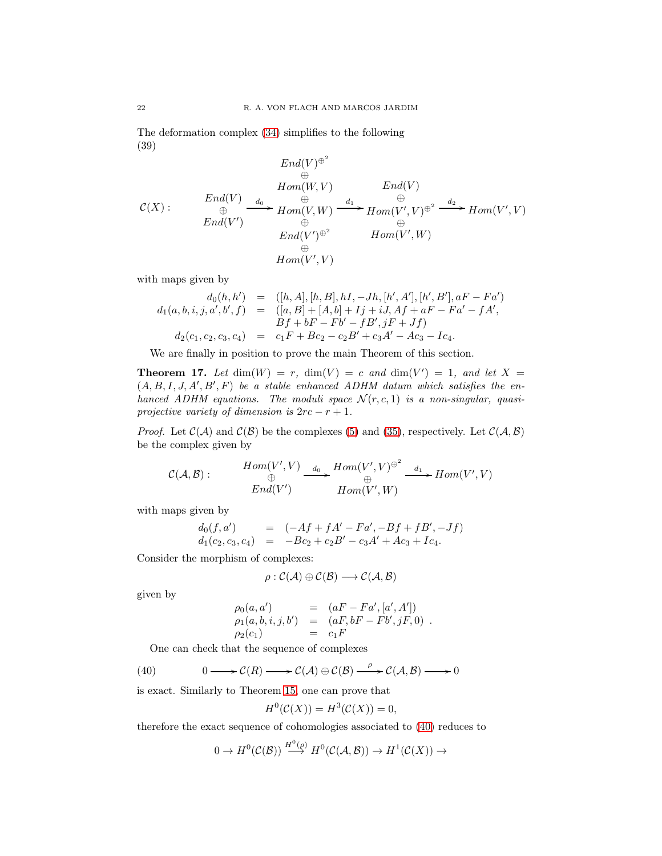The deformation complex [\(34\)](#page-17-1) simplifies to the following (39)

$$
\mathcal{E}nd(V)^{\oplus^{2}}
$$
\n
$$
\oplus
$$
\n
$$
\mathcal{E}(X):
$$
\n
$$
\oplus
$$
\n
$$
\oplus
$$
\n
$$
\mathcal{E}nd(V)
$$
\n
$$
\oplus
$$
\n
$$
\oplus
$$
\n
$$
\mathcal{E}nd(V')
$$
\n
$$
\oplus
$$
\n
$$
\oplus
$$
\n
$$
\mathcal{E}nd(V') \oplus \oplus
$$
\n
$$
\oplus
$$
\n
$$
\mathcal{E}nd(V') \oplus \oplus
$$
\n
$$
\oplus
$$
\n
$$
\mathcal{E}nd(V') \oplus \oplus
$$
\n
$$
\oplus
$$
\n
$$
\mathcal{E}nd(V') \oplus \oplus
$$
\n
$$
\oplus
$$
\n
$$
\mathcal{E}nd(V') \oplus \oplus
$$
\n
$$
\oplus
$$
\n
$$
\mathcal{E}md(V',V)
$$
\n
$$
\oplus
$$
\n
$$
\mathcal{E}md(V',V)
$$
\n
$$
\oplus
$$
\n
$$
\mathcal{E}md(V',V)
$$

with maps given by

$$
d_0(h, h') = ([h, A], [h, B], hI, -Jh, [h', A'], [h', B'], aF - Fa')
$$
  
\n
$$
d_1(a, b, i, j, a', b', f) = ([a, B] + [A, b] + Ij + iJ, Af + aF - Fa' - fA',\nBf + bF - Fb' - fB', jF + Jf)
$$
  
\n
$$
d_2(c_1, c_2, c_3, c_4) = c_1F + Bc_2 - c_2B' + c_3A' - Ac_3 - Ic_4.
$$

We are finally in position to prove the main Theorem of this section.

<span id="page-21-1"></span>**Theorem 17.** Let  $\dim(W) = r$ ,  $\dim(V) = c$  and  $\dim(V') = 1$ , and let  $X =$  $(A, B, I, J, A', B', F)$  be a stable enhanced ADHM datum which satisfies the enhanced ADHM equations. The moduli space  $\mathcal{N}(r, c, 1)$  is a non-singular, quasiprojective variety of dimension is  $2rc - r + 1$ .

*Proof.* Let  $C(\mathcal{A})$  and  $C(\mathcal{B})$  be the complexes [\(5\)](#page-18-0) and [\(35\)](#page-18-1), respectively. Let  $C(\mathcal{A}, \mathcal{B})$ be the complex given by

$$
\mathcal{C}(\mathcal{A}, \mathcal{B}): \qquad \begin{array}{c} Hom(V', V) \xrightarrow{d_0} Hom(V', V)^{\oplus^2} \xrightarrow{d_1} Hom(V', V) \\ \oplus \\ End(V') \xrightarrow{Hom(V', W)} Hom(V', W) \end{array}
$$

with maps given by

$$
d_0(f, a') = (-Af + fA' - Fa', -Bf + fB', -Jf)
$$
  
\n
$$
d_1(c_2, c_3, c_4) = -Bc_2 + c_2B' - c_3A' + Ac_3 + Ic_4.
$$

Consider the morphism of complexes:

$$
\rho: \mathcal{C}(\mathcal{A}) \oplus \mathcal{C}(\mathcal{B}) \longrightarrow \mathcal{C}(\mathcal{A}, \mathcal{B})
$$

given by

$$
\rho_0(a, a') = (aF - Fa', [a', A']) \n\rho_1(a, b, i, j, b') = (aF, bF - Fb', jF, 0) \n\rho_2(c_1) = c_1F
$$

<span id="page-21-0"></span>One can check that the sequence of complexes

(40) 
$$
0 \longrightarrow \mathcal{C}(R) \longrightarrow \mathcal{C}(\mathcal{A}) \oplus \mathcal{C}(\mathcal{B}) \stackrel{\rho}{\longrightarrow} \mathcal{C}(\mathcal{A}, \mathcal{B}) \longrightarrow 0
$$

is exact. Similarly to Theorem [15,](#page-18-0) one can prove that

$$
H^0(\mathcal{C}(X)) = H^3(\mathcal{C}(X)) = 0,
$$

therefore the exact sequence of cohomologies associated to [\(40\)](#page-21-0) reduces to

$$
0 \to H^0(\mathcal{C}(\mathcal{B})) \xrightarrow{H^0(\rho)} H^0(\mathcal{C}(\mathcal{A}, \mathcal{B})) \to H^1(\mathcal{C}(X)) \to
$$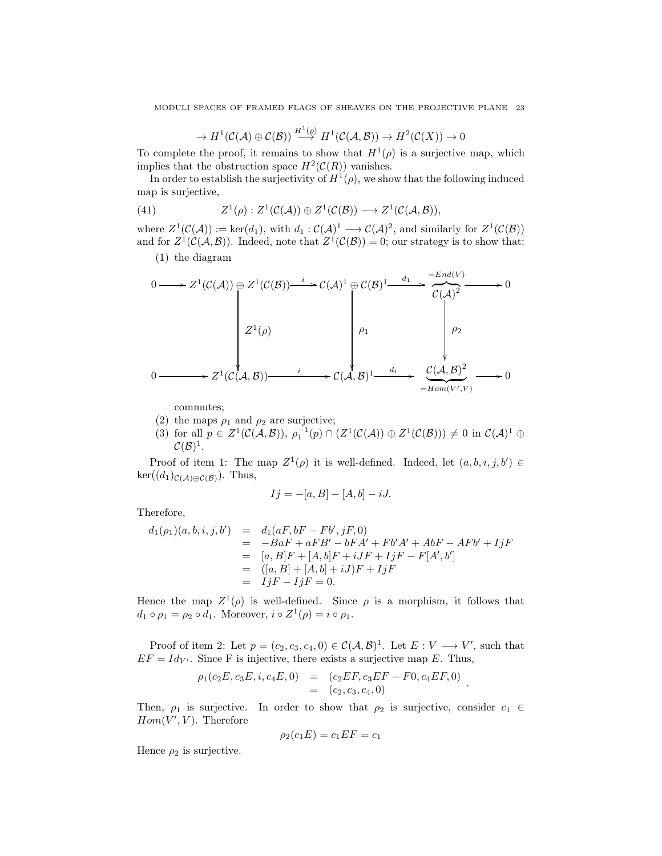$$
\to H^1(\mathcal{C}(\mathcal{A}) \oplus \mathcal{C}(\mathcal{B})) \xrightarrow{H^1(\rho)} H^1(\mathcal{C}(\mathcal{A}, \mathcal{B})) \to H^2(\mathcal{C}(X)) \to 0
$$

To complete the proof, it remains to show that  $H^1(\rho)$  is a surjective map, which implies that the obstruction space  $H^2(\mathcal{C}(R))$  vanishes.

In order to establish the surjectivity of  $H^1(\rho)$ , we show that the following induced map is surjective,

(41) 
$$
Z^1(\rho): Z^1(\mathcal{C}(\mathcal{A})) \oplus Z^1(\mathcal{C}(\mathcal{B})) \longrightarrow Z^1(\mathcal{C}(\mathcal{A}, \mathcal{B})),
$$

where  $Z^1(\mathcal{C}(\mathcal{A})) := \ker(d_1)$ , with  $d_1 : \mathcal{C}(\mathcal{A})^1 \longrightarrow \mathcal{C}(\mathcal{A})^2$ , and similarly for  $Z^1(\mathcal{C}(\mathcal{B}))$ and for  $Z^1(\mathcal{C}(\mathcal{A}, \mathcal{B}))$ . Indeed, note that  $Z^1(\mathcal{C}(\mathcal{B})) = 0$ ; our strategy is to show that:

(1) the diagram

$$
0 \longrightarrow Z^{1}(\mathcal{C}(\mathcal{A})) \oplus Z^{1}(\mathcal{C}(\mathcal{B})) \longrightarrow \mathcal{C}(\mathcal{A})^{1} \oplus \mathcal{C}(\mathcal{B})^{1} \longrightarrow \begin{array}{c} \xrightarrow{d_{1}} \xrightarrow{=End(V)} \\ \downarrow^{G(\mathcal{A})^{2}} \\ \downarrow^{G(\mathcal{A})^{2}} \\ \downarrow^{G(\mathcal{A})^{2}} \end{array} \longrightarrow 0
$$
\n
$$
0 \longrightarrow Z^{1}(\mathcal{C}(\mathcal{A}, \mathcal{B})) \longrightarrow \begin{array}{c} \downarrow^{G(\mathcal{A})^{1}} \xrightarrow{d_{1}} \xrightarrow{d_{1}} \xrightarrow{C(\mathcal{A}, \mathcal{B})^{2}} \\ \downarrow^{G(\mathcal{A})^{2}} \\ \downarrow^{G(\mathcal{A})^{2}} \end{array} \longrightarrow 0
$$

commutes;

- (2) the maps  $\rho_1$  and  $\rho_2$  are surjective;
- (3) for all  $p \in Z^1(\mathcal{C}(\mathcal{A}, \mathcal{B}))$ ,  $\rho_1^{-1}(p) \cap (Z^1(\mathcal{C}(\mathcal{A})) \oplus Z^1(\mathcal{C}(\mathcal{B}))) \neq 0$  in  $\mathcal{C}(\mathcal{A})^1 \oplus$  $\mathcal{C}(\mathcal{B})^1.$

Proof of item 1: The map  $Z^1(\rho)$  it is well-defined. Indeed, let  $(a, b, i, j, b') \in$  $\ker((d_1)_{\mathcal{C}(\mathcal{A})\oplus\mathcal{C}(\mathcal{B})})$ . Thus,

$$
Ij=-[a,B]-[A,b]-iJ.\\
$$

Therefore,

$$
d_1(\rho_1)(a, b, i, j, b') = d_1(aF, bF - Fb', jF, 0)
$$
  
= -BaF + aFB' - bFA' + Fb'A' + AbF - AFb' + IjF  
= [a, B]F + [A, b]F + iJF + IjF - F[A', b']  
= ([a, B] + [A, b] + iJ)F + IjF  
= IjF - IjF = 0.

Hence the map  $Z^1(\rho)$  is well-defined. Since  $\rho$  is a morphism, it follows that  $d_1 \circ \rho_1 = \rho_2 \circ d_1$ . Moreover,  $i \circ Z^1(\rho) = i \circ \rho_1$ .

Proof of item 2: Let  $p = (c_2, c_3, c_4, 0) \in C(\mathcal{A}, \mathcal{B})^1$ . Let  $E: V \longrightarrow V'$ , such that  $EF = Id_{V'}$ . Since F is injective, there exists a surjective map E. Thus,

$$
\rho_1(c_2E, c_3E, i, c_4E, 0) = (c_2EF, c_3EF - F0, c_4EF, 0) \n= (c_2, c_3, c_4, 0)
$$

Then,  $\rho_1$  is surjective. In order to show that  $\rho_2$  is surjective, consider  $c_1 \in$  $Hom(V', V)$ . Therefore

$$
\rho_2(c_1E) = c_1EF = c_1
$$

Hence  $\rho_2$  is surjective.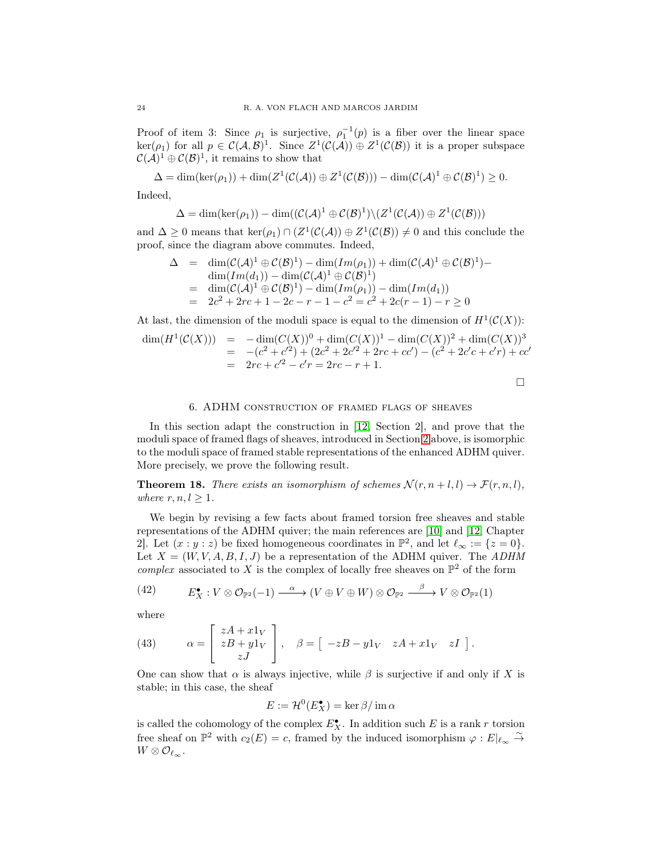Proof of item 3: Since  $\rho_1$  is surjective,  $\rho_1^{-1}(p)$  is a fiber over the linear space  $\ker(\rho_1)$  for all  $p \in C(\mathcal{A}, \mathcal{B})^1$ . Since  $Z^1(\mathcal{C}(\mathcal{A})) \oplus Z^1(\mathcal{C}(\mathcal{B}))$  it is a proper subspace  $\mathcal{C}(\mathcal{A})^1 \oplus \mathcal{C}(\mathcal{B})^1$ , it remains to show that

$$
\Delta = \dim(\ker(\rho_1)) + \dim(Z^1(\mathcal{C}(\mathcal{A})) \oplus Z^1(\mathcal{C}(\mathcal{B})) - \dim(\mathcal{C}(\mathcal{A})^1 \oplus \mathcal{C}(\mathcal{B})^1) \ge 0.
$$

Indeed,

$$
\Delta = \dim(\ker(\rho_1)) - \dim((\mathcal{C}(\mathcal{A})^1 \oplus \mathcal{C}(\mathcal{B})^1) \setminus (Z^1(\mathcal{C}(\mathcal{A})) \oplus Z^1(\mathcal{C}(\mathcal{B})))
$$

and  $\Delta \geq 0$  means that  $\ker(\rho_1) \cap (Z^1(\mathcal{C}(\mathcal{A})) \oplus Z^1(\mathcal{C}(\mathcal{B})) \neq 0$  and this conclude the proof, since the diagram above commutes. Indeed,

$$
\Delta = \dim(C(\mathcal{A})^1 \oplus C(\mathcal{B})^1) - \dim(Im(\rho_1)) + \dim(C(\mathcal{A})^1 \oplus C(\mathcal{B})^1) -
$$
  
\n
$$
\dim(Im(d_1)) - \dim(C(\mathcal{A})^1 \oplus C(\mathcal{B})^1)
$$
  
\n
$$
= \dim(C(\mathcal{A})^1 \oplus C(\mathcal{B})^1) - \dim(Im(\rho_1)) - \dim(Im(d_1))
$$
  
\n
$$
= 2c^2 + 2rc + 1 - 2c - r - 1 - c^2 = c^2 + 2c(r - 1) - r \ge 0
$$

At last, the dimension of the moduli space is equal to the dimension of  $H^1(\mathcal{C}(X))$ :

$$
\dim(H^1(\mathcal{C}(X))) = -\dim(C(X))^0 + \dim(C(X))^1 - \dim(C(X))^2 + \dim(C(X))^3
$$
  
= -(c<sup>2</sup> + c'<sup>2</sup>) + (2c<sup>2</sup> + 2c'<sup>2</sup> + 2rc + cc') - (c<sup>2</sup> + 2c'<sup>2</sup> + c'<sup>2</sup>)  
= 2rc + c'<sup>2</sup> - c'r = 2rc - r + 1.

 $\Box$ 

### 6. ADHM construction of framed flags of sheaves

<span id="page-23-0"></span>In this section adapt the construction in [\[12,](#page-39-2) Section 2], and prove that the moduli space of framed flags of sheaves, introduced in Section [2](#page-1-0) above, is isomorphic to the moduli space of framed stable representations of the enhanced ADHM quiver. More precisely, we prove the following result.

<span id="page-23-1"></span>**Theorem 18.** There exists an isomorphism of schemes  $\mathcal{N}(r, n+l, l) \rightarrow \mathcal{F}(r, n, l)$ , where  $r, n, l \geq 1$ .

We begin by revising a few facts about framed torsion free sheaves and stable representations of the ADHM quiver; the main references are [\[10\]](#page-39-9) and [\[12,](#page-39-2) Chapter 2. Let  $(x : y : z)$  be fixed homogeneous coordinates in  $\mathbb{P}^2$ , and let  $\ell_{\infty} := \{z = 0\}.$ Let  $X = (W, V, A, B, I, J)$  be a representation of the ADHM quiver. The ADHM complex associated to X is the complex of locally free sheaves on  $\mathbb{P}^2$  of the form

<span id="page-23-2"></span>(42) 
$$
E_X^{\bullet}: V \otimes \mathcal{O}_{\mathbb{P}^2}(-1) \xrightarrow{\alpha} (V \oplus V \oplus W) \otimes \mathcal{O}_{\mathbb{P}^2} \xrightarrow{\beta} V \otimes \mathcal{O}_{\mathbb{P}^2}(1)
$$

where

(43) 
$$
\alpha = \begin{bmatrix} zA + x1_V \\ zB + y1_V \\ zJ \end{bmatrix}, \quad \beta = \begin{bmatrix} -zB - y1_V & zA + x1_V & zI \end{bmatrix}.
$$

One can show that  $\alpha$  is always injective, while  $\beta$  is surjective if and only if X is stable; in this case, the sheaf

$$
E := \mathcal{H}^0(E_X^{\bullet}) = \ker \beta / \operatorname{im} \alpha
$$

is called the cohomology of the complex  $E_X^{\bullet}$ . In addition such E is a rank r torsion free sheaf on  $\mathbb{P}^2$  with  $c_2(E) = c$ , framed by the induced isomorphism  $\varphi : E|_{\ell_\infty} \stackrel{\sim}{\to}$  $W\otimes \mathcal O_{\ell_\infty}.$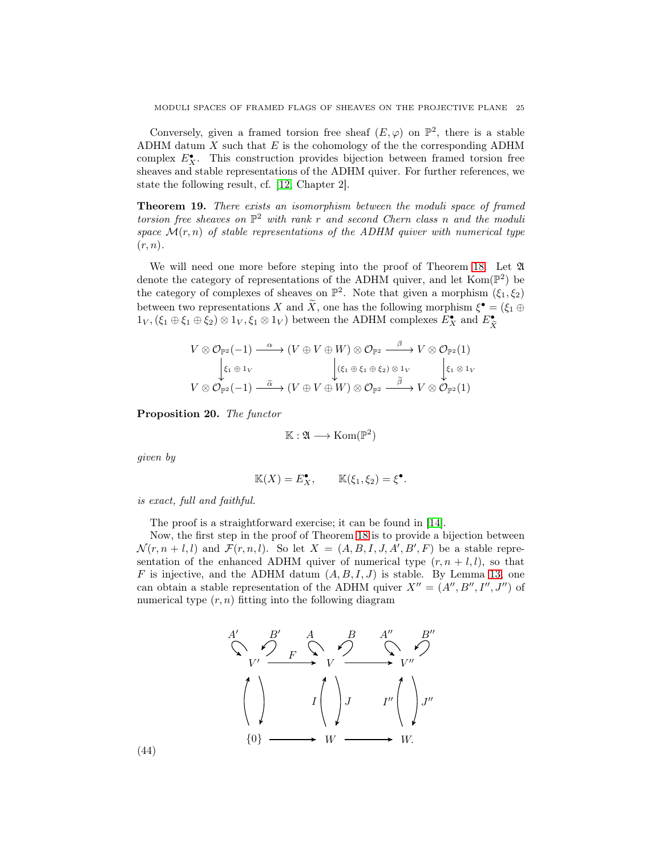Conversely, given a framed torsion free sheaf  $(E, \varphi)$  on  $\mathbb{P}^2$ , there is a stable ADHM datum  $X$  such that  $E$  is the cohomology of the the corresponding ADHM complex  $E_X^{\bullet}$ . This construction provides bijection between framed torsion free sheaves and stable representations of the ADHM quiver. For further references, we state the following result, cf. [\[12,](#page-39-2) Chapter 2].

Theorem 19. There exists an isomorphism between the moduli space of framed torsion free sheaves on  $\mathbb{P}^2$  with rank r and second Chern class n and the moduli space  $\mathcal{M}(r,n)$  of stable representations of the ADHM quiver with numerical type  $(r, n)$ .

We will need one more before steping into the proof of Theorem [18.](#page-23-1) Let  $\mathfrak A$ denote the category of representations of the ADHM quiver, and let  $\text{Kom}(\mathbb{P}^2)$  be the category of complexes of sheaves on  $\mathbb{P}^2$ . Note that given a morphism  $(\xi_1, \xi_2)$ between two representations X and X, one has the following morphism  $\xi^{\bullet} = (\xi_1 \oplus \xi_2)$  $1_V, (\xi_1 \oplus \xi_1 \oplus \xi_2) \otimes 1_V, \xi_1 \otimes 1_V)$  between the ADHM complexes  $E_X^{\bullet}$  and  $E_{\widetilde{X}}^{\bullet}$ 

$$
V \otimes \mathcal{O}_{\mathbb{P}^2}(-1) \xrightarrow{\alpha} (V \oplus V \oplus W) \otimes \mathcal{O}_{\mathbb{P}^2} \xrightarrow{\beta} V \otimes \mathcal{O}_{\mathbb{P}^2}(1)
$$
  
\n
$$
\downarrow \xi_1 \oplus 1_V \qquad \qquad \downarrow (\xi_1 \oplus \xi_1 \oplus \xi_2) \otimes 1_V \qquad \qquad \downarrow \xi_1 \otimes 1_V
$$
  
\n
$$
V \otimes \mathcal{O}_{\mathbb{P}^2}(-1) \xrightarrow{\widetilde{\alpha}} (V \oplus V \oplus W) \otimes \mathcal{O}_{\mathbb{P}^2} \xrightarrow{\widetilde{\beta}} V \otimes \mathcal{O}_{\mathbb{P}^2}(1)
$$

<span id="page-24-1"></span>Proposition 20. The functor

$$
\mathbb{K}:\mathfrak{A}\longrightarrow \mathrm{Kom}(\mathbb{P}^2)
$$

given by

$$
\mathbb{K}(X) = E_X^{\bullet}, \qquad \mathbb{K}(\xi_1, \xi_2) = \xi^{\bullet}.
$$

is exact, full and faithful.

The proof is a straightforward exercise; it can be found in [\[14\]](#page-39-10).

Now, the first step in the proof of Theorem [18](#page-23-1) is to provide a bijection between  $\mathcal{N}(r, n+l, l)$  and  $\mathcal{F}(r, n, l)$ . So let  $X = (A, B, I, J, A', B', F)$  be a stable representation of the enhanced ADHM quiver of numerical type  $(r, n + l, l)$ , so that F is injective, and the ADHM datum  $(A, B, I, J)$  is stable. By Lemma [13,](#page-14-0) one can obtain a stable representation of the ADHM quiver  $X'' = (A'', B'', I'', J'')$  of numerical type  $(r, n)$  fitting into the following diagram



<span id="page-24-0"></span>(44)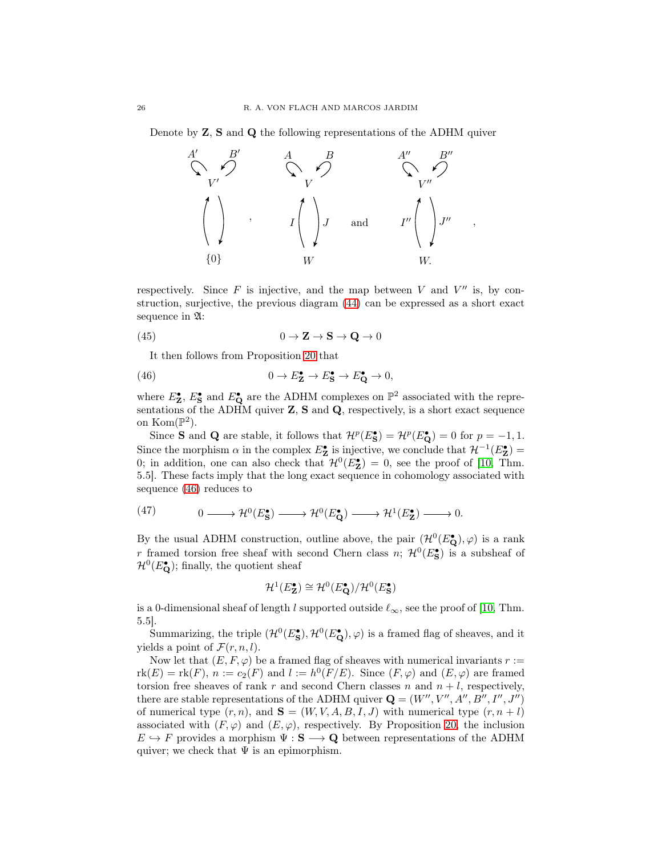Denote by  $Z$ ,  $S$  and  $Q$  the following representations of the ADHM quiver



respectively. Since  $F$  is injective, and the map between  $V$  and  $V''$  is, by construction, surjective, the previous diagram [\(44\)](#page-24-0) can be expressed as a short exact sequence in  $\mathfrak{A}$ :

(45) 
$$
0 \to \mathbf{Z} \to \mathbf{S} \to \mathbf{Q} \to 0
$$

<span id="page-25-0"></span>It then follows from Proposition [20](#page-24-1) that

(46) 
$$
0 \to E_{\mathbf{Z}}^{\bullet} \to E_{\mathbf{S}}^{\bullet} \to E_{\mathbf{Q}}^{\bullet} \to 0,
$$

where  $E^{\bullet}_{\mathbf{Z}}, E^{\bullet}_{\mathbf{S}}$  and  $E^{\bullet}_{\mathbf{Q}}$  are the ADHM complexes on  $\mathbb{P}^2$  associated with the representations of the ADHM quiver  $Z$ ,  $S$  and  $Q$ , respectively, is a short exact sequence on  $\text{Kom}(\mathbb{P}^2)$ .

Since **S** and **Q** are stable, it follows that  $\mathcal{H}^p(E^{\bullet}_S) = \mathcal{H}^p(E^{\bullet}_Q) = 0$  for  $p = -1, 1$ . Since the morphism  $\alpha$  in the complex  $E_{\mathbf{Z}}^{\bullet}$  is injective, we conclude that  $\mathcal{H}^{-1}(E_{\mathbf{Z}}^{\bullet}) =$ 0; in addition, one can also check that  $\mathcal{H}^0(E_2^{\bullet}) = 0$ , see the proof of [\[10,](#page-39-9) Thm. 5.5]. These facts imply that the long exact sequence in cohomology associated with sequence [\(46\)](#page-25-0) reduces to

<span id="page-25-1"></span>(47) 
$$
0 \longrightarrow \mathcal{H}^0(E^{\bullet}_{\mathbf{S}}) \longrightarrow \mathcal{H}^0(E^{\bullet}_{\mathbf{Q}}) \longrightarrow \mathcal{H}^1(E^{\bullet}_{\mathbf{Z}}) \longrightarrow 0.
$$

By the usual ADHM construction, outline above, the pair  $(\mathcal{H}^0(E_{\mathbf{Q}}^{\bullet}), \varphi)$  is a rank r framed torsion free sheaf with second Chern class n;  $\mathcal{H}^0(E^{\bullet}_{\mathbf{S}})$  is a subsheaf of  $\mathcal{H}^0(E^{\bullet}_{\mathbf{Q}})$ ; finally, the quotient sheaf

$$
\mathcal{H}^1(E_{\mathbf{Z}}^{\bullet}) \cong \mathcal{H}^0(E_{\mathbf{Q}}^{\bullet})/\mathcal{H}^0(E_{\mathbf{S}}^{\bullet})
$$

is a 0-dimensional sheaf of length l supported outside  $\ell_{\infty}$ , see the proof of [\[10,](#page-39-9) Thm. 5.5].

Summarizing, the triple  $(\mathcal{H}^0(E^{\bullet}_{\mathbf{S}}), \mathcal{H}^0(E^{\bullet}_{\mathbf{Q}}), \varphi)$  is a framed flag of sheaves, and it yields a point of  $\mathcal{F}(r, n, l)$ .

Now let that  $(E, F, \varphi)$  be a framed flag of sheaves with numerical invariants  $r :=$  $\text{rk}(E) = \text{rk}(F), n := c_2(F)$  and  $l := h^0(F/E)$ . Since  $(F, \varphi)$  and  $(E, \varphi)$  are framed torsion free sheaves of rank r and second Chern classes n and  $n + l$ , respectively, there are stable representations of the ADHM quiver  $\mathbf{Q} = (W'', V'', A'', B'', I'', J'')$ of numerical type  $(r, n)$ , and  $\mathbf{S} = (W, V, A, B, I, J)$  with numerical type  $(r, n + l)$ associated with  $(F, \varphi)$  and  $(E, \varphi)$ , respectively. By Proposition [20,](#page-24-1) the inclusion  $E \hookrightarrow F$  provides a morphism  $\Psi : \mathbf{S} \longrightarrow \mathbf{Q}$  between representations of the ADHM quiver; we check that  $\Psi$  is an epimorphism.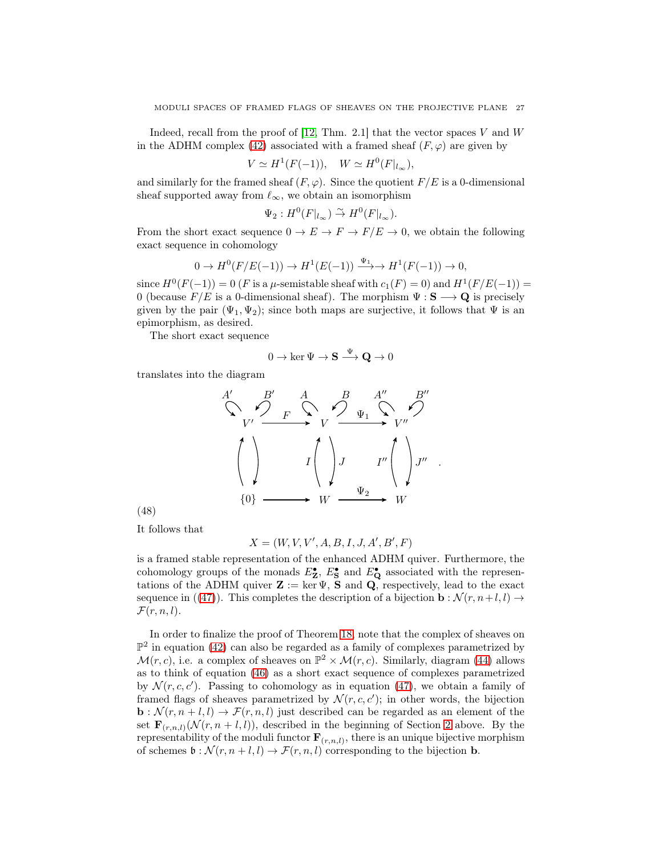Indeed, recall from the proof of [\[12,](#page-39-2) Thm. 2.1] that the vector spaces V and W in the ADHM complex [\(42\)](#page-23-2) associated with a framed sheaf  $(F, \varphi)$  are given by

$$
V \simeq H^1(F(-1)), \quad W \simeq H^0(F|_{l_\infty}),
$$

and similarly for the framed sheaf  $(F, \varphi)$ . Since the quotient  $F/E$  is a 0-dimensional sheaf supported away from  $\ell_{\infty}$ , we obtain an isomorphism

$$
\Psi_2: H^0(F|_{l_\infty}) \overset{\sim}{\to} H^0(F|_{l_\infty}).
$$

From the short exact sequence  $0 \to E \to F \to F/E \to 0$ , we obtain the following exact sequence in cohomology

$$
0 \to H^0(F/E(-1)) \to H^1(E(-1)) \xrightarrow{\Psi_1} H^1(F(-1)) \to 0,
$$

since  $H^0(F(-1)) = 0$  (F is a  $\mu$ -semistable sheaf with  $c_1(F) = 0$ ) and  $H^1(F/E(-1)) =$ 0 (because  $F/E$  is a 0-dimensional sheaf). The morphism  $\Psi : S \longrightarrow Q$  is precisely given by the pair  $(\Psi_1, \Psi_2)$ ; since both maps are surjective, it follows that  $\Psi$  is an epimorphism, as desired.

The short exact sequence

$$
0 \to \ker \Psi \to \mathbf{S} \xrightarrow{\Psi} \mathbf{Q} \to 0
$$

translates into the diagram

$$
\begin{pmatrix}\nA' & B' & A & B & A'' & B'' \\
V' & \searrow & \searrow & \searrow & \searrow & \searrow & \searrow \\
\downarrow & & & & V & \searrow & \searrow & \searrow & \searrow \\
\downarrow & & & & & V & \searrow & \searrow & \searrow \\
\downarrow & & & & & & V & \searrow & \searrow & \searrow & \searrow \\
\downarrow & & & & & & & \searrow & \searrow & \searrow & \searrow & \searrow & \searrow & \searrow\n\end{pmatrix}
$$

(48)

It follows that

$$
X = (W, V, V', A, B, I, J, A', B', F)
$$

is a framed stable representation of the enhanced ADHM quiver. Furthermore, the cohomology groups of the monads  $E_2^{\bullet}$ ,  $E_5^{\bullet}$  and  $E_Q^{\bullet}$  associated with the representations of the ADHM quiver  $\mathbf{Z} := \ker \Psi$ , **S** and **Q**, respectively, lead to the exact sequence in  $((47))$  $((47))$  $((47))$ . This completes the description of a bijection **b** :  $\mathcal{N}(r, n+l, l) \rightarrow$  $\mathcal{F}(r, n, l).$ 

In order to finalize the proof of Theorem [18,](#page-23-1) note that the complex of sheaves on  $\mathbb{P}^2$  in equation [\(42\)](#page-23-2) can also be regarded as a family of complexes parametrized by  $\mathcal{M}(r, c)$ , i.e. a complex of sheaves on  $\mathbb{P}^2 \times \mathcal{M}(r, c)$ . Similarly, diagram [\(44\)](#page-24-0) allows as to think of equation [\(46\)](#page-25-0) as a short exact sequence of complexes parametrized by  $\mathcal{N}(r, c, c')$ . Passing to cohomology as in equation [\(47\)](#page-25-1), we obtain a family of framed flags of sheaves parametrized by  $\mathcal{N}(r, c, c')$ ; in other words, the bijection  $\mathbf{b}: \mathcal{N}(r, n+l, l) \to \mathcal{F}(r, n, l)$  just described can be regarded as an element of the set  $\mathbf{F}_{(r,n,l)}(\mathcal{N}(r,n+l,l))$ , described in the beginning of Section [2](#page-1-0) above. By the representability of the moduli functor  $\mathbf{F}_{(r,n,l)}$ , there is an unique bijective morphism of schemes  $\mathfrak{b}: \mathcal{N}(r, n+l, l) \to \mathcal{F}(r, n, l)$  corresponding to the bijection **b**.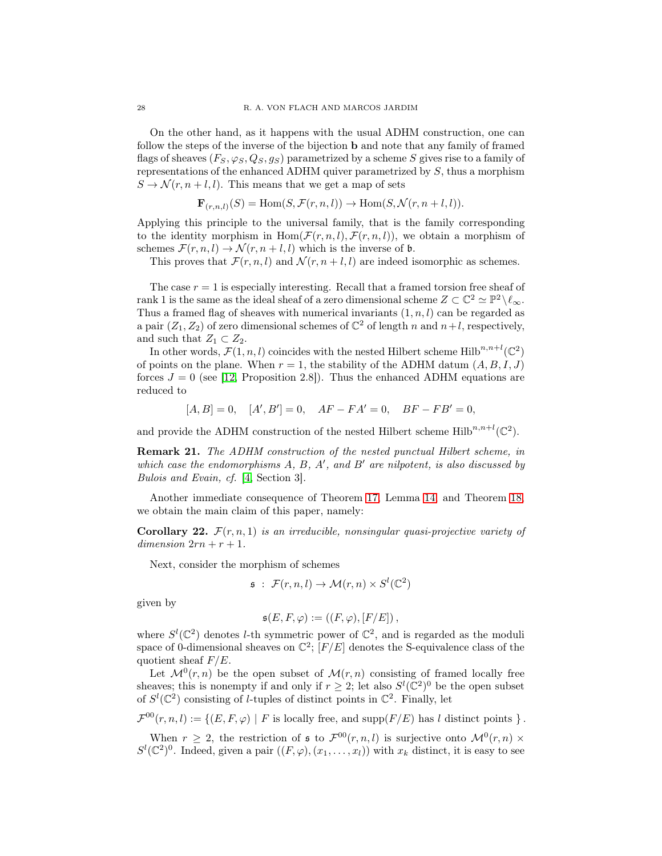On the other hand, as it happens with the usual ADHM construction, one can follow the steps of the inverse of the bijection b and note that any family of framed flags of sheaves  $(F_S, \varphi_S, Q_S, g_S)$  parametrized by a scheme S gives rise to a family of representations of the enhanced ADHM quiver parametrized by  $S$ , thus a morphism  $S \to \mathcal{N}(r, n+l, l)$ . This means that we get a map of sets

$$
\mathbf{F}_{(r,n,l)}(S) = \mathrm{Hom}(S,\mathcal{F}(r,n,l)) \to \mathrm{Hom}(S,\mathcal{N}(r,n+l,l)).
$$

Applying this principle to the universal family, that is the family corresponding to the identity morphism in  $Hom(\mathcal{F}(r, n, l), \mathcal{F}(r, n, l))$ , we obtain a morphism of schemes  $\mathcal{F}(r, n, l) \to \mathcal{N}(r, n + l, l)$  which is the inverse of  $\mathfrak{b}$ .

This proves that  $\mathcal{F}(r, n, l)$  and  $\mathcal{N}(r, n + l, l)$  are indeed isomorphic as schemes.

The case  $r = 1$  is especially interesting. Recall that a framed torsion free sheaf of rank 1 is the same as the ideal sheaf of a zero dimensional scheme  $Z \subset \mathbb{C}^2 \simeq \mathbb{P}^2 \setminus \ell_\infty$ . Thus a framed flag of sheaves with numerical invariants  $(1, n, l)$  can be regarded as a pair  $(Z_1, Z_2)$  of zero dimensional schemes of  $\mathbb{C}^2$  of length n and  $n+l$ , respectively, and such that  $Z_1 \subset Z_2$ .

In other words,  $\mathcal{F}(1, n, l)$  coincides with the nested Hilbert scheme Hilb<sup>n,n+l</sup>( $\mathbb{C}^2$ ) of points on the plane. When  $r = 1$ , the stability of the ADHM datum  $(A, B, I, J)$ forces  $J = 0$  (see [\[12,](#page-39-2) Proposition 2.8]). Thus the enhanced ADHM equations are reduced to

$$
[A, B] = 0, \quad [A', B'] = 0, \quad AF - FA' = 0, \quad BF - FB' = 0,
$$

and provide the ADHM construction of the nested Hilbert scheme  $\text{Hilb}^{n,n+l}(\mathbb{C}^2)$ .

Remark 21. The ADHM construction of the nested punctual Hilbert scheme, in which case the endomorphisms  $A, B, A',$  and  $B'$  are nilpotent, is also discussed by Bulois and Evain, cf. [\[4,](#page-39-11) Section 3].

Another immediate consequence of Theorem [17,](#page-21-1) Lemma [14,](#page-17-2) and Theorem [18,](#page-23-1) we obtain the main claim of this paper, namely:

**Corollary 22.**  $\mathcal{F}(r, n, 1)$  is an irreducible, nonsingular quasi-projective variety of dimension  $2rn + r + 1$ .

Next, consider the morphism of schemes

$$
\mathfrak{s} \; : \; \mathcal{F}(r,n,l) \to \mathcal{M}(r,n) \times S^l(\mathbb{C}^2)
$$

given by

$$
\mathfrak{s}(E, F, \varphi) := ((F, \varphi), [F/E]),
$$

where  $S^l(\mathbb{C}^2)$  denotes *l*-th symmetric power of  $\mathbb{C}^2$ , and is regarded as the moduli space of 0-dimensional sheaves on  $\mathbb{C}^2$ ;  $[F/E]$  denotes the S-equivalence class of the quotient sheaf  $F/E$ .

Let  $\mathcal{M}^0(r,n)$  be the open subset of  $\mathcal{M}(r,n)$  consisting of framed locally free sheaves; this is nonempty if and only if  $r \geq 2$ ; let also  $S^l(\mathbb{C}^2)^0$  be the open subset of  $S^l(\mathbb{C}^2)$  consisting of *l*-tuples of distinct points in  $\mathbb{C}^2$ . Finally, let

 $\mathcal{F}^{00}(r,n,l) := \{(E, F, \varphi) \mid F \text{ is locally free, and } \text{supp}(F/E) \text{ has } l \text{ distinct points } \}$ .

When  $r \geq 2$ , the restriction of  $\mathfrak{s}$  to  $\mathcal{F}^{00}(r,n,l)$  is surjective onto  $\mathcal{M}^{0}(r,n) \times$  $S^l(\mathbb{C}^2)^0$ . Indeed, given a pair  $((F,\varphi),(x_1,\ldots,x_l))$  with  $x_k$  distinct, it is easy to see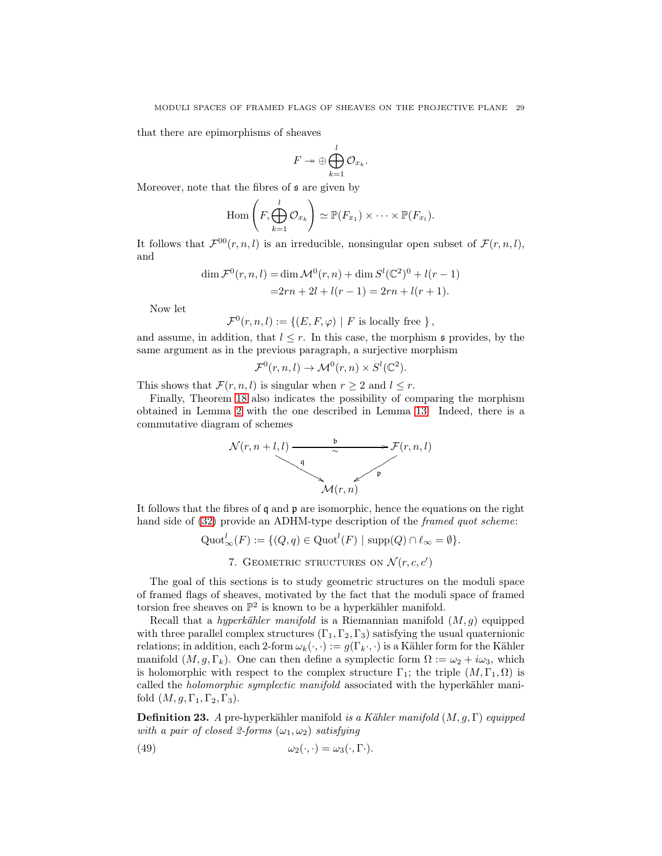that there are epimorphisms of sheaves

$$
F \twoheadrightarrow \bigoplus_{k=1}^l \mathcal{O}_{x_k}.
$$

Moreover, note that the fibres of  $\epsilon$  are given by

$$
\mathrm{Hom}\left(F,\bigoplus_{k=1}^l\mathcal{O}_{x_k}\right)\simeq \mathbb{P}(F_{x_1})\times\cdots\times\mathbb{P}(F_{x_l}).
$$

It follows that  $\mathcal{F}^{00}(r,n,l)$  is an irreducible, nonsingular open subset of  $\mathcal{F}(r,n,l)$ , and

$$
\dim \mathcal{F}^0(r, n, l) = \dim \mathcal{M}^0(r, n) + \dim S^l(\mathbb{C}^2)^0 + l(r - 1)
$$
  
= 2rn + 2l + l(r - 1) = 2rn + l(r + 1).

Now let

$$
\mathcal{F}^0(r,n,l) := \{ (E, F, \varphi) \mid F \text{ is locally free } \},
$$

and assume, in addition, that  $l \leq r$ . In this case, the morphism  $\mathfrak s$  provides, by the same argument as in the previous paragraph, a surjective morphism

$$
\mathcal{F}^0(r,n,l) \to \mathcal{M}^0(r,n) \times S^l(\mathbb{C}^2).
$$

This shows that  $\mathcal{F}(r, n, l)$  is singular when  $r \geq 2$  and  $l \leq r$ .

Finally, Theorem [18](#page-23-1) also indicates the possibility of comparing the morphism obtained in Lemma [2](#page-3-2) with the one described in Lemma [13.](#page-14-0) Indeed, there is a commutative diagram of schemes



It follows that the fibres of q and p are isomorphic, hence the equations on the right hand side of [\(32\)](#page-15-1) provide an ADHM-type description of the *framed quot scheme*:

- $\mathrm{Quot}^l_\infty(F) := \{ (Q, q) \in \mathrm{Quot}^l(F) \mid \mathrm{supp}(Q) \cap \ell_\infty = \emptyset \}.$ 
	- 7. GEOMETRIC STRUCTURES ON  $\mathcal{N}(r,c,c')$

<span id="page-28-0"></span>The goal of this sections is to study geometric structures on the moduli space of framed flags of sheaves, motivated by the fact that the moduli space of framed torsion free sheaves on  $\mathbb{P}^2$  is known to be a hyperkähler manifold.

Recall that a *hyperkähler manifold* is a Riemannian manifold  $(M, g)$  equipped with three parallel complex structures  $(\Gamma_1, \Gamma_2, \Gamma_3)$  satisfying the usual quaternionic relations; in addition, each 2-form  $\omega_k(\cdot, \cdot) := g(\Gamma_k \cdot, \cdot)$  is a Kähler form for the Kähler manifold  $(M, g, \Gamma_k)$ . One can then define a symplectic form  $\Omega := \omega_2 + i\omega_3$ , which is holomorphic with respect to the complex structure  $\Gamma_1$ ; the triple  $(M, \Gamma_1, \Omega)$  is called the holomorphic symplectic manifold associated with the hyperkähler manifold  $(M, g, \Gamma_1, \Gamma_2, \Gamma_3)$ .

**Definition 23.** A pre-hyperkähler manifold is a Kähler manifold  $(M, g, \Gamma)$  equipped with a pair of closed 2-forms  $(\omega_1, \omega_2)$  satisfying

<span id="page-28-1"></span>(49) 
$$
\omega_2(\cdot,\cdot) = \omega_3(\cdot,\Gamma\cdot).
$$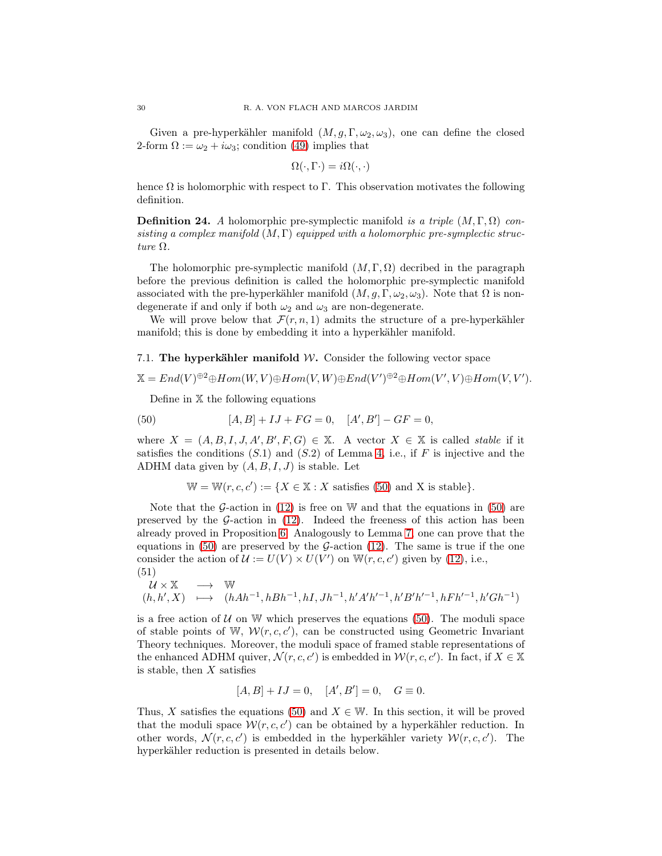Given a pre-hyperkähler manifold  $(M, g, \Gamma, \omega_2, \omega_3)$ , one can define the closed 2-form  $\Omega := \omega_2 + i\omega_3$ ; condition [\(49\)](#page-28-1) implies that

$$
\Omega(\cdot,\Gamma\cdot)=i\Omega(\cdot,\cdot)
$$

hence  $\Omega$  is holomorphic with respect to Γ. This observation motivates the following definition.

**Definition 24.** A holomorphic pre-symplectic manifold is a triple  $(M, \Gamma, \Omega)$  consisting a complex manifold  $(M, \Gamma)$  equipped with a holomorphic pre-symplectic structure Ω.

The holomorphic pre-symplectic manifold  $(M, \Gamma, \Omega)$  decribed in the paragraph before the previous definition is called the holomorphic pre-symplectic manifold associated with the pre-hyperkähler manifold  $(M, g, \Gamma, \omega_2, \omega_3)$ . Note that  $\Omega$  is nondegenerate if and only if both  $\omega_2$  and  $\omega_3$  are non-degenerate.

We will prove below that  $\mathcal{F}(r, n, 1)$  admits the structure of a pre-hyperkähler manifold; this is done by embedding it into a hyperkähler manifold.

<span id="page-29-0"></span>7.1. The hyperkähler manifold  $W$ . Consider the following vector space

$$
\mathbb{X} = End(V)^{\oplus 2} \oplus Hom(W, V) \oplus Hom(V, W) \oplus End(V')^{\oplus 2} \oplus Hom(V', V) \oplus Hom(V, V').
$$

Define in  $X$  the following equations

(50) 
$$
[A, B] + IJ + FG = 0, \quad [A', B'] - GF = 0,
$$

where  $X = (A, B, I, J, A', B', F, G) \in \mathbb{X}$ . A vector  $X \in \mathbb{X}$  is called *stable* if it satisfies the conditions  $(S.1)$  and  $(S.2)$  of Lemma [4,](#page-5-0) i.e., if F is injective and the ADHM data given by  $(A, B, I, J)$  is stable. Let

<span id="page-29-1"></span>
$$
\mathbb{W} = \mathbb{W}(r, c, c') := \{ X \in \mathbb{X} : X \text{ satisfies (50) and X is stable} \}.
$$

Note that the G-action in [\(12\)](#page-8-1) is free on W and that the equations in [\(50\)](#page-29-1) are preserved by the  $\mathcal{G}\text{-action}$  in [\(12\)](#page-8-1). Indeed the freeness of this action has been already proved in Proposition [6.](#page-8-8) Analogously to Lemma [7,](#page-9-1) one can prove that the equations in  $(50)$  are preserved by the G-action  $(12)$ . The same is true if the one consider the action of  $\mathcal{U} := U(V) \times U(V')$  on  $\mathbb{W}(r, c, c')$  given by [\(12\)](#page-8-1), i.e., (51)

<span id="page-29-2"></span>
$$
\begin{array}{ccc}\n\mathcal{U} \times \mathbb{X} & \longrightarrow & \mathbb{W} \\
(h, h', X) & \longmapsto & (hAh^{-1}, hBh^{-1}, hI, Jh^{-1}, h'A'h'^{-1}, h'B'h'^{-1}, hFh'^{-1}, h'Gh^{-1})\n\end{array}
$$

is a free action of  $U$  on W which preserves the equations [\(50\)](#page-29-1). The moduli space of stable points of W,  $W(r, c, c')$ , can be constructed using Geometric Invariant Theory techniques. Moreover, the moduli space of framed stable representations of the enhanced ADHM quiver,  $\mathcal{N}(r, c, c')$  is embedded in  $\mathcal{W}(r, c, c')$ . In fact, if  $X \in \mathbb{X}$ is stable, then  $X$  satisfies

$$
[A, B] + IJ = 0, \quad [A', B'] = 0, \quad G \equiv 0.
$$

Thus, X satisfies the equations [\(50\)](#page-29-1) and  $X \in \mathbb{W}$ . In this section, it will be proved that the moduli space  $W(r, c, c')$  can be obtained by a hyperkähler reduction. In other words,  $\mathcal{N}(r, c, c')$  is embedded in the hyperkähler variety  $\mathcal{W}(r, c, c')$ . The hyperkähler reduction is presented in details below.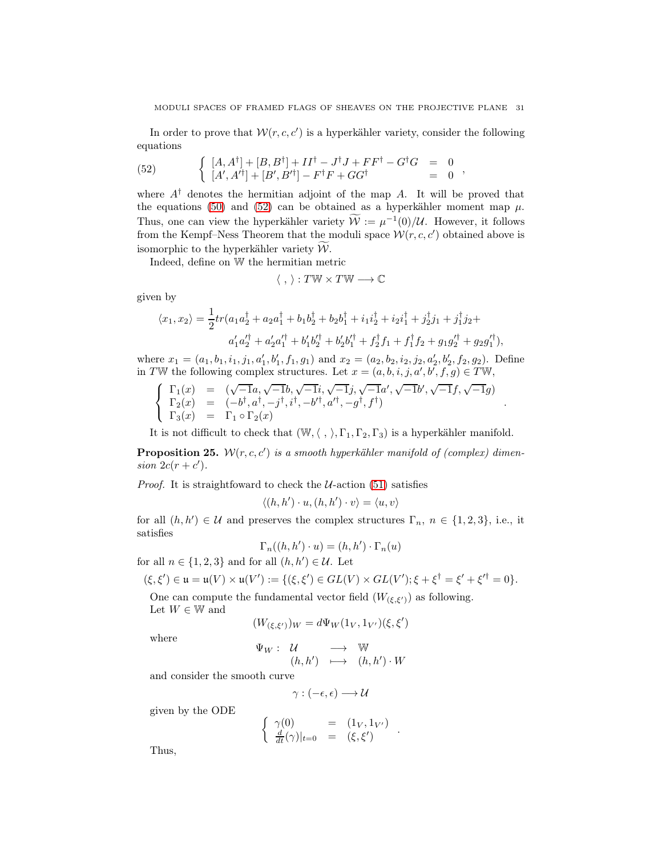In order to prove that  $W(r, c, c')$  is a hyperkähler variety, consider the following equations

<span id="page-30-0"></span>(52) 
$$
\begin{cases} [A, A^{\dagger}] + [B, B^{\dagger}] + II^{\dagger} - J^{\dagger}J + FF^{\dagger} - G^{\dagger}G = 0 \\ [A', A'^{\dagger}] + [B', B'^{\dagger}] - F^{\dagger}F + GG^{\dagger} = 0 \end{cases}
$$

where  $A^{\dagger}$  denotes the hermitian adjoint of the map A. It will be proved that the equations [\(50\)](#page-29-1) and [\(52\)](#page-30-0) can be obtained as a hyperkähler moment map  $\mu$ . Thus, one can view the hyperkähler variety  $W := \mu^{-1}(0)/\mathcal{U}$ . However, it follows from the Kempf–Ness Theorem that the moduli space  $\mathcal{W}(r,c,c')$  obtained above is isomorphic to the hyperkähler variety  $\mathcal{W}$ .

Indeed, define on W the hermitian metric

$$
\langle\ ,\ \rangle:T{\mathbb W}\times T{\mathbb W}\longrightarrow{\mathbb C}
$$

given by

$$
\langle x_1, x_2 \rangle = \frac{1}{2} tr (a_1 a_2^{\dagger} + a_2 a_1^{\dagger} + b_1 b_2^{\dagger} + b_2 b_1^{\dagger} + i_1 i_2^{\dagger} + i_2 i_1^{\dagger} + j_2^{\dagger} j_1 + j_1^{\dagger} j_2 + a'_1 a'^{\dagger}_2 + a'_2 a'^{\dagger}_1 + b'_1 b'^{\dagger}_2 + b'_2 b'^{\dagger}_1 + f_2^{\dagger} f_1 + f_1^{\dagger} f_2 + g_1 g'^{\dagger}_2 + g_2 g'^{\dagger}_1),
$$

where  $x_1 = (a_1, b_1, i_1, j_1, a'_1, b'_1, f_1, g_1)$  and  $x_2 = (a_2, b_2, i_2, j_2, a'_2, b'_2, f_2, g_2)$ . Define in TW the following complex structures. Let  $x = (a, b, i, j, a', b', f, g) \in T\mathbb{W}$ ,

$$
\left\{\begin{array}{lll} \Gamma_1(x) &= (\sqrt{-1}a,\sqrt{-1}b,\sqrt{-1}i,\sqrt{-1}j,\sqrt{-1}a',\sqrt{-1}b',\sqrt{-1}f,\sqrt{-1}g) \\ \Gamma_2(x) &= (-b^\dagger,a^\dagger,-j^\dagger,i^\dagger,-b'^\dagger,a'^\dagger,-g^\dagger,f^\dagger) \\ \Gamma_3(x) &= \Gamma_1\circ\Gamma_2(x) \end{array}\right.
$$

It is not difficult to check that  $(\mathbb{W}, \langle , \rangle, \Gamma_1, \Gamma_2, \Gamma_3)$  is a hyperkähler manifold.

.

**Proposition 25.**  $W(r, c, c')$  is a smooth hyperkähler manifold of (complex) dimension  $2c(r+c')$ .

*Proof.* It is straightfoward to check the  $U$ -action [\(51\)](#page-29-2) satisfies

$$
\langle (h,h')\cdot u,(h,h')\cdot v\rangle=\langle u,v\rangle
$$

for all  $(h, h') \in \mathcal{U}$  and preserves the complex structures  $\Gamma_n$ ,  $n \in \{1, 2, 3\}$ , i.e., it satisfies

$$
\Gamma_n((h, h') \cdot u) = (h, h') \cdot \Gamma_n(u)
$$

for all  $n \in \{1, 2, 3\}$  and for all  $(h, h') \in \mathcal{U}$ . Let

$$
(\xi, \xi') \in \mathfrak{u} = \mathfrak{u}(V) \times \mathfrak{u}(V') := \{ (\xi, \xi') \in GL(V) \times GL(V') ; \xi + \xi^{\dagger} = \xi' + \xi'^{\dagger} = 0 \}.
$$

One can compute the fundamental vector field  $(W_{(\xi, \xi')})$  as following. Let  $W \in \mathbb{W}$  and

$$
(W_{(\xi,\xi')})_W = d\Psi_W(1_V,1_{V'}) (\xi,\xi')
$$

where

$$
\Psi_W: \begin{array}{ccc} \mathcal{U} & \longrightarrow & \mathbb{W} \\ (h, h') & \longmapsto & (h, h') \cdot W \end{array}
$$

and consider the smooth curve

$$
\gamma:(-\epsilon,\epsilon)\longrightarrow\mathcal{U}
$$

given by the ODE

$$
\begin{cases}\n\gamma(0) = (1_V, 1_{V'}) \\
\frac{d}{dt}(\gamma)|_{t=0} = (\xi, \xi')\n\end{cases}
$$

.

Thus,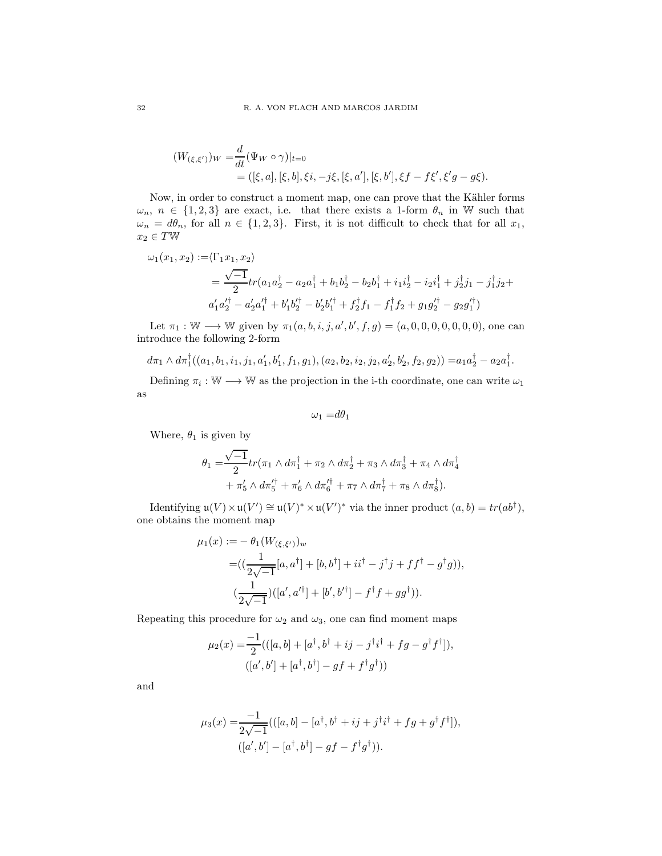$$
(W_{(\xi,\xi')})_W = \frac{d}{dt} (\Psi_W \circ \gamma)|_{t=0}
$$
  
= ([\xi, a], [\xi, b], \xi\_i, -j\xi, [\xi, a'], [\xi, b'], \xi f - f\xi', \xi'g - g\xi).

Now, in order to construct a moment map, one can prove that the Kähler forms  $\omega_n$ ,  $n \in \{1,2,3\}$  are exact, i.e. that there exists a 1-form  $\theta_n$  in W such that  $\omega_n = d\theta_n$ , for all  $n \in \{1, 2, 3\}$ . First, it is not difficult to check that for all  $x_1$ ,  $x_2 \in T\mathbb{W}$ 

$$
\omega_1(x_1, x_2) := \langle \Gamma_1 x_1, x_2 \rangle
$$
  
=  $\frac{\sqrt{-1}}{2} tr(a_1 a_2^{\dagger} - a_2 a_1^{\dagger} + b_1 b_2^{\dagger} - b_2 b_1^{\dagger} + i_1 i_2^{\dagger} - i_2 i_1^{\dagger} + j_2^{\dagger} j_1 - j_1^{\dagger} j_2 +$   
 $a'_1 a'^{\dagger}_2 - a'_2 a'^{\dagger}_1 + b'_1 b'^{\dagger}_2 - b'_2 b'^{\dagger}_1 + f_2^{\dagger} f_1 - f_1^{\dagger} f_2 + g_1 g'^{\dagger}_2 - g_2 g'^{\dagger}_1)$ 

Let  $\pi_1 : \mathbb{W} \longrightarrow \mathbb{W}$  given by  $\pi_1(a, b, i, j, a', b', f, g) = (a, 0, 0, 0, 0, 0, 0, 0)$ , one can introduce the following 2-form

$$
d\pi_1 \wedge d\pi_1^{\dagger}((a_1, b_1, i_1, j_1, a'_1, b'_1, f_1, g_1), (a_2, b_2, i_2, j_2, a'_2, b'_2, f_2, g_2)) = a_1 a_2^{\dagger} - a_2 a_1^{\dagger}.
$$

Defining  $\pi_i : \mathbb{W} \longrightarrow \mathbb{W}$  as the projection in the i-th coordinate, one can write  $\omega_1$ as

 $\omega_1 = d\theta_1$ 

Where,  $\theta_1$  is given by

$$
\theta_1 = \frac{\sqrt{-1}}{2} tr(\pi_1 \wedge d\pi_1^{\dagger} + \pi_2 \wedge d\pi_2^{\dagger} + \pi_3 \wedge d\pi_3^{\dagger} + \pi_4 \wedge d\pi_4^{\dagger} + \pi_5' \wedge d\pi_5'^{\dagger} + \pi_6' \wedge d\pi_6'^{\dagger} + \pi_7 \wedge d\pi_7^{\dagger} + \pi_8 \wedge d\pi_8^{\dagger}).
$$

Identifying  $\mathfrak{u}(V) \times \mathfrak{u}(V') \cong \mathfrak{u}(V)^* \times \mathfrak{u}(V')^*$  via the inner product  $(a, b) = tr(ab^{\dagger}),$ one obtains the moment map

$$
\mu_1(x) := -\theta_1(W_{(\xi,\xi')})_w
$$
  
=  $((\frac{1}{2\sqrt{-1}}[a,a^{\dagger}] + [b,b^{\dagger}] + ii^{\dagger} - j^{\dagger}j + ff^{\dagger} - g^{\dagger}g)),$   
 $(\frac{1}{2\sqrt{-1}})[[a',a'^{\dagger}] + [b',b'^{\dagger}] - f^{\dagger}f + gg^{\dagger})).$ 

Repeating this procedure for  $\omega_2$  and  $\omega_3$ , one can find moment maps

$$
\mu_2(x) = \frac{-1}{2}(([a, b] + [a^{\dagger}, b^{\dagger} + ij - j^{\dagger}i^{\dagger} + fg - g^{\dagger}f^{\dagger}]),([a', b'] + [a^{\dagger}, b^{\dagger}] - gf + f^{\dagger}g^{\dagger}))
$$

and

$$
\mu_3(x) = \frac{-1}{2\sqrt{-1}}(([a, b] - [a^{\dagger}, b^{\dagger} + ij + j^{\dagger}i^{\dagger} + fg + g^{\dagger}f^{\dagger}]),([a', b'] - [a^{\dagger}, b^{\dagger}] - gf - f^{\dagger}g^{\dagger})).
$$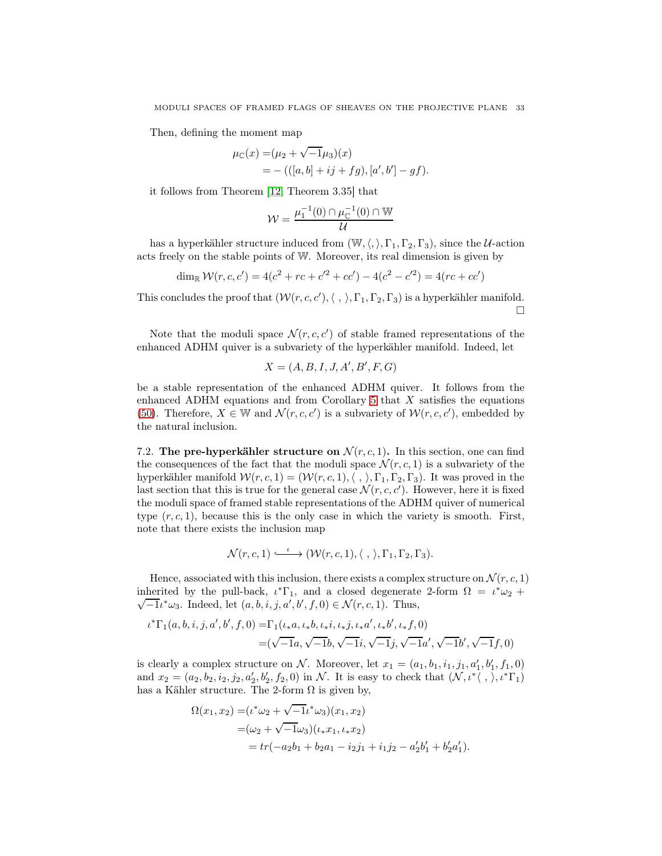Then, defining the moment map

$$
\mu_{\mathbb{C}}(x) = (\mu_2 + \sqrt{-1}\mu_3)(x)
$$
  
= - (([a, b] + ij + fg), [a', b'] - gf).

it follows from Theorem [\[12,](#page-39-2) Theorem 3.35] that

$$
\mathcal{W} = \frac{\mu_1^{-1}(0) \cap \mu_{\mathbb{C}}^{-1}(0) \cap \mathbb{W}}{\mathcal{U}}
$$

has a hyperkähler structure induced from  $(\mathbb{W}, \langle, \rangle, \Gamma_1, \Gamma_2, \Gamma_3)$ , since the U-action acts freely on the stable points of W. Moreover, its real dimension is given by

$$
\dim_{\mathbb{R}} \mathcal{W}(r, c, c') = 4(c^{2} + rc + c'^{2} + cc') - 4(c^{2} - c'^{2}) = 4(rc + cc')
$$

This concludes the proof that  $(W(r, c, c'), \langle , \rangle, \Gamma_1, \Gamma_2, \Gamma_3)$  is a hyperkähler manifold.  $\Box$ 

Note that the moduli space  $\mathcal{N}(r, c, c')$  of stable framed representations of the enhanced ADHM quiver is a subvariety of the hyperkähler manifold. Indeed, let

$$
X = (A, B, I, J, A', B', F, G)
$$

be a stable representation of the enhanced ADHM quiver. It follows from the enhanced ADHM equations and from Corollary  $5$  that  $X$  satisfies the equations [\(50\)](#page-29-1). Therefore,  $X \in \mathbb{W}$  and  $\mathcal{N}(r, c, c')$  is a subvariety of  $\mathcal{W}(r, c, c')$ , embedded by the natural inclusion.

<span id="page-32-0"></span>7.2. The pre-hyperkähler structure on  $\mathcal{N}(r, c, 1)$ . In this section, one can find the consequences of the fact that the moduli space  $\mathcal{N}(r, c, 1)$  is a subvariety of the hyperkähler manifold  $\mathcal{W}(r, c, 1) = (\mathcal{W}(r, c, 1), \langle , \rangle, \Gamma_1, \Gamma_2, \Gamma_3)$ . It was proved in the last section that this is true for the general case  $\mathcal{N}(r, c, c')$ . However, here it is fixed the moduli space of framed stable representations of the ADHM quiver of numerical type  $(r, c, 1)$ , because this is the only case in which the variety is smooth. First, note that there exists the inclusion map

$$
\mathcal{N}(r,c,1) \xrightarrow{\iota} (\mathcal{W}(r,c,1), \langle , \rangle, \Gamma_1, \Gamma_2, \Gamma_3).
$$

Hence, associated with this inclusion, there exists a complex structure on  $\mathcal{N}(r, c, 1)$ inherited by the pull-back,  $\iota^* \Gamma_1$ , and a closed degenerate 2-form  $\Omega = \iota^* \omega_2 +$  $\sqrt{-1}i^*\omega_3$ . Indeed, let  $(a, b, i, j, a', b', f, 0) \in \mathcal{N}(r, c, 1)$ . Thus,

$$
\iota^* \Gamma_1(a, b, i, j, a', b', f, 0) = \Gamma_1(\iota_* a, \iota_* b, \iota_* i, \iota_* j, \iota_* a', \iota_* b', \iota_* f, 0)
$$
  
=  $(\sqrt{-1}a, \sqrt{-1}b, \sqrt{-1}i, \sqrt{-1}j, \sqrt{-1}a', \sqrt{-1}b', \sqrt{-1}f, 0)$ 

is clearly a complex structure on N. Moreover, let  $x_1 = (a_1, b_1, i_1, j_1, a'_1, b'_1, f_1, 0)$ and  $x_2 = (a_2, b_2, i_2, j_2, a'_2, b'_2, f_2, 0)$  in N. It is easy to check that  $(\mathcal{N}, \iota^*\langle , \rangle, \iota^*\Gamma_1)$ has a Kähler structure. The 2-form  $\Omega$  is given by,

$$
\Omega(x_1, x_2) = (t^* \omega_2 + \sqrt{-1}t^* \omega_3)(x_1, x_2)
$$
  
=  $(\omega_2 + \sqrt{-1}\omega_3)(\iota_* x_1, \iota_* x_2)$   
=  $tr(-a_2b_1 + b_2a_1 - i_2j_1 + i_1j_2 - a'_2b'_1 + b'_2a'_1).$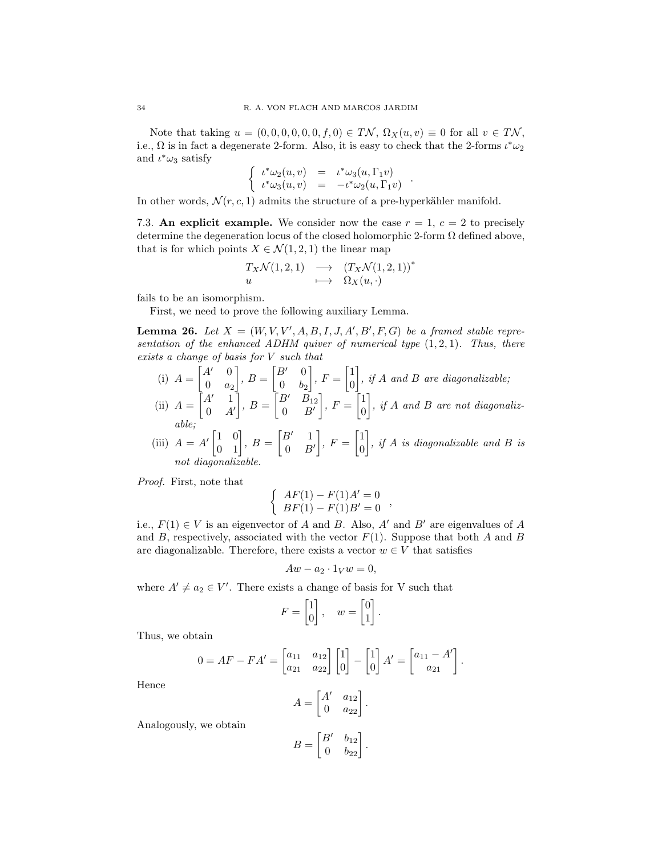Note that taking  $u = (0, 0, 0, 0, 0, 0, f, 0) \in T\mathcal{N}, \Omega_X(u, v) \equiv 0$  for all  $v \in T\mathcal{N}$ , i.e.,  $\Omega$  is in fact a degenerate 2-form. Also, it is easy to check that the 2-forms  $\iota^*\omega_2$ and  $\iota^*\omega_3$  satisfy

$$
\begin{cases}\n\iota^*\omega_2(u,v) &= \iota^*\omega_3(u,\Gamma_1v) \\
\iota^*\omega_3(u,v) &= -\iota^*\omega_2(u,\Gamma_1v)\n\end{cases}
$$

.

<span id="page-33-0"></span>In other words,  $\mathcal{N}(r, c, 1)$  admits the structure of a pre-hyperkähler manifold.

7.3. An explicit example. We consider now the case  $r = 1$ ,  $c = 2$  to precisely determine the degeneration locus of the closed holomorphic 2-form  $\Omega$  defined above, that is for which points  $X \in \mathcal{N}(1, 2, 1)$  the linear map

$$
T_X \mathcal{N}(1,2,1) \longrightarrow (T_X \mathcal{N}(1,2,1))^*
$$
  
 
$$
u \longrightarrow \Omega_X(u,\cdot)
$$

fails to be an isomorphism.

First, we need to prove the following auxiliary Lemma.

<span id="page-33-1"></span>**Lemma 26.** Let  $X = (W, V, V', A, B, I, J, A', B', F, G)$  be a framed stable representation of the enhanced ADHM quiver of numerical type  $(1, 2, 1)$ . Thus, there exists a change of basis for V such that

- $(i)$   $A =$  $\begin{bmatrix} A' & 0 \end{bmatrix}$  $0 \quad a_2$ 1  $, B =$  $\begin{bmatrix} B' & 0 \end{bmatrix}$  $0 \quad b_2$ 1 ,  $F =$  $\lceil 1 \rceil$  $\theta$ 1 , if  $A$  and  $B$  are diagonalizable; Ī 1 1
- $(ii)$   $A =$  $\bar{A}'$  1  $0 \quad A'$  $, B =$  $\begin{bmatrix} B' & B_{12} \end{bmatrix}$  $0 \quad B'$ ,  $F =$  $\bar{\mathcal{a}}$ 0 , if  $A$  and  $B$  are not diagonalizable;

(iii) 
$$
A = A' \begin{bmatrix} 1 & 0 \\ 0 & 1 \end{bmatrix}
$$
,  $B = \begin{bmatrix} B' & 1 \\ 0 & B' \end{bmatrix}$ ,  $F = \begin{bmatrix} 1 \\ 0 \end{bmatrix}$ , if A is diagonalizable and B is not diagonalizable.

Proof. First, note that

$$
\begin{cases}\nAF(1) - F(1)A' = 0 \\
BF(1) - F(1)B' = 0\n\end{cases}
$$

i.e.,  $F(1) \in V$  is an eigenvector of A and B. Also, A' and B' are eigenvalues of A and B, respectively, associated with the vector  $F(1)$ . Suppose that both A and B are diagonalizable. Therefore, there exists a vector  $w \in V$  that satisfies

$$
Aw - a_2 \cdot 1_V w = 0,
$$

where  $A' \neq a_2 \in V'$ . There exists a change of basis for V such that

$$
F = \begin{bmatrix} 1 \\ 0 \end{bmatrix}, \quad w = \begin{bmatrix} 0 \\ 1 \end{bmatrix}.
$$

Thus, we obtain

Analogously, we obtain

$$
0 = AF - FA' = \begin{bmatrix} a_{11} & a_{12} \\ a_{21} & a_{22} \end{bmatrix} \begin{bmatrix} 1 \\ 0 \end{bmatrix} - \begin{bmatrix} 1 \\ 0 \end{bmatrix} A' = \begin{bmatrix} a_{11} - A' \\ a_{21} \end{bmatrix}
$$

.

Hence

$$
A = \begin{bmatrix} A' & a_{12} \\ 0 & a_{22} \end{bmatrix}.
$$

$$
B = \begin{bmatrix} B' & b_{12} \\ 0 & b_{22} \end{bmatrix}.
$$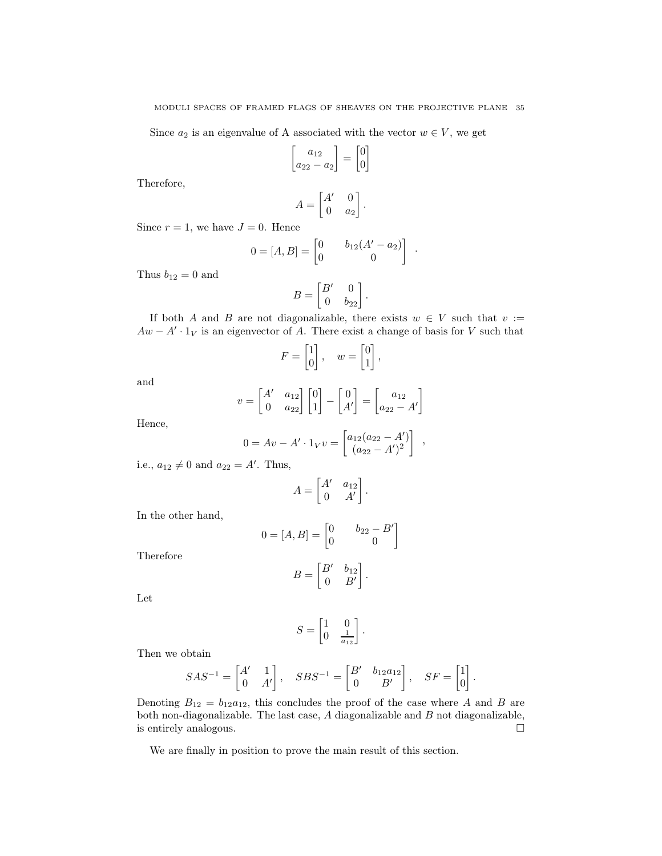Since  $a_2$  is an eigenvalue of A associated with the vector  $w \in V$ , we get

$$
\begin{bmatrix} a_{12} \\ a_{22} - a_2 \end{bmatrix} = \begin{bmatrix} 0 \\ 0 \end{bmatrix}
$$

Therefore,

$$
A = \begin{bmatrix} A' & 0 \\ 0 & a_2 \end{bmatrix}.
$$

Since  $r = 1$ , we have  $J = 0$ . Hence

$$
0 = [A, B] = \begin{bmatrix} 0 & b_{12}(A' - a_2) \\ 0 & 0 \end{bmatrix} .
$$

Thus  $b_{12} = 0$  and

$$
B = \begin{bmatrix} B' & 0 \\ 0 & b_{22} \end{bmatrix}.
$$

If both A and B are not diagonalizable, there exists  $w \in V$  such that  $v :=$  $Aw - A' \cdot 1_V$  is an eigenvector of A. There exist a change of basis for V such that

$$
F = \begin{bmatrix} 1 \\ 0 \end{bmatrix}, \quad w = \begin{bmatrix} 0 \\ 1 \end{bmatrix},
$$

and

$$
v = \begin{bmatrix} A' & a_{12} \\ 0 & a_{22} \end{bmatrix} \begin{bmatrix} 0 \\ 1 \end{bmatrix} - \begin{bmatrix} 0 \\ A' \end{bmatrix} = \begin{bmatrix} a_{12} \\ a_{22} - A' \end{bmatrix}
$$

Hence,

$$
0 = Av - A' \cdot 1_V v = \begin{bmatrix} a_{12}(a_{22} - A') \\ (a_{22} - A')^2 \end{bmatrix} ,
$$

i.e.,  $a_{12} \neq 0$  and  $a_{22} = A'$ . Thus,

$$
A = \begin{bmatrix} A' & a_{12} \\ 0 & A' \end{bmatrix}.
$$

In the other hand,

$$
0 = [A, B] = \begin{bmatrix} 0 & b_{22} - B' \\ 0 & 0 \end{bmatrix}
$$

Therefore

$$
B = \begin{bmatrix} B' & b_{12} \\ 0 & B' \end{bmatrix}.
$$

Let

$$
S = \begin{bmatrix} 1 & 0 \\ 0 & \frac{1}{a_{12}} \end{bmatrix}.
$$

Then we obtain

$$
SAS^{-1} = \begin{bmatrix} A' & 1 \\ 0 & A' \end{bmatrix}, \quad SBS^{-1} = \begin{bmatrix} B' & b_{12}a_{12} \\ 0 & B' \end{bmatrix}, \quad SF = \begin{bmatrix} 1 \\ 0 \end{bmatrix}
$$

.

Denoting  $B_{12} = b_{12}a_{12}$ , this concludes the proof of the case where A and B are both non-diagonalizable. The last case,  $A$  diagonalizable and  $B$  not diagonalizable, is entirely analogous.  $\hfill \square$ 

We are finally in position to prove the main result of this section.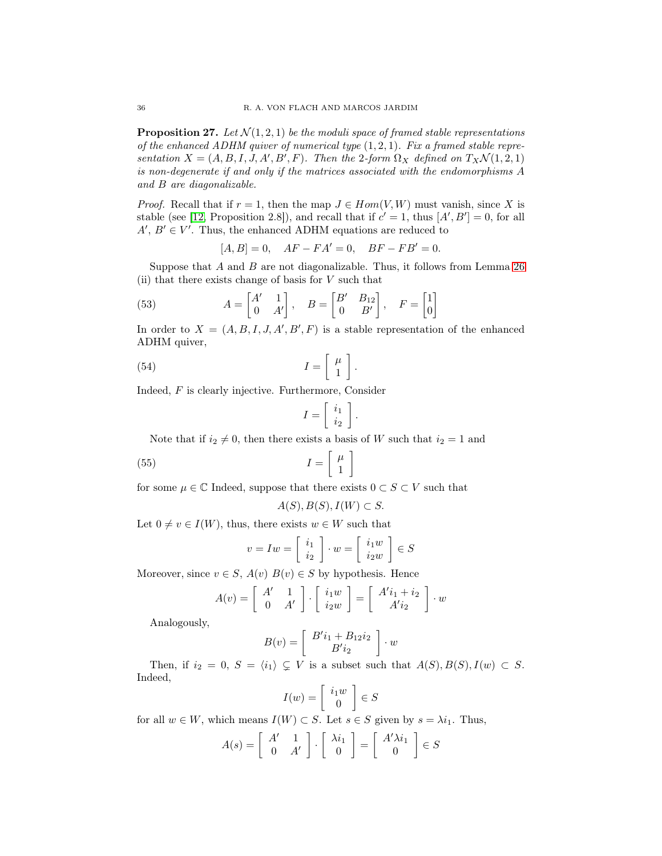<span id="page-35-3"></span>**Proposition 27.** Let  $\mathcal{N}(1, 2, 1)$  be the moduli space of framed stable representations of the enhanced ADHM quiver of numerical type  $(1, 2, 1)$ . Fix a framed stable representation  $X = (A, B, I, J, A', B', F)$ . Then the 2-form  $\Omega_X$  defined on  $T_X \mathcal{N}(1, 2, 1)$ is non-degenerate if and only if the matrices associated with the endomorphisms A and B are diagonalizable.

*Proof.* Recall that if  $r = 1$ , then the map  $J \in Hom(V, W)$  must vanish, since X is stable (see [\[12,](#page-39-2) Proposition 2.8]), and recall that if  $c' = 1$ , thus  $[A', B'] = 0$ , for all  $A', B' \in V'$ . Thus, the enhanced ADHM equations are reduced to

<span id="page-35-1"></span>
$$
[A, B] = 0, \quad AF - FA' = 0, \quad BF - FB' = 0.
$$

Suppose that  $A$  and  $B$  are not diagonalizable. Thus, it follows from Lemma [26](#page-33-1) (ii) that there exists change of basis for  $V$  such that

(53) 
$$
A = \begin{bmatrix} A' & 1 \\ 0 & A' \end{bmatrix}, \quad B = \begin{bmatrix} B' & B_{12} \\ 0 & B' \end{bmatrix}, \quad F = \begin{bmatrix} 1 \\ 0 \end{bmatrix}
$$

In order to  $X = (A, B, I, J, A', B', F)$  is a stable representation of the enhanced ADHM quiver,

(54) 
$$
I = \left[ \begin{array}{c} \mu \\ 1 \end{array} \right].
$$

Indeed, F is clearly injective. Furthermore, Consider

<span id="page-35-2"></span>
$$
I=\left[\begin{array}{c}i_1\\i_2\end{array}\right]
$$

.

Note that if  $i_2 \neq 0$ , then there exists a basis of W such that  $i_2 = 1$  and

$$
(55) \tI = \begin{bmatrix} \mu \\ 1 \end{bmatrix}
$$

for some  $\mu \in \mathbb{C}$  Indeed, suppose that there exists  $0 \subset S \subset V$  such that

<span id="page-35-0"></span>
$$
A(S), B(S), I(W) \subset S.
$$

Let  $0 \neq v \in I(W)$ , thus, there exists  $w \in W$  such that

$$
v = Iw = \left[\begin{array}{c} i_1 \\ i_2 \end{array}\right] \cdot w = \left[\begin{array}{c} i_1w \\ i_2w \end{array}\right] \in S
$$

Moreover, since  $v \in S$ ,  $A(v)$   $B(v) \in S$  by hypothesis. Hence

$$
A(v) = \left[ \begin{array}{cc} A' & 1 \\ 0 & A' \end{array} \right] \cdot \left[ \begin{array}{c} i_1w \\ i_2w \end{array} \right] = \left[ \begin{array}{c} A'i_1 + i_2 \\ A'i_2 \end{array} \right] \cdot w
$$

Analogously,

$$
B(v) = \left[ \begin{array}{c} B'i_1 + B_{12}i_2 \\ B'i_2 \end{array} \right] \cdot w
$$

Then, if  $i_2 = 0$ ,  $S = \langle i_1 \rangle \subsetneq V$  is a subset such that  $A(S), B(S), I(w) \subset S$ . Indeed,

$$
I(w) = \left[ \begin{array}{c} i_1 w \\ 0 \end{array} \right] \in S
$$

for all  $w \in W$ , which means  $I(W) \subset S$ . Let  $s \in S$  given by  $s = \lambda i_1$ . Thus,

$$
A(s) = \left[ \begin{array}{cc} A' & 1 \\ 0 & A' \end{array} \right] \cdot \left[ \begin{array}{c} \lambda i_1 \\ 0 \end{array} \right] = \left[ \begin{array}{c} A' \lambda i_1 \\ 0 \end{array} \right] \in S
$$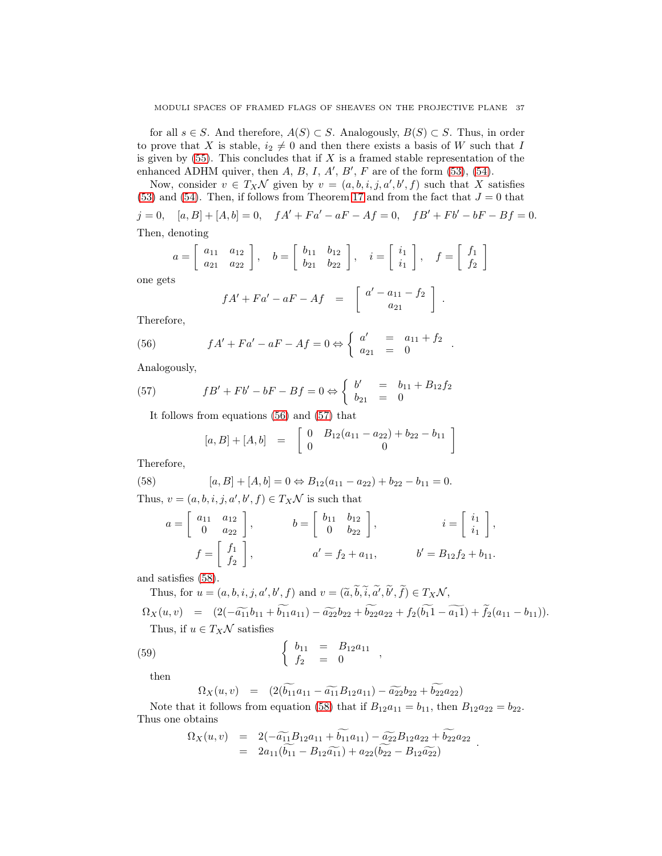for all  $s \in S$ . And therefore,  $A(S) \subset S$ . Analogously,  $B(S) \subset S$ . Thus, in order to prove that X is stable,  $i_2 \neq 0$  and then there exists a basis of W such that I is given by  $(55)$ . This concludes that if X is a framed stable representation of the enhanced ADHM quiver, then  $A, B, I, A', B', F$  are of the form  $(53), (54)$  $(53), (54)$ .

Now, consider  $v \in T_X \mathcal{N}$  given by  $v = (a, b, i, j, a', b', f)$  such that X satisfies [\(53\)](#page-35-1) and [\(54\)](#page-35-2). Then, if follows from Theorem [17](#page-21-1) and from the fact that  $J = 0$  that  $j = 0$ ,  $[a, B] + [A, b] = 0$ ,  $fA' + Fa' - aF - Af = 0$ ,  $fB' + Fb' - bF - Bf = 0$ . Then, denoting

$$
a = \begin{bmatrix} a_{11} & a_{12} \\ a_{21} & a_{22} \end{bmatrix}, \quad b = \begin{bmatrix} b_{11} & b_{12} \\ b_{21} & b_{22} \end{bmatrix}, \quad i = \begin{bmatrix} i_1 \\ i_1 \end{bmatrix}, \quad f = \begin{bmatrix} f_1 \\ f_2 \end{bmatrix}
$$

one gets

<span id="page-36-0"></span>
$$
fA' + Fa' - aF - Af = \begin{bmatrix} a' - a_{11} - f_2 \\ a_{21} \end{bmatrix}.
$$

Therefore,

(56) 
$$
fA' + Fa' - aF - Af = 0 \Leftrightarrow \begin{cases} a' & = a_{11} + f_2 \\ a_{21} & = 0 \end{cases}
$$
.

Analogously,

(57) 
$$
fB' + Fb' - bF - Bf = 0 \Leftrightarrow \begin{cases} b' & = b_{11} + B_{12}f_2 \\ b_{21} & = 0 \end{cases}
$$

It follows from equations [\(56\)](#page-36-0) and [\(57\)](#page-36-1) that

<span id="page-36-2"></span><span id="page-36-1"></span>
$$
[a, B] + [A, b] = \begin{bmatrix} 0 & B_{12}(a_{11} - a_{22}) + b_{22} - b_{11} \ 0 & 0 \end{bmatrix}
$$

Therefore,

(58) 
$$
[a, B] + [A, b] = 0 \Leftrightarrow B_{12}(a_{11} - a_{22}) + b_{22} - b_{11} = 0.
$$
Thus,  $v = (a, b, i, j, a', b', f) \in T_X \mathcal{N}$  is such that

$$
a = \begin{bmatrix} a_{11} & a_{12} \\ 0 & a_{22} \end{bmatrix}, \t b = \begin{bmatrix} b_{11} & b_{12} \\ 0 & b_{22} \end{bmatrix}, \t i = \begin{bmatrix} i_1 \\ i_1 \end{bmatrix}, f = \begin{bmatrix} f_1 \\ f_2 \end{bmatrix}, \t a' = f_2 + a_{11}, \t b' = B_{12}f_2 + b_{11}.
$$

and satisfies [\(58\)](#page-36-2).

Thus, for  $u = (a, b, i, j, a', b', f)$  and  $v = (\tilde{a}, \tilde{b}, \tilde{i}, \tilde{a'}, \tilde{b'}, \tilde{f}) \in T_X \mathcal{N}$ ,  $\Omega_X(u,v) \;\; = \;\; \big( 2(- \widetilde{a_{11}}b_{11} + \widetilde{b_{11}}a_{11}) - \widetilde{a_{22}}b_{22} + \widetilde{b_{22}}a_{22} + f_2(\widetilde{b_{11}} - \widetilde{a_{11}}) + \widetilde{f}_2(a_{11} - b_{11}) \big).$ Thus, if  $u \in T_X\mathcal{N}$  satisfies

(59) 
$$
\begin{cases} b_{11} = B_{12}a_{11} \\ f_2 = 0 \end{cases}
$$

then

<span id="page-36-3"></span>
$$
\Omega_X(u,v) = (2(\widetilde{b_{11}}a_{11} - \widetilde{a_{11}}B_{12}a_{11}) - \widetilde{a_{22}}b_{22} + \widetilde{b_{22}}a_{22})
$$

Note that it follows from equation [\(58\)](#page-36-2) that if  $B_{12}a_{11} = b_{11}$ , then  $B_{12}a_{22} = b_{22}$ . Thus one obtains

$$
\Omega_X(u,v) = 2(-\widetilde{a_{11}}B_{12}a_{11} + b_{11}a_{11}) - \widetilde{a_{22}}B_{12}a_{22} + b_{22}a_{22}
$$
  
=  $2a_{11}(\widetilde{b_{11}} - B_{12}\widetilde{a_{11}}) + a_{22}(\widetilde{b_{22}} - B_{12}\widetilde{a_{22}})$ 

.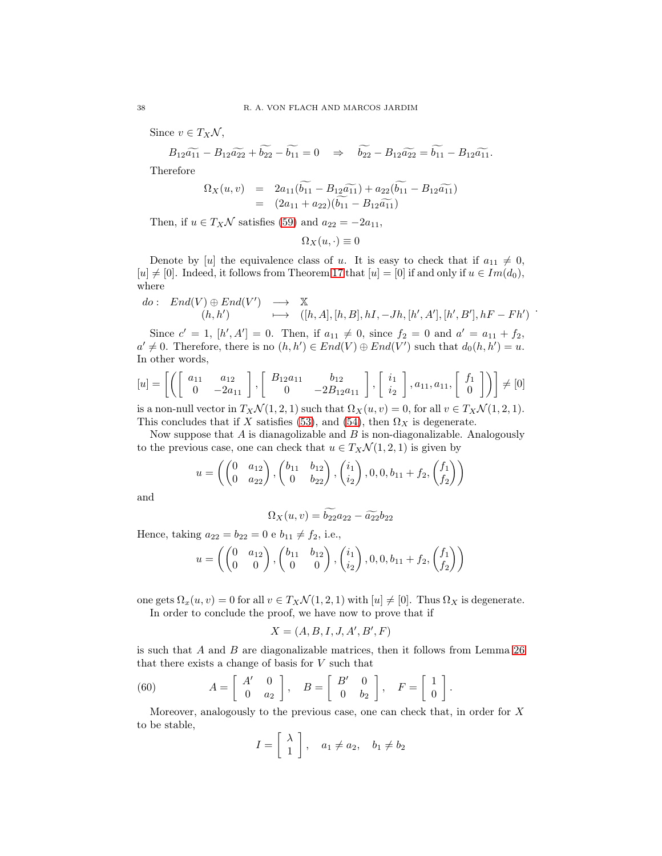Since  $v \in T_X \mathcal{N}$ ,

$$
B_{12}\widetilde{a_{11}} - B_{12}\widetilde{a_{22}} + \widetilde{b_{22}} - \widetilde{b_{11}} = 0 \quad \Rightarrow \quad \widetilde{b_{22}} - B_{12}\widetilde{a_{22}} = \widetilde{b_{11}} - B_{12}\widetilde{a_{11}}.
$$

Therefore

$$
\Omega_X(u,v) = 2a_{11}(\widetilde{b_{11}} - B_{12}\widetilde{a_{11}}) + a_{22}(\widetilde{b_{11}} - B_{12}\widetilde{a_{11}})
$$
  
=  $(2a_{11} + a_{22})(\widetilde{b_{11}} - B_{12}\widetilde{a_{11}})$ 

Then, if  $u \in T_X\mathcal{N}$  satisfies [\(59\)](#page-36-3) and  $a_{22} = -2a_{11}$ ,

$$
\Omega_X(u,\cdot)\equiv 0
$$

Denote by [u] the equivalence class of u. It is easy to check that if  $a_{11} \neq 0$ , [u]  $\neq$  [0]. Indeed, it follows from Theorem [17](#page-21-1) that [u] = [0] if and only if  $u \in Im(d_0)$ , where

$$
do: End(V) \oplus End(V') \longrightarrow \mathbb{X}
$$
  
\n
$$
(h, h') \longmapsto ([h, A], [h, B], hI, -Jh, [h', A'], [h', B'], hF - Fh')
$$

.

Since  $c' = 1$ ,  $[h', A'] = 0$ . Then, if  $a_{11} \neq 0$ , since  $f_2 = 0$  and  $a' = a_{11} + f_2$ ,  $a' \neq 0$ . Therefore, there is no  $(h, h') \in End(V) \oplus End(V')$  such that  $d_0(h, h') = u$ . In other words,

$$
[u] = \left[ \left( \begin{bmatrix} a_{11} & a_{12} \\ 0 & -2a_{11} \end{bmatrix}, \begin{bmatrix} B_{12}a_{11} & b_{12} \\ 0 & -2B_{12}a_{11} \end{bmatrix}, \begin{bmatrix} i_1 \\ i_2 \end{bmatrix}, a_{11}, a_{11}, \begin{bmatrix} f_1 \\ 0 \end{bmatrix} \right) \right] \neq [0]
$$

is a non-null vector in  $T_X\mathcal{N}(1,2,1)$  such that  $\Omega_X(u, v) = 0$ , for all  $v \in T_X\mathcal{N}(1,2,1)$ . This concludes that if X satisfies [\(53\)](#page-35-1), and [\(54\)](#page-35-2), then  $\Omega_X$  is degenerate.

Now suppose that  $A$  is dianagolizable and  $B$  is non-diagonalizable. Analogously to the previous case, one can check that  $u \in T_X \mathcal{N}(1, 2, 1)$  is given by

$$
u = \left( \begin{pmatrix} 0 & a_{12} \\ 0 & a_{22} \end{pmatrix}, \begin{pmatrix} b_{11} & b_{12} \\ 0 & b_{22} \end{pmatrix}, \begin{pmatrix} i_1 \\ i_2 \end{pmatrix}, 0, 0, b_{11} + f_2, \begin{pmatrix} f_1 \\ f_2 \end{pmatrix} \right)
$$

and

$$
\Omega_X(u,v) = \widetilde{b_{22}} a_{22} - \widetilde{a_{22}} b_{22}
$$

Hence, taking  $a_{22} = b_{22} = 0$  e  $b_{11} \neq f_2$ , i.e.,

$$
u = \left( \begin{pmatrix} 0 & a_{12} \\ 0 & 0 \end{pmatrix}, \begin{pmatrix} b_{11} & b_{12} \\ 0 & 0 \end{pmatrix}, \begin{pmatrix} i_1 \\ i_2 \end{pmatrix}, 0, 0, b_{11} + f_2, \begin{pmatrix} f_1 \\ f_2 \end{pmatrix} \right)
$$

one gets  $\Omega_x(u, v) = 0$  for all  $v \in T_X \mathcal{N}(1, 2, 1)$  with  $[u] \neq [0]$ . Thus  $\Omega_X$  is degenerate. In order to conclude the proof, we have now to prove that if

<span id="page-37-0"></span> $\overline{a}$ 

$$
X=(A,B,I,J,A^{\prime},B^{\prime},F)
$$

is such that  $A$  and  $B$  are diagonalizable matrices, then it follows from Lemma [26](#page-33-1) that there exists a change of basis for  $V$  such that

(60) 
$$
A = \begin{bmatrix} A' & 0 \\ 0 & a_2 \end{bmatrix}, \quad B = \begin{bmatrix} B' & 0 \\ 0 & b_2 \end{bmatrix}, \quad F = \begin{bmatrix} 1 \\ 0 \end{bmatrix}.
$$

Moreover, analogously to the previous case, one can check that, in order for  $X$ to be stable,

$$
I = \left[ \begin{array}{c} \lambda \\ 1 \end{array} \right], \quad a_1 \neq a_2, \quad b_1 \neq b_2
$$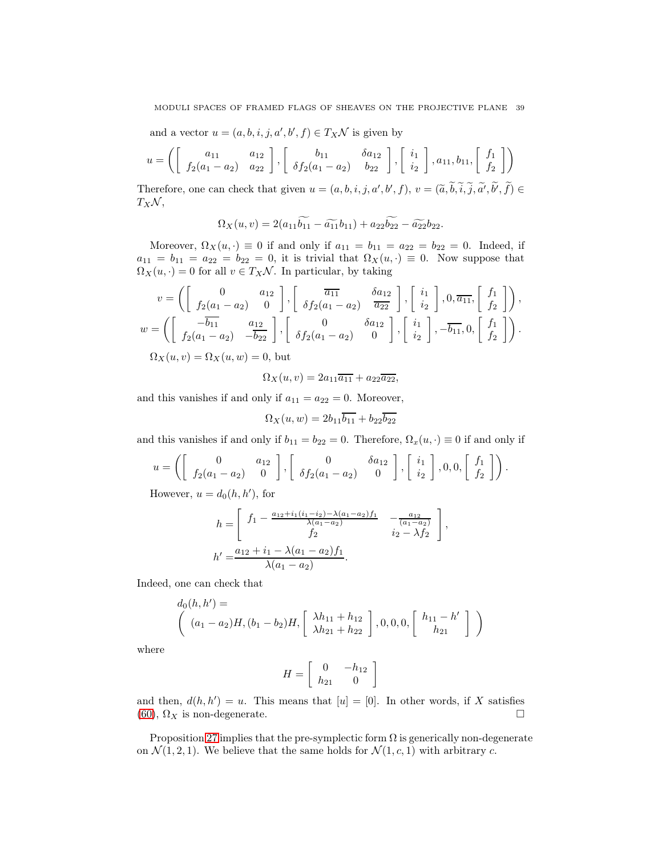and a vector  $u = (a, b, i, j, a', b', f) \in T_X \mathcal{N}$  is given by

$$
u = \left( \begin{bmatrix} a_{11} & a_{12} \\ f_2(a_1 - a_2) & a_{22} \end{bmatrix}, \begin{bmatrix} b_{11} & \delta a_{12} \\ \delta f_2(a_1 - a_2) & b_{22} \end{bmatrix}, \begin{bmatrix} i_1 \\ i_2 \end{bmatrix}, a_{11}, b_{11}, \begin{bmatrix} f_1 \\ f_2 \end{bmatrix} \right)
$$

Therefore, one can check that given  $u = (a, b, i, j, a', b', f), v = (\tilde{a}, \tilde{b}, \tilde{i}, \tilde{j}, \tilde{a'}, \tilde{b'}, \tilde{f}) \in \mathbb{Z}$  $T_X\mathcal{N},$ 

$$
\Omega_X(u,v) = 2(a_{11}\widetilde{b_{11}} - \widetilde{a_{11}}b_{11}) + a_{22}\widetilde{b_{22}} - \widetilde{a_{22}}b_{22}.
$$

Moreover,  $\Omega_X(u, \cdot) \equiv 0$  if and only if  $a_{11} = b_{11} = a_{22} = b_{22} = 0$ . Indeed, if  $a_{11} = b_{11} = a_{22} = b_{22} = 0$ , it is trivial that  $\Omega_X(u, \cdot) \equiv 0$ . Now suppose that  $\Omega_X(u, \cdot) = 0$  for all  $v \in T_X \mathcal{N}$ . In particular, by taking

$$
v = \left( \begin{bmatrix} 0 & a_{12} \\ f_2(a_1 - a_2) & 0 \end{bmatrix}, \begin{bmatrix} \overline{a_{11}} & \delta a_{12} \\ \delta f_2(a_1 - a_2) & \overline{a_{22}} \end{bmatrix}, \begin{bmatrix} i_1 \\ i_2 \end{bmatrix}, 0, \overline{a_{11}}, \begin{bmatrix} f_1 \\ f_2 \end{bmatrix} \right),
$$
  

$$
w = \left( \begin{bmatrix} -\overline{b_{11}} & a_{12} \\ f_2(a_1 - a_2) & -\overline{b_{22}} \end{bmatrix}, \begin{bmatrix} 0 & \delta a_{12} \\ \delta f_2(a_1 - a_2) & 0 \end{bmatrix}, \begin{bmatrix} i_1 \\ i_2 \end{bmatrix}, -\overline{b_{11}}, 0, \begin{bmatrix} f_1 \\ f_2 \end{bmatrix} \right).
$$
  

$$
\Omega_X(u, v) = \Omega_X(u, w) = 0, \text{ but}
$$

$$
\Omega_X(u,v) = 2a_{11}\overline{a_{11}} + a_{22}\overline{a_{22}},
$$

and this vanishes if and only if  $a_{11} = a_{22} = 0$ . Moreover,

$$
\Omega_X(u, w) = 2b_{11}\overline{b_{11}} + b_{22}\overline{b_{22}}
$$

and this vanishes if and only if  $b_{11} = b_{22} = 0$ . Therefore,  $\Omega_x(u, \cdot) \equiv 0$  if and only if

$$
u = \left( \left[ \begin{array}{cc} 0 & a_{12} \\ f_2(a_1 - a_2) & 0 \end{array} \right], \left[ \begin{array}{cc} 0 & \delta a_{12} \\ \delta f_2(a_1 - a_2) & 0 \end{array} \right], \left[ \begin{array}{c} i_1 \\ i_2 \end{array} \right], 0, 0, \left[ \begin{array}{c} f_1 \\ f_2 \end{array} \right] \right).
$$

However,  $u = d_0(h, h')$ , for

$$
h = \begin{bmatrix} f_1 - \frac{a_{12} + i_1(i_1 - i_2) - \lambda(a_1 - a_2)f_1}{\lambda(a_1 - a_2)} & -\frac{a_{12}}{(a_1 - a_2)} \\ f_2 & i_2 - \lambda f_2 \end{bmatrix},
$$
  
\n
$$
h' = \frac{a_{12} + i_1 - \lambda(a_1 - a_2)f_1}{\lambda(a_1 - a_2)}.
$$

Indeed, one can check that

$$
d_0(h, h') =
$$
\n
$$
\left( (a_1 - a_2)H, (b_1 - b_2)H, \left[ \begin{array}{c} \lambda h_{11} + h_{12} \\ \lambda h_{21} + h_{22} \end{array} \right], 0, 0, 0, \left[ \begin{array}{c} h_{11} - h' \\ h_{21} \end{array} \right] \right)
$$

where

$$
H = \left[ \begin{array}{cc} 0 & -h_{12} \\ h_{21} & 0 \end{array} \right]
$$

and then,  $d(h, h') = u$ . This means that  $[u] = [0]$ . In other words, if X satisfies [\(60\)](#page-37-0),  $\Omega_X$  is non-degenerate.

Proposition [27](#page-35-3) implies that the pre-symplectic form  $\Omega$  is generically non-degenerate on  $\mathcal{N}(1, 2, 1)$ . We believe that the same holds for  $\mathcal{N}(1, c, 1)$  with arbitrary c.